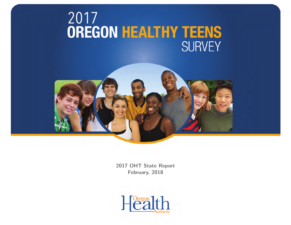# 2017<br>**OREGON HEALTHY TEENS SURVEY**



2017 OHT State Report February, 2018

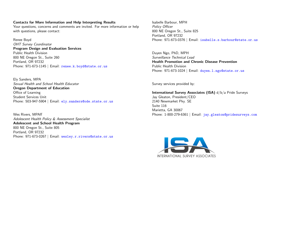#### Contacts for More Information and Help Interpreting Results

Your questions, concerns and comments are invited. For more information or help with questions, please contact:

Renee Boyd OHT Survey Coordinator Program Design and Evaluation Services Public Health Division 800 NE Oregon St., Suite 260 Portland, OR 97232 Phone: 971-673-1145 | Email: <renee.k.boyd@state.or.us>

Ely Sanders, MPA Sexual Health and School Health Educator Oregon Department of Education Office of Learning Student Services Unit Phone: 503-947-5904 | Email: <ely.sanders@ode.state.or.us>

Wes Rivers, MPAff Adolescent Health Policy & Assessment Specialist Adolescent and School Health Program 800 NE Oregon St., Suite 805 Portland, OR 97232 Phone: 971-673-0267 | Email: <wesley.r.rivers@state.or.us>

Isabelle Barbour, MPH Policy Officer 800 NE Oregon St., Suite 825 Portland, OR 97232 Phone: 971-673-0376 | Email: <isabelle.s.barbour@state.or.us>

Duyen Ngo, PhD, MPH Surveillance Technical Lead Health Promotion and Chronic Disease Prevention Public Health Division Phone: 971-673-1024 | Email: duyen.1.ngo@state.or.us

Survey services provided by:

International Survey Associates (ISA) d/b/a Pride Surveys Jay Gleaton, President/CEO 2140 Newmarket Pky. SE Suite 116 Marietta, GA 30067 Phone: 1-800-279-6361 | Email: <jay.gleaton@pridesurveys.com>

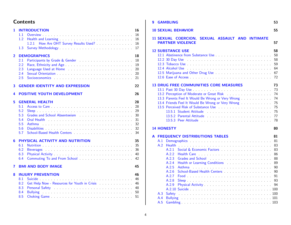# **Contents**

| 1              | <b>INTRODUCTION</b><br>1.1<br>1.2<br>1.2.1<br>1.3                                                                                                                                                                                                                                                                              | 16<br>16<br>16<br>16<br>17                   |
|----------------|--------------------------------------------------------------------------------------------------------------------------------------------------------------------------------------------------------------------------------------------------------------------------------------------------------------------------------|----------------------------------------------|
| $\overline{2}$ | <b>DEMOGRAPHICS</b><br>2.1<br>2.2<br>2.3<br>Language Used at Home Account Account Account Account Account Account Account Account Account Account Account A<br>2.4<br>2.5                                                                                                                                                      | 18<br>18<br>19<br>20<br>20<br>21             |
| 3              | <b>GENDER IDENTITY AND EXPRESSION</b>                                                                                                                                                                                                                                                                                          | 22                                           |
| 4              | <b>POSITIVE YOUTH DEVELOPMENT</b>                                                                                                                                                                                                                                                                                              | 26                                           |
| 5              | <b>GENERAL HEALTH</b><br>5.1<br>5.2<br>5.3<br>5.4<br>Oral Health <b>Communication</b> Contains a state of the contact of the contact of the contact of the contact of the contact of the contact of the contact of the contact of the contact of the contact of the contact of the conta<br>5.5<br><b>Asthma</b><br>5.6<br>5.7 | 28<br>28<br>29<br>30<br>31<br>32<br>32<br>34 |
| 6              | PHYSICAL ACTIVITY AND NUTRITION<br>6.1<br>6.2<br>6.3<br>Commuting To and From School<br>6.4                                                                                                                                                                                                                                    | 35<br>35<br>36<br>40<br>42                   |
| 7              | <b>BMI AND BODY IMAGE</b>                                                                                                                                                                                                                                                                                                      | 45                                           |
| 8              | <b>INJURY PREVENTION</b><br>8.1<br>8.2<br>8.3<br>Personal Safety (Alberta Alberta Alberta Alberta Alberta Alberta Alberta Alberta Alberta Alberta Alberta Albert<br>8.4<br>8.5                                                                                                                                                 | 46<br>46<br>46<br>48<br>50<br>51             |

| 9 | <b>GAMBLING</b>                                                                                                                                                                                                                                                                                                                                                                                                                                                                                                        | 53                                                                   |
|---|------------------------------------------------------------------------------------------------------------------------------------------------------------------------------------------------------------------------------------------------------------------------------------------------------------------------------------------------------------------------------------------------------------------------------------------------------------------------------------------------------------------------|----------------------------------------------------------------------|
|   | <b>10 SEXUAL BEHAVIOR</b>                                                                                                                                                                                                                                                                                                                                                                                                                                                                                              | 55                                                                   |
|   | <b>11 SEXUAL COERCION,</b><br>SEXUAL ASSAULT AND INTIMATE<br><b>PARTNER VIOLENCE</b>                                                                                                                                                                                                                                                                                                                                                                                                                                   | 57                                                                   |
|   | <b>12 SUBSTANCE USE</b><br>12.1 Abstinence from Substance Use <b>Exercise 2.1 Abstinence</b> from Substance Use <b>1988</b>                                                                                                                                                                                                                                                                                                                                                                                            | 58<br>58<br>58<br>59<br>64<br>67<br>72                               |
|   | <b>13 DRUG FREE COMMUNITIES CORE MEASURES</b><br>13.2 Perception of Moderate or Great Risk<br>13.3 Parents Feel It Would Be Wrong or Very Wrong                                                                                                                                                                                                                                                                                                                                                                        | 73<br>73<br>74<br>74<br>75<br>75<br>75<br>77<br>78                   |
|   | <b>14 HONESTY</b>                                                                                                                                                                                                                                                                                                                                                                                                                                                                                                      | 80                                                                   |
| A | <b>FREQUENCY DISTRIBUTIONS TABLES</b><br>A.1<br>A.2<br>Health<br>A.2.1<br>A.2.2<br>A.2.3<br>Grades and School Communications and School Communications are all the School Communications and School Communications are all the School Communications and School Communications and School Communications are all the Schoo<br>A.2.4<br>Health or Learning Conditions<br>A.2.5<br>A.2.6<br>School-Based Health Centers<br>A.2.7<br>A.2.8<br>A.2.9<br>Physical Activity Physical Activity<br>A.3<br>Safety<br>A.4<br>A.5 | 81<br>81<br>83<br>83<br>86<br>88<br>89<br>90<br>90<br>91<br>93<br>94 |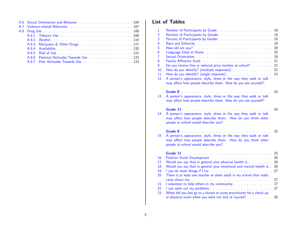|  | A.6 Sexual Orientation and Behavior et al., et al., et al., et al., et al. 104                                                                                                                                                 |
|--|--------------------------------------------------------------------------------------------------------------------------------------------------------------------------------------------------------------------------------|
|  | A.7 Violence-related Behaviors experience of the series of the UV of the SA.7 Violence-related Behaviors experience of the SA.7 Violence of the UV of the SA.7 Violence of the SA.7 Violence of the SA.7 Violence of the SA.7  |
|  |                                                                                                                                                                                                                                |
|  |                                                                                                                                                                                                                                |
|  |                                                                                                                                                                                                                                |
|  |                                                                                                                                                                                                                                |
|  |                                                                                                                                                                                                                                |
|  | A.8.5 Risk of Use the contract of the contract of the contract of the contract of the contract of the contract of the contract of the contract of the contract of the contract of the contract of the contract of the contract |
|  |                                                                                                                                                                                                                                |
|  | A.8.7 Peer Attitudes Towards Use <b>Example 20</b> and the set of the A.8.7 Peer Attitudes Towards Use                                                                                                                         |

# List of Tables

| $\mathbf 1$    |                                                                                                                                                                                                                                | 18       |
|----------------|--------------------------------------------------------------------------------------------------------------------------------------------------------------------------------------------------------------------------------|----------|
| $\overline{2}$ | Number of Participants by Gender                                                                                                                                                                                               | 18       |
| 3              | Percent of Participants by Gender Processors and Alexander Annual Service and Percent Alexander Alexander Alex                                                                                                                 | 18       |
| 4              | Race and Ethnicity Marshall Allen Contracts and Ethnicity Marshall Allen Allen Allen Allen Allen Allen                                                                                                                         | 19       |
| 5<br>6         | How old are you? And all the state of the state of the state of the state of the state of the state of the state of the state of the state of the state of the state of the state of the state of the state of the state of th | 20<br>20 |
| $\overline{7}$ |                                                                                                                                                                                                                                | 20       |
| 8              |                                                                                                                                                                                                                                | 21       |
| 9              | Do you receive free or reduced price lunches at school?                                                                                                                                                                        | 21       |
| 10             | How do you identify? (multiple responses)                                                                                                                                                                                      | 22       |
| 11             |                                                                                                                                                                                                                                | 23       |
| 12             | A person's appearance, style, dress or the way they walk or talk                                                                                                                                                               |          |
|                | may affect how people describe them. How do you see yourself?                                                                                                                                                                  |          |
|                |                                                                                                                                                                                                                                |          |
|                |                                                                                                                                                                                                                                | 24       |
| 13             | A person's appearance, style, dress or the way they walk or talk                                                                                                                                                               |          |
|                | may affect how people describe them. How do you see yourself?                                                                                                                                                                  |          |
|                |                                                                                                                                                                                                                                |          |
|                | Grade 11                                                                                                                                                                                                                       | 24       |
| 14             | A person's appearance, style, dress or the way they walk or talk                                                                                                                                                               |          |
|                | may affect how people describe them. How do you think other                                                                                                                                                                    |          |
|                | people at school would describe you?                                                                                                                                                                                           |          |
|                | Grade 8 and the contract of the contract of the contract of the contract of the contract of the contract of the                                                                                                                | 25       |
| 15             | A person's appearance, style, dress or the way they walk or talk                                                                                                                                                               |          |
|                | may affect how people describe them. How do you think other                                                                                                                                                                    |          |
|                | people at school would describe you?                                                                                                                                                                                           |          |
|                |                                                                                                                                                                                                                                |          |
|                |                                                                                                                                                                                                                                |          |
|                | Grade 11                                                                                                                                                                                                                       | 25       |
| 16             |                                                                                                                                                                                                                                | 26       |
| 17             | Would you say that in general your physical health is                                                                                                                                                                          | 26       |
| 18             | Would you say that in general your emotional and mental health is                                                                                                                                                              | 26       |
| 19             | I can do most things if I try.                                                                                                                                                                                                 | 27       |
| 20             | There is at least one teacher or other adult in my school that really                                                                                                                                                          |          |
|                |                                                                                                                                                                                                                                | 27       |
| 21             |                                                                                                                                                                                                                                | 27       |
| 22             | I can work out my problems.                                                                                                                                                                                                    | 27       |
| 23             | When did you last go to a doctor or nurse practitioner for a check-up<br>or physical exam when you were not sick or injured?                                                                                                   | 28       |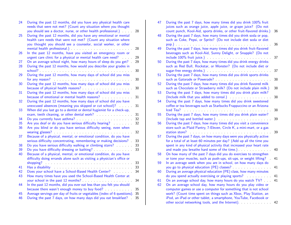| you should see a doctor, nurse, or other health professional.)<br>During the past 12 months, did you have any emotional or mental<br>25<br>health care needs that were not met? (Count any situation where<br>you thought you should see a counselor, social worker, or other<br>mental health professional.) Manual American American American American American American<br>In the past 12 months, have you visited an emergency room or<br>26<br>urgent care clinic for a physical or mental health care need?<br>On an average school night, how many hours of sleep do you get? .<br>27<br>During the past 12 months, how would you describe your grades in<br>28<br>During the past 12 months, how many days of school did you miss<br>29<br>During the past 12 months, how many days of school did you miss<br>30<br>During the past 12 months, how many days of school did you miss<br>31<br>because of emotional or mental health reasons?<br>During the past 12 months, how many days of school did you have<br>32<br>unexcused absences (meaning you skipped or cut school)?<br>When did you last go to a dentist or dental hygienist for a check-up,<br>33<br>exam, teeth cleaning, or other dental work?<br>34<br>35<br>Are you deaf or do you have serious difficulty hearing?<br>Are you blind or do you have serious difficulty seeing, even when<br>36<br>Because of a physical, mental, or emotional condition, do you have<br>37<br>serious difficulty concentrating, remembering or making decisions?<br>Do you have serious difficulty walking or climbing stairs?<br>38<br>Do you have difficulty dressing or bathing?<br>39<br>Because of a physical, mental, or emotional condition, do you have<br>40<br>difficulty doing errands alone such as visiting a physician's office or<br>41<br>Has a disability research and contact the contract of the state of the state of the state of the state of the<br>Does your school have a School-Based Health Center?<br>42<br>How many times have you used the School-Based Health Center at<br>43<br>In the past 12 months, did you ever eat less than you felt you should<br>44<br>because there wasn't enough money to buy food?<br>Average servings per day of fruits or vegetables (index of 6 questions).<br>45<br>During the past 7 days, on how many days did you eat breakfast?<br>46 | During the past 12 months, did you have any physical health care<br>needs that were not met? (Count any situation where you thought | 28 |
|-------------------------------------------------------------------------------------------------------------------------------------------------------------------------------------------------------------------------------------------------------------------------------------------------------------------------------------------------------------------------------------------------------------------------------------------------------------------------------------------------------------------------------------------------------------------------------------------------------------------------------------------------------------------------------------------------------------------------------------------------------------------------------------------------------------------------------------------------------------------------------------------------------------------------------------------------------------------------------------------------------------------------------------------------------------------------------------------------------------------------------------------------------------------------------------------------------------------------------------------------------------------------------------------------------------------------------------------------------------------------------------------------------------------------------------------------------------------------------------------------------------------------------------------------------------------------------------------------------------------------------------------------------------------------------------------------------------------------------------------------------------------------------------------------------------------------------------------------------------------------------------------------------------------------------------------------------------------------------------------------------------------------------------------------------------------------------------------------------------------------------------------------------------------------------------------------------------------------------------------------------------------------------------------------------------------------------------------------------------------|-------------------------------------------------------------------------------------------------------------------------------------|----|
|                                                                                                                                                                                                                                                                                                                                                                                                                                                                                                                                                                                                                                                                                                                                                                                                                                                                                                                                                                                                                                                                                                                                                                                                                                                                                                                                                                                                                                                                                                                                                                                                                                                                                                                                                                                                                                                                                                                                                                                                                                                                                                                                                                                                                                                                                                                                                                   |                                                                                                                                     |    |
|                                                                                                                                                                                                                                                                                                                                                                                                                                                                                                                                                                                                                                                                                                                                                                                                                                                                                                                                                                                                                                                                                                                                                                                                                                                                                                                                                                                                                                                                                                                                                                                                                                                                                                                                                                                                                                                                                                                                                                                                                                                                                                                                                                                                                                                                                                                                                                   |                                                                                                                                     | 28 |
|                                                                                                                                                                                                                                                                                                                                                                                                                                                                                                                                                                                                                                                                                                                                                                                                                                                                                                                                                                                                                                                                                                                                                                                                                                                                                                                                                                                                                                                                                                                                                                                                                                                                                                                                                                                                                                                                                                                                                                                                                                                                                                                                                                                                                                                                                                                                                                   |                                                                                                                                     | 29 |
|                                                                                                                                                                                                                                                                                                                                                                                                                                                                                                                                                                                                                                                                                                                                                                                                                                                                                                                                                                                                                                                                                                                                                                                                                                                                                                                                                                                                                                                                                                                                                                                                                                                                                                                                                                                                                                                                                                                                                                                                                                                                                                                                                                                                                                                                                                                                                                   |                                                                                                                                     | 29 |
|                                                                                                                                                                                                                                                                                                                                                                                                                                                                                                                                                                                                                                                                                                                                                                                                                                                                                                                                                                                                                                                                                                                                                                                                                                                                                                                                                                                                                                                                                                                                                                                                                                                                                                                                                                                                                                                                                                                                                                                                                                                                                                                                                                                                                                                                                                                                                                   |                                                                                                                                     | 30 |
|                                                                                                                                                                                                                                                                                                                                                                                                                                                                                                                                                                                                                                                                                                                                                                                                                                                                                                                                                                                                                                                                                                                                                                                                                                                                                                                                                                                                                                                                                                                                                                                                                                                                                                                                                                                                                                                                                                                                                                                                                                                                                                                                                                                                                                                                                                                                                                   |                                                                                                                                     |    |
|                                                                                                                                                                                                                                                                                                                                                                                                                                                                                                                                                                                                                                                                                                                                                                                                                                                                                                                                                                                                                                                                                                                                                                                                                                                                                                                                                                                                                                                                                                                                                                                                                                                                                                                                                                                                                                                                                                                                                                                                                                                                                                                                                                                                                                                                                                                                                                   |                                                                                                                                     | 30 |
|                                                                                                                                                                                                                                                                                                                                                                                                                                                                                                                                                                                                                                                                                                                                                                                                                                                                                                                                                                                                                                                                                                                                                                                                                                                                                                                                                                                                                                                                                                                                                                                                                                                                                                                                                                                                                                                                                                                                                                                                                                                                                                                                                                                                                                                                                                                                                                   |                                                                                                                                     |    |
|                                                                                                                                                                                                                                                                                                                                                                                                                                                                                                                                                                                                                                                                                                                                                                                                                                                                                                                                                                                                                                                                                                                                                                                                                                                                                                                                                                                                                                                                                                                                                                                                                                                                                                                                                                                                                                                                                                                                                                                                                                                                                                                                                                                                                                                                                                                                                                   |                                                                                                                                     | 30 |
|                                                                                                                                                                                                                                                                                                                                                                                                                                                                                                                                                                                                                                                                                                                                                                                                                                                                                                                                                                                                                                                                                                                                                                                                                                                                                                                                                                                                                                                                                                                                                                                                                                                                                                                                                                                                                                                                                                                                                                                                                                                                                                                                                                                                                                                                                                                                                                   |                                                                                                                                     | 31 |
|                                                                                                                                                                                                                                                                                                                                                                                                                                                                                                                                                                                                                                                                                                                                                                                                                                                                                                                                                                                                                                                                                                                                                                                                                                                                                                                                                                                                                                                                                                                                                                                                                                                                                                                                                                                                                                                                                                                                                                                                                                                                                                                                                                                                                                                                                                                                                                   |                                                                                                                                     |    |
|                                                                                                                                                                                                                                                                                                                                                                                                                                                                                                                                                                                                                                                                                                                                                                                                                                                                                                                                                                                                                                                                                                                                                                                                                                                                                                                                                                                                                                                                                                                                                                                                                                                                                                                                                                                                                                                                                                                                                                                                                                                                                                                                                                                                                                                                                                                                                                   |                                                                                                                                     | 31 |
|                                                                                                                                                                                                                                                                                                                                                                                                                                                                                                                                                                                                                                                                                                                                                                                                                                                                                                                                                                                                                                                                                                                                                                                                                                                                                                                                                                                                                                                                                                                                                                                                                                                                                                                                                                                                                                                                                                                                                                                                                                                                                                                                                                                                                                                                                                                                                                   |                                                                                                                                     |    |
|                                                                                                                                                                                                                                                                                                                                                                                                                                                                                                                                                                                                                                                                                                                                                                                                                                                                                                                                                                                                                                                                                                                                                                                                                                                                                                                                                                                                                                                                                                                                                                                                                                                                                                                                                                                                                                                                                                                                                                                                                                                                                                                                                                                                                                                                                                                                                                   |                                                                                                                                     | 31 |
|                                                                                                                                                                                                                                                                                                                                                                                                                                                                                                                                                                                                                                                                                                                                                                                                                                                                                                                                                                                                                                                                                                                                                                                                                                                                                                                                                                                                                                                                                                                                                                                                                                                                                                                                                                                                                                                                                                                                                                                                                                                                                                                                                                                                                                                                                                                                                                   |                                                                                                                                     | 32 |
|                                                                                                                                                                                                                                                                                                                                                                                                                                                                                                                                                                                                                                                                                                                                                                                                                                                                                                                                                                                                                                                                                                                                                                                                                                                                                                                                                                                                                                                                                                                                                                                                                                                                                                                                                                                                                                                                                                                                                                                                                                                                                                                                                                                                                                                                                                                                                                   |                                                                                                                                     | 32 |
|                                                                                                                                                                                                                                                                                                                                                                                                                                                                                                                                                                                                                                                                                                                                                                                                                                                                                                                                                                                                                                                                                                                                                                                                                                                                                                                                                                                                                                                                                                                                                                                                                                                                                                                                                                                                                                                                                                                                                                                                                                                                                                                                                                                                                                                                                                                                                                   |                                                                                                                                     | 32 |
|                                                                                                                                                                                                                                                                                                                                                                                                                                                                                                                                                                                                                                                                                                                                                                                                                                                                                                                                                                                                                                                                                                                                                                                                                                                                                                                                                                                                                                                                                                                                                                                                                                                                                                                                                                                                                                                                                                                                                                                                                                                                                                                                                                                                                                                                                                                                                                   |                                                                                                                                     |    |
|                                                                                                                                                                                                                                                                                                                                                                                                                                                                                                                                                                                                                                                                                                                                                                                                                                                                                                                                                                                                                                                                                                                                                                                                                                                                                                                                                                                                                                                                                                                                                                                                                                                                                                                                                                                                                                                                                                                                                                                                                                                                                                                                                                                                                                                                                                                                                                   |                                                                                                                                     | 33 |
|                                                                                                                                                                                                                                                                                                                                                                                                                                                                                                                                                                                                                                                                                                                                                                                                                                                                                                                                                                                                                                                                                                                                                                                                                                                                                                                                                                                                                                                                                                                                                                                                                                                                                                                                                                                                                                                                                                                                                                                                                                                                                                                                                                                                                                                                                                                                                                   |                                                                                                                                     | 33 |
|                                                                                                                                                                                                                                                                                                                                                                                                                                                                                                                                                                                                                                                                                                                                                                                                                                                                                                                                                                                                                                                                                                                                                                                                                                                                                                                                                                                                                                                                                                                                                                                                                                                                                                                                                                                                                                                                                                                                                                                                                                                                                                                                                                                                                                                                                                                                                                   |                                                                                                                                     | 33 |
|                                                                                                                                                                                                                                                                                                                                                                                                                                                                                                                                                                                                                                                                                                                                                                                                                                                                                                                                                                                                                                                                                                                                                                                                                                                                                                                                                                                                                                                                                                                                                                                                                                                                                                                                                                                                                                                                                                                                                                                                                                                                                                                                                                                                                                                                                                                                                                   |                                                                                                                                     |    |
|                                                                                                                                                                                                                                                                                                                                                                                                                                                                                                                                                                                                                                                                                                                                                                                                                                                                                                                                                                                                                                                                                                                                                                                                                                                                                                                                                                                                                                                                                                                                                                                                                                                                                                                                                                                                                                                                                                                                                                                                                                                                                                                                                                                                                                                                                                                                                                   |                                                                                                                                     |    |
|                                                                                                                                                                                                                                                                                                                                                                                                                                                                                                                                                                                                                                                                                                                                                                                                                                                                                                                                                                                                                                                                                                                                                                                                                                                                                                                                                                                                                                                                                                                                                                                                                                                                                                                                                                                                                                                                                                                                                                                                                                                                                                                                                                                                                                                                                                                                                                   |                                                                                                                                     | 33 |
|                                                                                                                                                                                                                                                                                                                                                                                                                                                                                                                                                                                                                                                                                                                                                                                                                                                                                                                                                                                                                                                                                                                                                                                                                                                                                                                                                                                                                                                                                                                                                                                                                                                                                                                                                                                                                                                                                                                                                                                                                                                                                                                                                                                                                                                                                                                                                                   |                                                                                                                                     | 33 |
|                                                                                                                                                                                                                                                                                                                                                                                                                                                                                                                                                                                                                                                                                                                                                                                                                                                                                                                                                                                                                                                                                                                                                                                                                                                                                                                                                                                                                                                                                                                                                                                                                                                                                                                                                                                                                                                                                                                                                                                                                                                                                                                                                                                                                                                                                                                                                                   |                                                                                                                                     | 34 |
|                                                                                                                                                                                                                                                                                                                                                                                                                                                                                                                                                                                                                                                                                                                                                                                                                                                                                                                                                                                                                                                                                                                                                                                                                                                                                                                                                                                                                                                                                                                                                                                                                                                                                                                                                                                                                                                                                                                                                                                                                                                                                                                                                                                                                                                                                                                                                                   |                                                                                                                                     | 34 |
|                                                                                                                                                                                                                                                                                                                                                                                                                                                                                                                                                                                                                                                                                                                                                                                                                                                                                                                                                                                                                                                                                                                                                                                                                                                                                                                                                                                                                                                                                                                                                                                                                                                                                                                                                                                                                                                                                                                                                                                                                                                                                                                                                                                                                                                                                                                                                                   |                                                                                                                                     |    |
|                                                                                                                                                                                                                                                                                                                                                                                                                                                                                                                                                                                                                                                                                                                                                                                                                                                                                                                                                                                                                                                                                                                                                                                                                                                                                                                                                                                                                                                                                                                                                                                                                                                                                                                                                                                                                                                                                                                                                                                                                                                                                                                                                                                                                                                                                                                                                                   |                                                                                                                                     | 35 |
|                                                                                                                                                                                                                                                                                                                                                                                                                                                                                                                                                                                                                                                                                                                                                                                                                                                                                                                                                                                                                                                                                                                                                                                                                                                                                                                                                                                                                                                                                                                                                                                                                                                                                                                                                                                                                                                                                                                                                                                                                                                                                                                                                                                                                                                                                                                                                                   |                                                                                                                                     | 35 |
|                                                                                                                                                                                                                                                                                                                                                                                                                                                                                                                                                                                                                                                                                                                                                                                                                                                                                                                                                                                                                                                                                                                                                                                                                                                                                                                                                                                                                                                                                                                                                                                                                                                                                                                                                                                                                                                                                                                                                                                                                                                                                                                                                                                                                                                                                                                                                                   |                                                                                                                                     | 35 |

| 47 | During the past 7 days, how many times did you drink 100% fruit<br>juices such as orange juice, apple juice, or grape juice? (Do not                                                                                                                                        |    |
|----|-----------------------------------------------------------------------------------------------------------------------------------------------------------------------------------------------------------------------------------------------------------------------------|----|
| 48 | count punch, Kool-Aid, sports drinks, or other fruit-flavored drinks.)<br>During the past 7 days, how many times did you drink soda or pop,<br>such as Coke, Pepsi, or Sprite? (Do not include diet soda or diet                                                            | 36 |
|    |                                                                                                                                                                                                                                                                             | 36 |
| 49 | During the past 7 days, how many times did you drink fruit-flavored<br>beverages such as Kool-Aid, Sunny Delight, or Snapple? (Do not                                                                                                                                       |    |
|    |                                                                                                                                                                                                                                                                             | 37 |
| 50 | During the past 7 days, how many times did you drink energy drinks<br>such as Red Bull, Rockstar, or Monster? (Do not include diet or                                                                                                                                       | 37 |
| 51 | During the past 7 days, how many times did you drink sports drinks                                                                                                                                                                                                          |    |
|    |                                                                                                                                                                                                                                                                             | 38 |
| 52 | During the past 7 days, how many times did you drink flavored milk<br>such as Chocolate or Strawberry milk? (Do not include plain milk.)                                                                                                                                    | 38 |
| 53 | During the past 7 days, how many times did you drink plain milk?<br>(Include milk that you added to cereal.)                                                                                                                                                                | 38 |
| 54 | During the past 7 days, how many times did you drink sweetened<br>coffee or tea beverages such as Starbucks Frappuccino or an Arizona                                                                                                                                       |    |
|    | Iced Tea?                                                                                                                                                                                                                                                                   | 38 |
| 55 | During the past 7 days, how many times did you drink plain water?<br>(Include tap and bottled water.) And all results are also had the set of the set of the set of the set of the                                                                                          | 39 |
| 56 | During the past 7 days, how many times did you visit a convenience                                                                                                                                                                                                          |    |
|    | store such as Plaid Pantry, 7-Eleven, Circle K, a mini-mart, or a gas<br>station store?<br>.<br>and a construction of the construction                                                                                                                                      | 39 |
| 57 | During the past 7 days, on how many days were you physically active<br>for a total of at least 60 minutes per day? (Add up all the time you<br>spent in any kind of physical activity that increased your heart rate                                                        |    |
|    |                                                                                                                                                                                                                                                                             | 40 |
| 58 | On how many of the past 7 days did you do exercises to strengthen<br>or tone your muscles, such as push-ups, sit-ups, or weight lifting?                                                                                                                                    | 41 |
| 59 | In an average week when you are in school, on how many days do                                                                                                                                                                                                              |    |
| 60 | you go to physical education (PE) classes?<br>During an average physical education (PE) class, how many minutes                                                                                                                                                             | 41 |
|    | do you spend actually exercising or playing sports?                                                                                                                                                                                                                         | 41 |
| 61 | On an average school day, how many hours do you watch TV?                                                                                                                                                                                                                   | 41 |
| 62 | On an average school day, how many hours do you play video or<br>computer games or use a computer for something that is not school<br>work? (Count time spent on things such as Xbox, Play Station, an<br>iPod, an iPad or other tablet, a smartphone, YouTube, Facebook or |    |
|    | other social networking tools, and the Internet). And the internet with the social networking tools, and the Internet                                                                                                                                                       | 42 |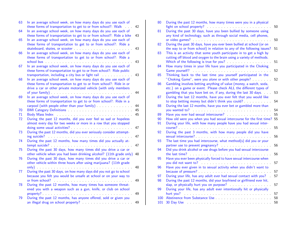| 63 | In an average school week, on how many days do you use each of<br>these forms of transportation to get to or from school?: Walk<br>$\mathbb{R}^2$                                                                                                                                                                                                                      | 42       |
|----|------------------------------------------------------------------------------------------------------------------------------------------------------------------------------------------------------------------------------------------------------------------------------------------------------------------------------------------------------------------------|----------|
| 64 | In an average school week, on how many days do you use each of                                                                                                                                                                                                                                                                                                         |          |
| 65 | these forms of transportation to get to or from school?: Ride a bike<br>In an average school week, on how many days do you use each of<br>these forms of transportation to get to or from school?: Ride a                                                                                                                                                              | 43       |
|    |                                                                                                                                                                                                                                                                                                                                                                        | 43       |
| 66 | In an average school week, on how many days do you use each of<br>these forms of transportation to get to or from school?: Ride a                                                                                                                                                                                                                                      | 43       |
| 67 | In an average school week, on how many days do you use each of<br>these forms of transportation to get to or from school?: Ride public                                                                                                                                                                                                                                 |          |
| 68 | transportation, including a city bus or light rail manufactured and the set of the set of the set of the set of the set of the set of the set of the set of the set of the set of the set of the set of the set of the set of<br>In an average school week, on how many days do you use each of<br>these forms of transportation to get to or from school?: Ride in or | 43       |
|    | drive a car or other private motorized vehicle (with only members                                                                                                                                                                                                                                                                                                      | 44       |
| 69 | In an average school week, on how many days do you use each of<br>these forms of transportation to get to or from school?: Ride in a                                                                                                                                                                                                                                   |          |
| 70 |                                                                                                                                                                                                                                                                                                                                                                        | 44<br>45 |
| 71 |                                                                                                                                                                                                                                                                                                                                                                        | 45       |
| 72 | During the past 12 months, did you ever feel so sad or hopeless                                                                                                                                                                                                                                                                                                        |          |
|    | almost every day for two weeks or more in a row that you stopped                                                                                                                                                                                                                                                                                                       | 47       |
| 73 | doing some usual activities? And all activities and activities of the sound of the state of the state of the state of the state of the state of the state of the state of the state of the state of the state of the state of<br>During the past 12 months, did you ever seriously consider attempt-                                                                   |          |
|    |                                                                                                                                                                                                                                                                                                                                                                        | 47       |
| 74 | During the past 12 months, how many times did you actually at-                                                                                                                                                                                                                                                                                                         | 47       |
| 75 | During the past 30 days, how many times did you drive a car or<br>other vehicle when you had been drinking alcohol? (11th grade only)                                                                                                                                                                                                                                  | 48       |
| 76 | During the past 30 days, how many times did you drive a car or<br>other vehicle within three hours after using marijuana? (11th grade                                                                                                                                                                                                                                  |          |
| 77 | During the past 30 days, on how many days did you not go to school                                                                                                                                                                                                                                                                                                     | 48       |
|    | because you felt you would be unsafe at school or on your way to                                                                                                                                                                                                                                                                                                       | 49       |
| 78 | During the past 12 months, how many times has someone threat-                                                                                                                                                                                                                                                                                                          |          |
|    | ened you with a weapon such as a gun, knife, or club on school                                                                                                                                                                                                                                                                                                         | 49       |
| 79 | During the past 12 months, has anyone offered, sold or given you                                                                                                                                                                                                                                                                                                       |          |
|    |                                                                                                                                                                                                                                                                                                                                                                        | 49       |

| 80         | During the past 12 months, how many times were you in a physical                                                                                                                                                                                |          |
|------------|-------------------------------------------------------------------------------------------------------------------------------------------------------------------------------------------------------------------------------------------------|----------|
| 81         | fight on school property?<br>During the past 30 days, have you been bullied by someone using                                                                                                                                                    | 50       |
|            | any kind of technology, such as through social media, cell phones,                                                                                                                                                                              |          |
|            |                                                                                                                                                                                                                                                 | 50       |
| 82         | During the past 30 days, have you ever been bullied at school (or on                                                                                                                                                                            |          |
|            | the way to or from school) in relation to any of the following issues?                                                                                                                                                                          | 51       |
| 83         | This is an activity that some youth participate in to get a high by                                                                                                                                                                             |          |
|            | cutting off blood and oxygen to the brain using a variety of methods.                                                                                                                                                                           |          |
|            | Which of the following is true for you?                                                                                                                                                                                                         | 51       |
| 84         | How many times in your life have you participated in the Choking                                                                                                                                                                                |          |
|            | Game yourself?                                                                                                                                                                                                                                  | 52       |
| 85         | Thinking back to the last time you yourself participated in the                                                                                                                                                                                 |          |
|            | "Choking Game", were you alone or with other people?                                                                                                                                                                                            | 52       |
| 86         | Gambling involves betting anything of value (money, a watch, soda,                                                                                                                                                                              |          |
|            | etc.) on a game or event. Please check ALL the different types of                                                                                                                                                                               |          |
|            | gambling that you have bet on, if any, during the last 30 days.                                                                                                                                                                                 | 53       |
| 87         | During the last 12 months, have you ever felt that you would like                                                                                                                                                                               |          |
|            | to stop betting money but didn't think you could?                                                                                                                                                                                               | 54       |
| 88         | During the last 12 months, have you ever bet or gambled more than                                                                                                                                                                               |          |
|            |                                                                                                                                                                                                                                                 | 54       |
| 89         | Have you ever had sexual intercourse? Manuscript and the set of the set of the set of the set of the set of the                                                                                                                                 | 55<br>55 |
| 90<br>91   | How old were you when you had sexual intercourse for the first time?<br>During your life, with how many people have you had sexual inter-                                                                                                       |          |
|            |                                                                                                                                                                                                                                                 | 55       |
| 92         | During the past 3 months, with how many people did you have                                                                                                                                                                                     |          |
|            |                                                                                                                                                                                                                                                 | 56       |
| 93         | The last time you had intercourse, what method(s) did you or your                                                                                                                                                                               |          |
|            |                                                                                                                                                                                                                                                 | 56       |
| 94         | Did you drink alcohol or use drugs before you had sexual intercourse                                                                                                                                                                            |          |
|            | the last time?<br>and a construction of the construction of the construction of the construction of the construction of the construction of the construction of the construction of the construction of the construction of the construction of | 56       |
| 95         | Have you ever been physically forced to have sexual intercourse when                                                                                                                                                                            |          |
|            |                                                                                                                                                                                                                                                 | 57       |
| 96         | Have you ever given in to sexual activity when you didn't want to                                                                                                                                                                               |          |
|            |                                                                                                                                                                                                                                                 | 57       |
| 97         | During your life, has any adult ever had sexual contact with you?                                                                                                                                                                               | 57       |
| 98         | During the past 12 months, did your boyfriend or girlfriend ever hit,                                                                                                                                                                           |          |
|            |                                                                                                                                                                                                                                                 | 57       |
| 99         | During your life, has any adult ever intentionally hit or physically                                                                                                                                                                            |          |
|            | hurt you?                                                                                                                                                                                                                                       | 57       |
| 100<br>101 |                                                                                                                                                                                                                                                 | 58<br>58 |
|            |                                                                                                                                                                                                                                                 |          |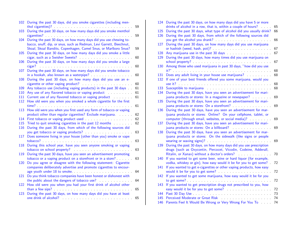| During the past 30 days, did you smoke cigarettes (including men-                                                                        | 59                                                                                                                                                                                                                                                                                                                                                                                                                                                                                                                                                                                                                                                                                                                                                                                                                                                                                                                                                                                                                                                                                                                                                                                                                                                           |                                                                                                                                                                                                                                                                                          |
|------------------------------------------------------------------------------------------------------------------------------------------|--------------------------------------------------------------------------------------------------------------------------------------------------------------------------------------------------------------------------------------------------------------------------------------------------------------------------------------------------------------------------------------------------------------------------------------------------------------------------------------------------------------------------------------------------------------------------------------------------------------------------------------------------------------------------------------------------------------------------------------------------------------------------------------------------------------------------------------------------------------------------------------------------------------------------------------------------------------------------------------------------------------------------------------------------------------------------------------------------------------------------------------------------------------------------------------------------------------------------------------------------------------|------------------------------------------------------------------------------------------------------------------------------------------------------------------------------------------------------------------------------------------------------------------------------------------|
|                                                                                                                                          | 59                                                                                                                                                                                                                                                                                                                                                                                                                                                                                                                                                                                                                                                                                                                                                                                                                                                                                                                                                                                                                                                                                                                                                                                                                                                           |                                                                                                                                                                                                                                                                                          |
| During the past 30 days, on how many days did you use chewing to-<br>bacco, snuff, dip, or snus, such as Redman, Levi Garrett, Beechnut, |                                                                                                                                                                                                                                                                                                                                                                                                                                                                                                                                                                                                                                                                                                                                                                                                                                                                                                                                                                                                                                                                                                                                                                                                                                                              |                                                                                                                                                                                                                                                                                          |
| Skoal, Skoal Bandits, Copenhagen, Camel Snus, or Marlboro Snus?                                                                          | 59                                                                                                                                                                                                                                                                                                                                                                                                                                                                                                                                                                                                                                                                                                                                                                                                                                                                                                                                                                                                                                                                                                                                                                                                                                                           |                                                                                                                                                                                                                                                                                          |
| cigar, such as a Swisher Sweets?                                                                                                         | 60                                                                                                                                                                                                                                                                                                                                                                                                                                                                                                                                                                                                                                                                                                                                                                                                                                                                                                                                                                                                                                                                                                                                                                                                                                                           |                                                                                                                                                                                                                                                                                          |
|                                                                                                                                          | 60                                                                                                                                                                                                                                                                                                                                                                                                                                                                                                                                                                                                                                                                                                                                                                                                                                                                                                                                                                                                                                                                                                                                                                                                                                                           |                                                                                                                                                                                                                                                                                          |
|                                                                                                                                          | 60                                                                                                                                                                                                                                                                                                                                                                                                                                                                                                                                                                                                                                                                                                                                                                                                                                                                                                                                                                                                                                                                                                                                                                                                                                                           |                                                                                                                                                                                                                                                                                          |
|                                                                                                                                          | 60                                                                                                                                                                                                                                                                                                                                                                                                                                                                                                                                                                                                                                                                                                                                                                                                                                                                                                                                                                                                                                                                                                                                                                                                                                                           |                                                                                                                                                                                                                                                                                          |
|                                                                                                                                          | 61                                                                                                                                                                                                                                                                                                                                                                                                                                                                                                                                                                                                                                                                                                                                                                                                                                                                                                                                                                                                                                                                                                                                                                                                                                                           |                                                                                                                                                                                                                                                                                          |
|                                                                                                                                          |                                                                                                                                                                                                                                                                                                                                                                                                                                                                                                                                                                                                                                                                                                                                                                                                                                                                                                                                                                                                                                                                                                                                                                                                                                                              |                                                                                                                                                                                                                                                                                          |
|                                                                                                                                          |                                                                                                                                                                                                                                                                                                                                                                                                                                                                                                                                                                                                                                                                                                                                                                                                                                                                                                                                                                                                                                                                                                                                                                                                                                                              |                                                                                                                                                                                                                                                                                          |
|                                                                                                                                          | 61                                                                                                                                                                                                                                                                                                                                                                                                                                                                                                                                                                                                                                                                                                                                                                                                                                                                                                                                                                                                                                                                                                                                                                                                                                                           |                                                                                                                                                                                                                                                                                          |
| How old were you when you first used any form of tobacco or vaping                                                                       | 62                                                                                                                                                                                                                                                                                                                                                                                                                                                                                                                                                                                                                                                                                                                                                                                                                                                                                                                                                                                                                                                                                                                                                                                                                                                           |                                                                                                                                                                                                                                                                                          |
|                                                                                                                                          | 62                                                                                                                                                                                                                                                                                                                                                                                                                                                                                                                                                                                                                                                                                                                                                                                                                                                                                                                                                                                                                                                                                                                                                                                                                                                           |                                                                                                                                                                                                                                                                                          |
|                                                                                                                                          | 62                                                                                                                                                                                                                                                                                                                                                                                                                                                                                                                                                                                                                                                                                                                                                                                                                                                                                                                                                                                                                                                                                                                                                                                                                                                           |                                                                                                                                                                                                                                                                                          |
| During the past 30 days, from which of the following sources did                                                                         |                                                                                                                                                                                                                                                                                                                                                                                                                                                                                                                                                                                                                                                                                                                                                                                                                                                                                                                                                                                                                                                                                                                                                                                                                                                              |                                                                                                                                                                                                                                                                                          |
| Does someone living in your house (other than you) smoke or vape                                                                         |                                                                                                                                                                                                                                                                                                                                                                                                                                                                                                                                                                                                                                                                                                                                                                                                                                                                                                                                                                                                                                                                                                                                                                                                                                                              |                                                                                                                                                                                                                                                                                          |
| During this school year, have you seen anyone smoking or vaping                                                                          |                                                                                                                                                                                                                                                                                                                                                                                                                                                                                                                                                                                                                                                                                                                                                                                                                                                                                                                                                                                                                                                                                                                                                                                                                                                              |                                                                                                                                                                                                                                                                                          |
|                                                                                                                                          |                                                                                                                                                                                                                                                                                                                                                                                                                                                                                                                                                                                                                                                                                                                                                                                                                                                                                                                                                                                                                                                                                                                                                                                                                                                              |                                                                                                                                                                                                                                                                                          |
|                                                                                                                                          | 63                                                                                                                                                                                                                                                                                                                                                                                                                                                                                                                                                                                                                                                                                                                                                                                                                                                                                                                                                                                                                                                                                                                                                                                                                                                           |                                                                                                                                                                                                                                                                                          |
| companies deliberately advertise and promote cigarettes to encour-                                                                       |                                                                                                                                                                                                                                                                                                                                                                                                                                                                                                                                                                                                                                                                                                                                                                                                                                                                                                                                                                                                                                                                                                                                                                                                                                                              |                                                                                                                                                                                                                                                                                          |
|                                                                                                                                          |                                                                                                                                                                                                                                                                                                                                                                                                                                                                                                                                                                                                                                                                                                                                                                                                                                                                                                                                                                                                                                                                                                                                                                                                                                                              |                                                                                                                                                                                                                                                                                          |
|                                                                                                                                          | 64                                                                                                                                                                                                                                                                                                                                                                                                                                                                                                                                                                                                                                                                                                                                                                                                                                                                                                                                                                                                                                                                                                                                                                                                                                                           |                                                                                                                                                                                                                                                                                          |
| than a few sips?                                                                                                                         | 65                                                                                                                                                                                                                                                                                                                                                                                                                                                                                                                                                                                                                                                                                                                                                                                                                                                                                                                                                                                                                                                                                                                                                                                                                                                           |                                                                                                                                                                                                                                                                                          |
|                                                                                                                                          | 65                                                                                                                                                                                                                                                                                                                                                                                                                                                                                                                                                                                                                                                                                                                                                                                                                                                                                                                                                                                                                                                                                                                                                                                                                                                           |                                                                                                                                                                                                                                                                                          |
|                                                                                                                                          | During the past 30 days, on how many days did you smoke menthol<br>During the past 30 days, on how many days did you smoke a little<br>During the past 30 days, on how many days did you smoke a large<br>During the past 30 days, on how many days did you smoke tobacco<br>During the past 30 days, on how many days did you use an e-<br>Any use of any flavored tobacco or vaping product<br>Current use of any flavored tobacco or vaping product<br>How old were you when you smoked a whole cigarette for the first<br>First tobacco or vaping product used<br>First tobacco or vaping product used<br>tobacco?<br>During the past 30 days, have you seen an advertisement promoting<br>Do you agree or disagree with the following statement: Cigarette<br>Do you think tobacco companies have been honest or dishonest with<br>the public about the dangers of tobacco use?<br>How old were you when you had your first drink of alcohol other<br>During the past 30 days, on how many days did you have at least<br>one drink of alcohol? The contract of the contract of the contract of the contract of the contract of the contract of the contract of the contract of the contract of the contract of the contract of the contract of the cont | Any tobacco use (including vaping products) in the past 30 days<br>61<br>61<br>product other than regular cigarettes? Exclude marijuana.<br>Tried to quit smoking cigarettes in the past 12 months<br>63<br>63<br>63<br>tobacco or a vaping product on a storefront or in a store?<br>64 |

| 124 | During the past 30 days, on how many days did you have 5 or more<br>drinks of alcohol in a row, that is, within a couple of hours?<br>$\mathbf{L}$ and $\mathbf{L}$ | 65 |
|-----|---------------------------------------------------------------------------------------------------------------------------------------------------------------------|----|
| 125 | During the past 30 days, what type of alcohol did you usually drink?                                                                                                | 66 |
| 126 | During the past 30 days, from which of the following sources did                                                                                                    |    |
|     |                                                                                                                                                                     | 66 |
| 127 | During the past 30 days, on how many days did you use marijuana                                                                                                     |    |
|     |                                                                                                                                                                     | 67 |
| 128 | Any marijuana use in the past 30 days and a series are all the manufactured and any mar-                                                                            | 67 |
| 129 | During the past 30 days, how many times did you use marijuana on                                                                                                    |    |
|     |                                                                                                                                                                     | 67 |
| 130 | Among those who used marijuana in past 30 days, "how did you use                                                                                                    |    |
|     |                                                                                                                                                                     | 68 |
| 131 | Does any adult living in your house use marijuana?                                                                                                                  | 68 |
| 132 | If one of your best friends offered you some marijuana, would you                                                                                                   |    |
|     |                                                                                                                                                                     | 68 |
| 133 | Susceptible to marijuana enter the substitution of the substitution of the substitution of the substitution of                                                      | 68 |
| 134 | During the past 30 days, have you seen an advertisement for mari-                                                                                                   |    |
|     | juana products or stores: In a magazine or newspaper?                                                                                                               | 69 |
| 135 | During the past 30 days, have you seen an advertisement for mari-                                                                                                   |    |
|     | juana products or stores: On a storefront?                                                                                                                          | 69 |
| 136 | During the past 30 days, have you seen an advertisement for mar-                                                                                                    |    |
|     | ijuana products or stores: Online? On your cellphone, tablet, or                                                                                                    |    |
|     | computer (through email, websites, or social media)?                                                                                                                | 69 |
| 137 | During the past 30 days, have you seen an advertisement for mari-                                                                                                   |    |
|     | juana products or stores: On a billboard?                                                                                                                           | 69 |
| 138 | During the past 30 days, have you seen an advertisement for mar-                                                                                                    |    |
|     | ijuana products or stores: On the sidewalk (like signs or people                                                                                                    |    |
|     |                                                                                                                                                                     | 69 |
| 139 | During the past 30 days, on how many days did you use prescription                                                                                                  |    |
|     | drugs (such as Oxycontin, Percocet, Vicodin, Codeine, Adderall,                                                                                                     |    |
|     | Ritalin, or Xanax) without a doctor's orders?                                                                                                                       | 70 |
| 140 | If you wanted to get some beer, wine or hard liquor (for example,                                                                                                   |    |
|     | vodka, whiskey or gin), how easy would it be for you to get some?                                                                                                   | 72 |
| 141 | If you wanted to get e-cigarettes or other vaping products, how easy                                                                                                |    |
|     |                                                                                                                                                                     | 72 |
| 142 | If you wanted to get some marijuana, how easy would it be for you                                                                                                   |    |
|     |                                                                                                                                                                     | 72 |
| 143 | If you wanted to get prescription drugs not prescribed to you, how                                                                                                  |    |
|     | easy would it be for you to get some? All and the second section of the second section of the second section of                                                     | 72 |
| 144 |                                                                                                                                                                     | 73 |
| 145 | Perceived Moderate or Great Risk<br>.                                                                                                                               | 74 |
| 146 | Parents Feel It Would Be Wrong or Very Wrong For You To                                                                                                             | 74 |
|     |                                                                                                                                                                     |    |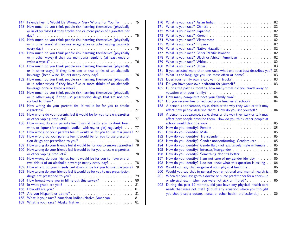| 147 | Friends Feel It Would Be Wrong or Very Wrong For You To                 | 75 |
|-----|-------------------------------------------------------------------------|----|
| 148 | How much do you think people risk harming themselves (physically        |    |
|     | or in other ways) if they smoke one or more packs of cigarettes per     |    |
|     | day?                                                                    | 75 |
| 149 | How much do you think people risk harming themselves (physically        |    |
|     | or in other ways) if they use e-cigarettes or other vaping products     |    |
|     |                                                                         | 75 |
| 150 | How much do you think people risk harming themselves (physically        |    |
|     | or in other ways) if they use marijuana regularly (at least once or     |    |
|     |                                                                         | 76 |
| 151 | How much do you think people risk harming themselves (physically        |    |
|     | or in other ways) if they take one or two drinks of an alcoholic        |    |
|     |                                                                         | 76 |
| 152 |                                                                         |    |
|     | How much do you think people risk harming themselves (physically        |    |
|     | or in other ways) if they have five or more drinks of an alcoholic      |    |
|     |                                                                         | 76 |
| 153 | How much do you think people risk harming themselves (physically        |    |
|     | or in other ways) if they use prescription drugs that are not pre-      |    |
|     |                                                                         | 76 |
| 154 | How wrong do your parents feel it would be for you to smoke             |    |
|     |                                                                         | 77 |
| 155 | How wrong do your parents feel it would be for you to e e-cigarettes    |    |
|     |                                                                         | 77 |
| 156 | How wrong do your parents feel it would be for you to drink beer,       |    |
|     | wine, or liquor (for example, vodka, whiskey, or gin) regularly?        | 77 |
| 157 | How wrong do your parents feel it would be for you to use marijuana?    | 77 |
| 158 | How wrong do your parents feel it would be for you to use prescrip-     |    |
|     |                                                                         | 78 |
| 159 | How wrong do your friends feel it would be for you to smoke cigarettes? | 78 |
| 160 | How wrong do your friends feel it would be for you to use e-cigarettes  |    |
|     |                                                                         | 78 |
| 161 | How wrong do your friends feel it would be for you to have one or       |    |
|     | two drinks of an alcoholic beverage nearly every day?                   | 78 |
| 162 | How wrong do your friends feel it would be for you to use marijuana?    | 79 |
| 163 | How wrong do your friends feel it would be for you to use prescription  |    |
|     |                                                                         | 79 |
| 164 |                                                                         | 80 |
| 165 |                                                                         | 81 |
| 166 |                                                                         | 81 |
| 167 |                                                                         | 81 |
| 168 | What is your race? American Indian/Native American                      | 81 |
| 169 | What is your race? Alaska Native                                        | 81 |
|     |                                                                         |    |

| 170 |                                                                                                                                                                                                                                | 82 |
|-----|--------------------------------------------------------------------------------------------------------------------------------------------------------------------------------------------------------------------------------|----|
| 171 |                                                                                                                                                                                                                                | 82 |
| 172 |                                                                                                                                                                                                                                | 82 |
| 173 |                                                                                                                                                                                                                                | 82 |
| 174 |                                                                                                                                                                                                                                | 82 |
| 175 |                                                                                                                                                                                                                                | 82 |
| 176 |                                                                                                                                                                                                                                | 82 |
| 177 | What is your race? Other Pacific Islander                                                                                                                                                                                      | 82 |
| 178 |                                                                                                                                                                                                                                | 82 |
| 179 |                                                                                                                                                                                                                                | 82 |
| 180 | What is your race? Other <b>Container What is your race?</b> Other                                                                                                                                                             | 83 |
| 181 | If you selected more than one race, what one race best describes you? 83                                                                                                                                                       |    |
| 182 | What is the language you use most often at home?                                                                                                                                                                               | 83 |
| 183 | Does your family own a car, van, or truck?                                                                                                                                                                                     | 83 |
| 184 | Do you have your own bedroom for yourself? Marketted: All Allen was also been allen                                                                                                                                            | 83 |
| 185 | During the past 12 months, how many times did you travel away on                                                                                                                                                               |    |
|     | vacation with your family? Manual Allen Contains a series of the series of the series of the series of the series of the series of the series of the series of the series of the series of the series of the series of the ser | 84 |
| 186 |                                                                                                                                                                                                                                | 84 |
| 187 | Do you receive free or reduced price lunches at school?                                                                                                                                                                        | 84 |
| 188 | A person's appearance, style, dress or the way they walk or talk may                                                                                                                                                           |    |
|     | affect how people describe them. How do you see yourself?                                                                                                                                                                      | 84 |
| 189 | A person's appearance, style, dress or the way they walk or talk may                                                                                                                                                           |    |
|     | affect how people describe them. How do you think other people at                                                                                                                                                              |    |
|     | school would describe you? Manual Allen School would describe you?                                                                                                                                                             | 85 |
| 190 |                                                                                                                                                                                                                                | 85 |
| 191 |                                                                                                                                                                                                                                | 85 |
| 192 |                                                                                                                                                                                                                                | 85 |
| 193 | How do you identify? Gender nonconforming, Genderqueer                                                                                                                                                                         | 85 |
| 194 | How do you identify? Genderfluid/not exclusively male or female                                                                                                                                                                | 85 |
| 195 | How do you identify? Intersex/Intergender                                                                                                                                                                                      | 85 |
| 196 | How do you identify? Something else fits better                                                                                                                                                                                | 85 |
| 197 | How do you identify? I am not sure of my gender identity                                                                                                                                                                       | 86 |
| 198 | How do you identify? I do not know what this question is asking.                                                                                                                                                               | 86 |
| 199 | Would you say that in general your physical health is                                                                                                                                                                          | 86 |
| 200 | Would you say that in general your emotional and mental health is                                                                                                                                                              | 86 |
| 201 | When did you last go to a doctor or nurse practitioner for a check-up                                                                                                                                                          |    |
|     | or physical exam when you were not sick or injured?                                                                                                                                                                            | 86 |
| 202 | During the past 12 months, did you have any physical health care                                                                                                                                                               |    |
|     | needs that were not met? (Count any situation where you thought                                                                                                                                                                |    |
|     | you should see a doctor, nurse, or other health professional.)                                                                                                                                                                 | 86 |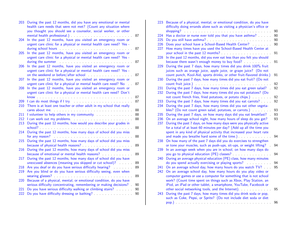| 203        | During the past 12 months, did you have any emotional or mental<br>health care needs that were not met? (Count any situation where<br>you thought you should see a counselor, social worker, or other                                                                                                                                                                 |          |
|------------|-----------------------------------------------------------------------------------------------------------------------------------------------------------------------------------------------------------------------------------------------------------------------------------------------------------------------------------------------------------------------|----------|
| 204        | mental health professional.) expansion and the set of the set of the set of the set of the set of the set of the set of the set of the set of the set of the set of the set of the set of the set of the set of the set of the<br>In the past 12 months, have you visited an emergency room or<br>urgent care clinic for a physical or mental health care need? Yes - | 87       |
|            | during school hours and the set of the set of the set of the set of the set of the set of the set of the set of the set of the set of the set of the set of the set of the set of the set of the set of the set of the set of                                                                                                                                         | 87       |
| 205        | In the past 12 months, have you visited an emergency room or<br>urgent care clinic for a physical or mental health care need? Yes -<br>during the summer and all the state of the state of the state of the state of the state of the state of the state of the state of the state of the state of the state of the state of the state of the state of the state of t | 87       |
| 206        | In the past 12 months, have you visited an emergency room or<br>urgent care clinic for a physical or mental health care need? Yes -                                                                                                                                                                                                                                   | 87       |
| 207        | In the past 12 months, have you visited an emergency room or<br>urgent care clinic for a physical or mental health care need? No                                                                                                                                                                                                                                      | 87       |
| 208        | In the past 12 months, have you visited an emergency room or<br>urgent care clinic for a physical or mental health care need? Don't                                                                                                                                                                                                                                   |          |
| 209        | I can do most things if I try.                                                                                                                                                                                                                                                                                                                                        | 87<br>87 |
| 210        | There is at least one teacher or other adult in my school that really                                                                                                                                                                                                                                                                                                 | 88       |
| 211        |                                                                                                                                                                                                                                                                                                                                                                       | 88       |
| 212        | I can work out my problems.                                                                                                                                                                                                                                                                                                                                           | 88       |
| 213        | During the past 12 months, how would you describe your grades in                                                                                                                                                                                                                                                                                                      | 88       |
| 214        | During the past 12 months, how many days of school did you miss                                                                                                                                                                                                                                                                                                       | 88       |
| 215        | During the past 12 months, how many days of school did you miss                                                                                                                                                                                                                                                                                                       | 89       |
| 216        | During the past 12 months, how many days of school did you miss<br>because of emotional or mental health reasons?                                                                                                                                                                                                                                                     | 89       |
| 217        | During the past 12 months, how many days of school did you have<br>unexcused absences (meaning you skipped or cut school)?                                                                                                                                                                                                                                            | 89       |
| 218        | Are you deaf or do you have serious difficulty hearing?                                                                                                                                                                                                                                                                                                               | 89       |
| 219        | Are you blind or do you have serious difficulty seeing, even when                                                                                                                                                                                                                                                                                                     | 89       |
| 220        | Because of a physical, mental, or emotional condition, do you have<br>serious difficulty concentrating, remembering or making decisions?                                                                                                                                                                                                                              | 90       |
| 221<br>222 | Do you have serious difficulty walking or climbing stairs?<br>Do you have difficulty dressing or bathing?                                                                                                                                                                                                                                                             | 90<br>90 |

| 223 | Because of a physical, mental, or emotional condition, do you have<br>difficulty doing errands alone such as visiting a physician's office or                                                                                      |    |
|-----|------------------------------------------------------------------------------------------------------------------------------------------------------------------------------------------------------------------------------------|----|
|     |                                                                                                                                                                                                                                    | 90 |
| 224 | Has a doctor or nurse ever told you that you have asthma?                                                                                                                                                                          | 90 |
| 225 |                                                                                                                                                                                                                                    | 90 |
| 226 | Does your school have a School-Based Health Center?                                                                                                                                                                                | 90 |
| 227 | How many times have you used the School-Based Health Center at                                                                                                                                                                     |    |
|     |                                                                                                                                                                                                                                    | 91 |
| 228 | In the past 12 months, did you ever eat less than you felt you should                                                                                                                                                              |    |
|     | because there wasn't enough money to buy food?                                                                                                                                                                                     | 91 |
| 229 | During the past 7 days, how many times did you drink 100% fruit                                                                                                                                                                    |    |
|     | juices such as orange juice, apple juice, or grape juice? (Do not                                                                                                                                                                  |    |
|     | count punch, Kool-Aid, sports drinks, or other fruit-flavored drinks.)                                                                                                                                                             | 91 |
| 230 | During the past 7 days, how many times did you eat fruit? (Do not                                                                                                                                                                  |    |
|     | count fruit juice.) <b>COMPANY COUNTER AND THE SERVICE SERVICE SERVICE SERVICE SERVICE SERVICE SERVICE SERVICE SERVICE SERVICE SERVICE SERVICE SERVICE SERVICE SERVICE SERVICE SERVICE SERVICE SERVICE SERVICE SERVICE SERVICE</b> | 92 |
| 231 | During the past 7 days, how many times did you eat green salad?                                                                                                                                                                    | 92 |
| 232 | During the past 7 days, how many times did you eat potatoes? (Do                                                                                                                                                                   |    |
|     | not count french fries, fried potatoes, or potato chips.)                                                                                                                                                                          | 92 |
| 233 | During the past 7 days, how many times did you eat carrots?                                                                                                                                                                        | 92 |
| 234 | During the past 7 days, how many times did you eat other vegeta-                                                                                                                                                                   |    |
|     | bles? (Do not count green salad, potatoes, or carrots.)                                                                                                                                                                            | 93 |
| 235 | During the past 7 days, on how many days did you eat breakfast?                                                                                                                                                                    | 93 |
| 236 | On an average school night, how many hours of sleep do you get?                                                                                                                                                                    | 93 |
| 237 | During the past 7 days, on how many days were you physically active                                                                                                                                                                |    |
|     | for a total of at least 60 minutes per day? (Add up all the time you                                                                                                                                                               |    |
|     | spent in any kind of physical activity that increased your heart rate                                                                                                                                                              |    |
|     |                                                                                                                                                                                                                                    | 94 |
| 238 | On how many of the past 7 days did you do exercises to strengthen                                                                                                                                                                  |    |
|     | or tone your muscles, such as push-ups, sit-ups, or weight lifting?                                                                                                                                                                | 94 |
| 239 | In an average week when you are in school, on how many days do                                                                                                                                                                     |    |
|     | you go to physical education (PE) classes?                                                                                                                                                                                         | 94 |
| 240 | During an average physical education (PE) class, how many minutes                                                                                                                                                                  |    |
|     | do you spend actually exercising or playing sports?<br>and a straight and                                                                                                                                                          | 94 |
| 241 | On an average school day, how many hours do you watch TV?                                                                                                                                                                          | 95 |
| 242 | On an average school day, how many hours do you play video or                                                                                                                                                                      |    |
|     | computer games or use a computer for something that is not school                                                                                                                                                                  |    |
|     | work? (Count time spent on things such as Xbox, Play Station, an                                                                                                                                                                   |    |
|     | iPod, an iPad or other tablet, a smartphone, YouTube, Facebook or                                                                                                                                                                  |    |
|     | other social networking tools, and the Internet).                                                                                                                                                                                  | 95 |
| 243 | During the past 7 days, how many times did you drink soda or pop,                                                                                                                                                                  |    |
|     | such as Coke, Pepsi, or Sprite? (Do not include diet soda or diet                                                                                                                                                                  |    |
|     | $\sim$<br>$\mathcal{L}$ . $\mathcal{L}$<br>o.                                                                                                                                                                                      | 96 |
|     |                                                                                                                                                                                                                                    |    |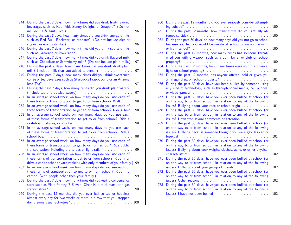| 244 | During the past 7 days, how many times did you drink fruit-flavored<br>beverages such as Kool-Aid, Sunny Delight, or Snapple? (Do not                                                                                                                                                                                                                                  | 96       |
|-----|------------------------------------------------------------------------------------------------------------------------------------------------------------------------------------------------------------------------------------------------------------------------------------------------------------------------------------------------------------------------|----------|
| 245 | During the past 7 days, how many times did you drink energy drinks<br>such as Red Bull, Rockstar, or Monster? (Do not include diet or                                                                                                                                                                                                                                  |          |
| 246 | During the past 7 days, how many times did you drink sports drinks<br>such as Gatorade or Powerade?<br>$\mathcal{L}^{\mathcal{L}}$ , $\mathcal{L}^{\mathcal{L}}$ , $\mathcal{L}^{\mathcal{L}}$                                                                                                                                                                         | 96<br>96 |
| 247 | During the past 7 days, how many times did you drink flavored milk<br>such as Chocolate or Strawberry milk? (Do not include plain milk.).                                                                                                                                                                                                                              | 97       |
| 248 | During the past 7 days, how many times did you drink drink plain                                                                                                                                                                                                                                                                                                       | 97       |
| 249 | During the past 7 days, how many times did you drink sweetened<br>coffee or tea beverages such as Starbucks Frappuccino or an Arizona<br>Iced Tea?<br>.                                                                                                                                                                                                                | 97       |
| 250 | During the past 7 days, how many times did you drink plain water?<br>(Include tap and bottled water.) And all results are also had the set of the set of the set of the set of the                                                                                                                                                                                     | 97       |
| 251 | In an average school week, on how many days do you use each of                                                                                                                                                                                                                                                                                                         | 98       |
| 252 | these forms of transportation to get to or from school? Walk<br>In an average school week, on how many days do you use each of<br>these forms of transportation to get to or from school? Ride a bike                                                                                                                                                                  | 98       |
| 253 | In an average school week, on how many days do you use each<br>of these forms of transportation to get to or from school? Ride a<br>skateboard, skates, or scooter.                                                                                                                                                                                                    | 98       |
| 254 | $\mathcal{A}$ . The set of the set of the set of the set of the set of the set of the set of the set of the set of the set of the set of the set of the set of the set of the set of the set of the set of the set of the set of t<br>In an average school week, on how many days do you use each<br>of these forms of transportation to get to or from school? Ride a |          |
| 255 | In an average school week, on how many days do you use each of<br>these forms of transportation to get to or from school? Ride public                                                                                                                                                                                                                                  | 98       |
| 256 | transportation, including a city bus or light rail.<br>In an average school week, on how many days do you use each of<br>these forms of transportation to get to or from school? Ride in or                                                                                                                                                                            | 99       |
| 257 | drive a car or other private vehicle (with only members of your family.)<br>In an average school week, on how many days do you use each of                                                                                                                                                                                                                             | 99       |
|     | these forms of transportation to get to or from school? Ride in a                                                                                                                                                                                                                                                                                                      | 99       |
| 258 | During the past 7 days, how many times did you visit a convenience<br>store such as Plaid Pantry, 7-Eleven, Circle K, a mini-mart, or a gas                                                                                                                                                                                                                            |          |
| 259 | station store?<br>.<br>$\mathcal{L}^{\mathcal{A}}$ , and $\mathcal{L}^{\mathcal{A}}$ , and<br>During the past 12 months, did you ever feel so sad or hopeless                                                                                                                                                                                                          | 99       |
|     | almost every day for two weeks or more in a row that you stopped                                                                                                                                                                                                                                                                                                       |          |

| 260 | During the past 12 months, did you ever seriously consider attempt-<br>$ing \, surface?$ 100                                                                                                                         |     |
|-----|----------------------------------------------------------------------------------------------------------------------------------------------------------------------------------------------------------------------|-----|
| 261 | During the past 12 months, how many times did you actually at-                                                                                                                                                       |     |
| 262 | During the past 30 days, on how many days did you not go to school<br>because you felt you would be unsafe at school or on your way to                                                                               |     |
| 263 | During the past 12 months, how many times has someone threat-<br>ened you with a weapon such as a gun, knife, or club on school                                                                                      | 100 |
| 264 | During the past 12 months, how many times were you in a physical                                                                                                                                                     |     |
| 265 | During the past 12 months, has anyone offered, sold or given you                                                                                                                                                     |     |
| 266 | During the past 30 days, have you been bullied by someone using<br>any kind of technology, such as through social media, cell phones,                                                                                |     |
| 267 | During the past 30 days, have you ever been bullied at school (or<br>on the way to or from school) in relation to any of the following                                                                               |     |
| 268 | During the past 30 days, have you ever been bullied at school (or                                                                                                                                                    |     |
| 269 | on the way to or from school) in relation to any of the following<br>issues? Unwanted sexual comments or attention 101<br>During the past 30 days, have you ever been bullied at school (or                          |     |
|     | on the way to or from school) in relation to any of the following<br>issues? Bullying because someone thought you were gay, lesbian or                                                                               |     |
| 270 | bisexual<br>. 101<br>and a straight and a<br>$\mathbf{L}$ and $\mathbf{L}$<br>During the past 30 days, have you ever been bullied at school (or<br>on the way to or from school) in relation to any of the following |     |
|     | issues? Bullying about your weight, clothes, acne, or other physical                                                                                                                                                 |     |
| 271 | During the past 30 days, have you ever been bullied at school (or<br>on the way to or from school) in relation to any of the following                                                                               |     |
| 272 | issues? Bullying about your group of friends 102<br>During the past 30 days, have you ever been bullied at school (or<br>on the way to or from school) in relation to any of the following                           |     |
| 273 | issues? Other reasons .<br>. 102<br>and a string<br>During the past 30 days, have you ever been bullied at school (or                                                                                                |     |
|     | on the way to or from school) in relation to any of the following                                                                                                                                                    |     |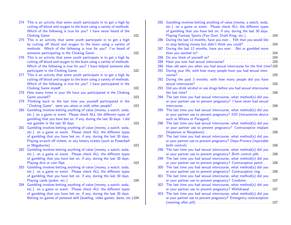|     | 274 This is an activity that some youth participate in to get a high by<br>cutting off blood and oxygen to the brain using a variety of methods. |  |
|-----|--------------------------------------------------------------------------------------------------------------------------------------------------|--|
|     | Which of the following is true for you? I have never heard of the                                                                                |  |
| 275 | This is an activity that some youth participate in to get a high                                                                                 |  |
|     | by cutting off blood and oxygen to the brain using a variety of                                                                                  |  |
|     | methods. Which of the following is true for you? I've heard of                                                                                   |  |
|     | someone participating in the Choking Game 102                                                                                                    |  |
| 276 | This is an activity that some youth participate in to get a high by                                                                              |  |
|     | cutting off blood and oxygen to the brain using a variety of methods.                                                                            |  |
|     | Which of the following is true for you? I have helped someone else                                                                               |  |
|     |                                                                                                                                                  |  |
| 277 | This is an activity that some youth participate in to get a high by                                                                              |  |
|     | cutting off blood and oxygen to the brain using a variety of methods.<br>Which of the following is true for you? I have participated in the      |  |
|     |                                                                                                                                                  |  |
| 278 | How many times in your life have you participated in the Choking                                                                                 |  |
|     |                                                                                                                                                  |  |
| 279 | Thinking back to the last time you yourself participated in the                                                                                  |  |
|     | "Choking Game", were you alone or with other people? 103                                                                                         |  |
| 280 | Gambling involves betting anything of value (money, a watch, soda,                                                                               |  |
|     | etc.) on a game or event. Please check ALL the different types of                                                                                |  |
|     | gambling that you have bet on, if any, during the last 30 days. I did                                                                            |  |
| 281 | Gambling involves betting anything of value (money, a watch, soda,                                                                               |  |
|     | etc.) on a game or event. Please check ALL the different types                                                                                   |  |
|     | of gambling that you have bet on, if any, during the last 30 days.                                                                               |  |
|     | Playing scratch off tickets, or any lottery tickets (such as Powerball                                                                           |  |
|     |                                                                                                                                                  |  |
| 282 | Gambling involves betting anything of value (money, a watch, soda,                                                                               |  |
|     | etc.) on a game or event. Please check ALL the different types<br>of gambling that you have bet on, if any, during the last 30 days.             |  |
|     | Playing dice or coin flips                                                                                                                       |  |
| 283 | Gambling involves betting anything of value (money, a watch, soda,                                                                               |  |
|     | etc.) on a game or event. Please check ALL the different types                                                                                   |  |
|     | of gambling that you have bet on, if any, during the last 30 days.                                                                               |  |
|     | Playing cards (poker, etc.)                                                                                                                      |  |
| 284 | Gambling involves betting anything of value (money, a watch, soda,                                                                               |  |
|     | etc.) on a game or event. Please check ALL the different types                                                                                   |  |
|     | of gambling that you have bet on, if any, during the last 30 days.                                                                               |  |
|     | Betting on games of personal skill (bowling, video games, dares, etc.)104                                                                        |  |

| 285 | Gambling involves betting anything of value (money, a watch, soda,                                                                                                                                                               |
|-----|----------------------------------------------------------------------------------------------------------------------------------------------------------------------------------------------------------------------------------|
|     | etc.) on a game or event. Please check ALL the different types                                                                                                                                                                   |
|     | of gambling that you have bet on, if any, during the last 30 days.                                                                                                                                                               |
|     | Playing Fantasy Sports (Fan Duel, Draft King, etc.) 104                                                                                                                                                                          |
| 286 | During the last 12 months, have you ever Felt that you would like                                                                                                                                                                |
|     | to stop betting money but didn't think you could? 104                                                                                                                                                                            |
| 287 | During the last 12 months, have you ever Bet or gambled more                                                                                                                                                                     |
|     |                                                                                                                                                                                                                                  |
| 288 | Do you think of yourself as?<br>The set of the set of the set of the set of the set of the set of the set of the set of the set of the set of the set of the set of the set of the set of the set of the set of the set of the s |
| 289 | Have you ever had sexual intercourse? Manuscript Allen Marshall 105                                                                                                                                                              |
| 290 | How old were you when you had sexual intercourse for the first time?105                                                                                                                                                          |
| 291 | During your life, with how many people have you had sexual inter-                                                                                                                                                                |
| 292 | During the past 3 months, with how many people did you have                                                                                                                                                                      |
|     |                                                                                                                                                                                                                                  |
| 293 | Did you drink alcohol or use drugs before you had sexual intercourse                                                                                                                                                             |
|     | the last time? $\ldots$ , $\ldots$ , $\ldots$ , $\ldots$ , $\ldots$ , $\ldots$ , $\ldots$ , $\ldots$ , $\ldots$ , $\ldots$                                                                                                       |
| 294 | The last time you had sexual intercourse, what method(s) did you                                                                                                                                                                 |
|     | or your partner use to prevent pregnancy? I have never had sexual                                                                                                                                                                |
|     |                                                                                                                                                                                                                                  |
| 295 | The last time you had sexual intercourse, what method(s) did you                                                                                                                                                                 |
|     | or your partner use to prevent pregnancy? IUD (intrauterine device                                                                                                                                                               |
|     |                                                                                                                                                                                                                                  |
| 296 | The last time you had sexual intercourse, what method(s) did you                                                                                                                                                                 |
|     | or your partner use to prevent pregnancy? Contraceptive implant                                                                                                                                                                  |
|     |                                                                                                                                                                                                                                  |
| 297 | The last time you had sexual intercourse, what method(s) did you                                                                                                                                                                 |
|     | or your partner use to prevent pregnancy? Depo-Provera (injectable                                                                                                                                                               |
|     |                                                                                                                                                                                                                                  |
| 298 | The last time you had sexual intercourse, what method(s) did you                                                                                                                                                                 |
|     | or your partner use to prevent pregnancy? Birth control pills 106                                                                                                                                                                |
| 299 | The last time you had sexual intercourse, what method(s) did you                                                                                                                                                                 |
|     | or your partner use to prevent pregnancy? Contraceptive patch 106                                                                                                                                                                |
| 300 | The last time you had sexual intercourse, what method(s) did you                                                                                                                                                                 |
|     | or your partner use to prevent pregnancy? Contraceptive ring 106                                                                                                                                                                 |
| 301 | The last time you had sexual intercourse, what method(s) did you                                                                                                                                                                 |
|     | or your partner use to prevent pregnancy? Condoms 107                                                                                                                                                                            |
| 302 | The last time you had sexual intercourse, what method(s) did you                                                                                                                                                                 |
|     | or your partner use to prevent pregnancy? Withdrawal  107                                                                                                                                                                        |
| 303 | The last time you had sexual intercourse, what method(s) did you                                                                                                                                                                 |
|     | or your partner use to prevent pregnancy? Emergency contraception                                                                                                                                                                |
|     |                                                                                                                                                                                                                                  |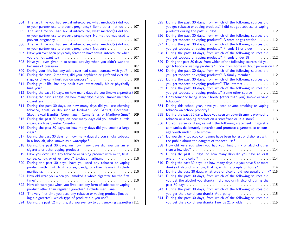| 304 | The last time you had sexual intercourse, what method(s) did you                                                                                                                                                               |
|-----|--------------------------------------------------------------------------------------------------------------------------------------------------------------------------------------------------------------------------------|
|     | or your partner use to prevent pregnancy? Some other method 107                                                                                                                                                                |
| 305 | The last time you had sexual intercourse, what method(s) did you                                                                                                                                                               |
|     | or your partner use to prevent pregnancy? No method was used to                                                                                                                                                                |
|     |                                                                                                                                                                                                                                |
| 306 | The last time you had sexual intercourse, what method(s) did you                                                                                                                                                               |
|     | or your partner use to prevent pregnancy? Not sure 107                                                                                                                                                                         |
| 307 | Have you ever been physically forced to have sexual intercourse when                                                                                                                                                           |
|     | you did not want to? A contract the contract of the contract of the contract of the contract of the contract of the contract of the contract of the contract of the contract of the contract of the contract of the contract o |
| 308 | Have you ever given in to sexual activity when you didn't want to                                                                                                                                                              |
|     |                                                                                                                                                                                                                                |
| 309 | During your life, has any adult ever had sexual contact with you? 108                                                                                                                                                          |
| 310 | During the past 12 months, did your boyfriend or girlfriend ever hit,                                                                                                                                                          |
|     | slap, or physically hurt you on purpose? 108                                                                                                                                                                                   |
| 311 | During your life, has any adult ever intentionally hit or physically                                                                                                                                                           |
|     | hurt you?                                                                                                                                                                                                                      |
| 312 | During the past 30 days, on how many days did you Smoke cigarettes?108                                                                                                                                                         |
| 313 | During the past 30 days, on how many days did you smoke menthol                                                                                                                                                                |
|     | cigarettes? 108                                                                                                                                                                                                                |
| 314 | During the past 30 days, on how many days did you use chewing                                                                                                                                                                  |
|     | tobacco, snuff, or dip such as Redman, Levi Garrett, Beechnut,                                                                                                                                                                 |
|     | Skoal, Skoal Bandits, Copenhagen, Camel Snus, or Marlboro Snus?<br>109                                                                                                                                                         |
| 315 | During the past 30 days, on how many days did you smoke a little                                                                                                                                                               |
|     |                                                                                                                                                                                                                                |
| 316 | During the past 30 days, on how many days did you smoke a large                                                                                                                                                                |
|     | cigar?                                                                                                                                                                                                                         |
| 317 | During the past 30 days, on how many days did you smoke tobacco                                                                                                                                                                |
|     | in a hookah, also known as a waterpipe? 109                                                                                                                                                                                    |
| 318 | During the past 30 days, on how many days did you use an e-                                                                                                                                                                    |
|     | cigarette or other vaping product? 110                                                                                                                                                                                         |
| 319 | Have you ever used any tobacco or vaping product with mint, fruit,                                                                                                                                                             |
|     | coffee, candy, or other flavors? Exclude marijuana. 110                                                                                                                                                                        |
| 320 | During the past 30 days, have you used any tobacco or vaping                                                                                                                                                                   |
|     | product with mint, fruit, coffee, candy, or other flavors? Exclude                                                                                                                                                             |
|     |                                                                                                                                                                                                                                |
| 321 | How old were you when you smoked a whole cigarette for the first                                                                                                                                                               |
|     |                                                                                                                                                                                                                                |
| 322 | How old were you when you first used any form of tobacco or vaping                                                                                                                                                             |
|     | product other than regular cigarettes? Exclude marijuana. 111                                                                                                                                                                  |
| 323 | The very first time you used any tobacco or vaping product (includ-                                                                                                                                                            |
|     | ing e-cigarettes), which type of product did you use? 111                                                                                                                                                                      |
| 324 | During the past 12 months, did you ever try to quit smoking cigarettes?111                                                                                                                                                     |

| 325 | During the past 30 days, from which of the following sources did                                                                                                                                                               |
|-----|--------------------------------------------------------------------------------------------------------------------------------------------------------------------------------------------------------------------------------|
|     | you get tobacco or vaping products? I did not get tobacco or vaping                                                                                                                                                            |
|     |                                                                                                                                                                                                                                |
| 326 | During the past 30 days, from which of the following sources did                                                                                                                                                               |
|     | you get tobacco or vaping products? A store or gas station 112                                                                                                                                                                 |
| 327 | During the past 30 days, from which of the following sources did                                                                                                                                                               |
|     | you get tobacco or vaping products? Friends 18 or older 112                                                                                                                                                                    |
| 328 | During the past 30 days, from which of the following sources did                                                                                                                                                               |
|     | you get tobacco or vaping products? Friends under 18 [12]                                                                                                                                                                      |
| 329 | During the past 30 days, from which of the following sources did you                                                                                                                                                           |
|     | get tobacco or vaping products? Took from home without permission112                                                                                                                                                           |
| 330 | During the past 30 days, from which of the following sources did                                                                                                                                                               |
|     | you get tobacco or vaping products? A family member 112                                                                                                                                                                        |
| 331 | During the past 30 days, from which of the following sources did                                                                                                                                                               |
|     |                                                                                                                                                                                                                                |
| 332 | During the past 30 days, from which of the following sources did                                                                                                                                                               |
|     | you get tobacco or vaping products? Some other source  112                                                                                                                                                                     |
| 333 | Does someone living in your house (other than you) smoke or vape                                                                                                                                                               |
|     |                                                                                                                                                                                                                                |
| 334 | During this school year, have you seen anyone smoking or vaping                                                                                                                                                                |
| 335 | During the past 30 days, have you seen an advertisement promoting                                                                                                                                                              |
|     | tobacco or a vaping product on a storefront or in a store? 113                                                                                                                                                                 |
| 336 | Do you agree or disagree with the following statement: Cigarette                                                                                                                                                               |
|     | companies deliberately advertise and promote cigarettes to encour-                                                                                                                                                             |
|     | age youth under 18 to smoke. The same state of the state of the state of the state of the state of the state of the state of the state of the state of the state of the state of the state of the state of the state of the st |
| 337 | Do you think tobacco companies have been honest or dishonest with                                                                                                                                                              |
|     | the public about the dangers of tobacco use? 113                                                                                                                                                                               |
| 338 | How old were you when you had your first drink of alcohol other                                                                                                                                                                |
|     |                                                                                                                                                                                                                                |
| 339 | During the past 30 days, on how many days did you have at least                                                                                                                                                                |
|     |                                                                                                                                                                                                                                |
| 340 | During the past 30 days, on how many days did you have 5 or more                                                                                                                                                               |
|     | drinks of alcohol in a row, that is, within a couple of hours? 114                                                                                                                                                             |
| 341 | During the past 30 days, what type of alcohol did you usually drink? 115                                                                                                                                                       |
| 342 | During the past 30 days, from which of the following sources did                                                                                                                                                               |
|     | you get the alcohol you drank? I did not drink alcohol during the                                                                                                                                                              |
|     |                                                                                                                                                                                                                                |
| 343 | During the past 30 days, from which of the following sources did                                                                                                                                                               |
|     | you get the alcohol you drank? At a party 115                                                                                                                                                                                  |
| 344 | During the past 30 days, from which of the following sources did                                                                                                                                                               |
|     | you get the alcohol you drank? Friends 21 or older 115                                                                                                                                                                         |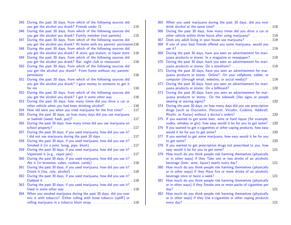| 345        | During the past 30 days, from which of the following sources did<br>you get the alcohol you drank? Friends under 21 115                                                                              |
|------------|------------------------------------------------------------------------------------------------------------------------------------------------------------------------------------------------------|
| 346        | During the past 30 days, from which of the following sources did<br>you get the alcohol you drank? Family member (not parents)  115                                                                  |
| 347        | During the past 30 days, from which of the following sources did<br>you get the alcohol you drank? At home with my parents' permission116                                                            |
| 348        | During the past 30 days, from which of the following sources did<br>you get the alcohol you drank? A store, gas station, or liquor store . 116                                                       |
| 349        | During the past 30 days, from which of the following sources did                                                                                                                                     |
| 350        | you get the alcohol you drank? Bar, night club or restaurant 116<br>During the past 30 days, from which of the following sources did<br>you get the alcohol you drank? From home without my parents' |
| 351        | During the past 30 days, from which of the following sources did<br>you get the alcohol you drank? I gave money to someone to get it                                                                 |
| 352        | During the past 30 days, from which of the following sources did                                                                                                                                     |
| 353        | you get the alcohol you drank? I got it some other way 116<br>During the past 30 days, how many times did you drive a car or                                                                         |
|            | other vehicle when you had been drinking alcohol? 116                                                                                                                                                |
| 354<br>355 | How old were you when you tried marijuana for the first time? 117<br>During the past 30 days, on how many days did you use marijuana                                                                 |
| 356        | During the past 30 days, how many times did you use marijuana on                                                                                                                                     |
|            |                                                                                                                                                                                                      |
| 357        | During the past 30 days, if you used marijuana, how did you use it?                                                                                                                                  |
| 358        | During the past 30 days, if you used marijuana, how did you use it?                                                                                                                                  |
| 359        | During the past 30 days, if you used marijuana, how did you use it?                                                                                                                                  |
| 360        | During the past 30 days, if you used marijuana, how did you use it?                                                                                                                                  |
| 361        | During the past 30 days, if you used marijuana, how did you use it?                                                                                                                                  |
| 362        | During the past 30 days, if you used marijuana, how did you use it?                                                                                                                                  |
|            |                                                                                                                                                                                                      |
| 363        | During the past 30 days, if you used marijuana, how did you use it?                                                                                                                                  |
| 364        | When you smoked marijuana during the past 30 days, did you ever<br>mix it with tobacco? Either rolling with loose tobacco (spliff) or<br>rolling marijuana in a tobacco blunt wrap. 118              |
|            |                                                                                                                                                                                                      |

| 365 | When you used marijuana during the past 30 days, did you ever         |  |
|-----|-----------------------------------------------------------------------|--|
| 366 | During the past 30 days, how many times did you drive a car or        |  |
|     | other vehicle within three hours after using marijuana? 119           |  |
| 367 | Does any adult living in your house use marijuana? 119                |  |
| 368 | If one of your best friends offered you some marijuana, would you     |  |
|     |                                                                       |  |
| 369 | During the past 30 days, have you seen an advertisement for mari-     |  |
|     | juana products or stores: In a magazine or newspaper? 119             |  |
| 370 | During the past 30 days, have you seen an advertisement for mari-     |  |
|     | juana products or stores: On a storefront? 119                        |  |
| 371 | During the past 30 days, have you seen an advertisement for mar-      |  |
|     | ijuana products or stores: Online? On your cellphone, tablet, or      |  |
|     | computer (through email, websites, or social media)? 119              |  |
| 372 | During the past 30 days, have you seen an advertisement for mari-     |  |
|     | juana products or stores: On a billboard? 120                         |  |
| 373 | During the past 30 days, have you seen an advertisement for mar-      |  |
|     | ijuana products or stores: On the sidewalk (like signs or people      |  |
|     |                                                                       |  |
| 374 | During the past 30 days, on how many days did you use prescription    |  |
|     | drugs (such as Oxycontin, Percocet, Vicodin, Codeine, Adderall,       |  |
|     | Ritalin, or Xanax) without a doctor's orders? 120                     |  |
| 375 | If you wanted to get some beer, wine or hard liquor (for example,     |  |
|     | vodka, whiskey or gin), how easy would it be for you to get some? 120 |  |
| 376 | If you wanted to get e-cigarettes or other vaping products, how easy  |  |
|     |                                                                       |  |
| 377 | If you wanted to get some marijuana, how easy would it be for you     |  |
|     |                                                                       |  |
| 378 | If you wanted to get prescription drugs not prescribed to you, how    |  |
|     | How much do you think people risk harming themselves (physically      |  |
| 379 | or in other ways) if they Take one or two drinks of an alcoholic      |  |
|     |                                                                       |  |
| 380 | How much do you think people risk harming themselves (physically      |  |
|     | or in other ways) if they Have five or more drinks of an alcoholic    |  |
|     |                                                                       |  |
| 381 | How much do you think people risk harming themselves (physically      |  |
|     | or in other ways) if they Smoke one or more packs of cigarettes per   |  |
|     | dav?                                                                  |  |
| 382 | How much do you think people risk harming themselves (physically      |  |
|     | or in other ways) if they Use e-cigarettes or other vaping products   |  |
|     |                                                                       |  |
|     |                                                                       |  |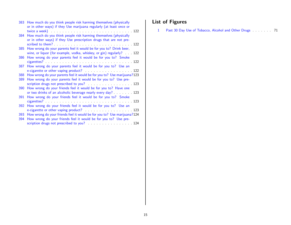| 383        | How much do you think people risk harming themselves (physically<br>or in other ways) if they Use marijuana regularly (at least once or     |
|------------|---------------------------------------------------------------------------------------------------------------------------------------------|
| 384        | How much do you think people risk harming themselves (physically<br>or in other ways) if they Use prescription drugs that are not pre-      |
| 385        | How wrong do your parents feel it would be for you to? Drink beer,<br>wine, or liquor (for example, vodka, whiskey, or gin) regularly? 122  |
| 386        | How wrong do your parents feel it would be for you to? Smoke                                                                                |
| 387        | How wrong do your parents feel it would be for you to? Use an                                                                               |
| 388<br>389 | How wrong do your parents feel it would be for you to? Use marijuana?123<br>How wrong do your parents feel it would be for you to? Use pre- |
| 390        | How wrong do your friends feel it would be for you to? Have one                                                                             |
| 391        | or two drinks of an alcoholic beverage nearly every day? 123<br>How wrong do your friends feel it would be for you to? Smoke                |
| 392        | How wrong do your friends feel it would be for you to? Use an                                                                               |
| 393<br>394 | How wrong do your friends feel it would be for you to? Use marijuana?124<br>How wrong do your friends feel it would be for you to? Use pre- |
|            | scription drugs not prescribed to you? 124                                                                                                  |

# List of Figures

[1 Past 30 Day Use of Tobacco, Alcohol and Other Drugs](#page-70-0) . . . . . . . . 71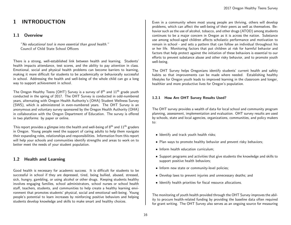# <span id="page-15-0"></span>1 INTRODUCTION

## <span id="page-15-1"></span>1.1 Overview

"No educational tool is more essential than good health." Council of Child State School Officers

There is a strong, well-established link between health and learning. Students' health impacts attendance, test scores, and the ability to pay attention in class. Emotional, social and physical health problems can become barriers to learning, making it more difficult for students to be academically or behaviorally successful in school. Addressing the health and well-being of the whole child can go a long way to support achievement in school.

The Oregon Healthy Teens (OHT) Survey is a survey of 8<sup>th</sup> and 11<sup>th</sup> grade youth conducted in the spring of 2017. The OHT Survey is conducted in odd-numbered years, alternating with Oregon Health Authority's (OHA) Student Wellness Survey (SWS), which is administered in even-numbered years. The OHT Survey is an anonymous and voluntary survey sponsored by the Oregon Health Authority (OHA) in collaboration with the Oregon Department of Education. The survey is offered in two platforms: by paper or online.

This report provides a glimpse into the health and well-being of  $8<sup>th</sup>$  and  $11<sup>th</sup>$  graders in Oregon. Young people need the support of caring adults to help them navigate their expanding roles, relationships and responsibilities. Information from this report will help your schools and communities identify strengths and areas to work on to better meet the needs of your student population.

# <span id="page-15-2"></span>1.2 Health and Learning

Good health is necessary for academic success. It is difficult for students to be successful in school if they are depressed, tired, being bullied, abused, stressed, sick, hungry, gambling, or using alcohol or other drugs. Keeping students healthy involves engaging families, school administrators, school nurses or school health staff, teachers, students, and communities to help create a healthy learning environment that promotes students' physical, social and emotional well-being. Young people's potential to learn increases by reinforcing positive behaviors and helping students develop knowledge and skills to make smart and healthy choices.

Even in a community where most young people are thriving, others will develop problems, which can affect the well-being of their peers as well as themselves. Behavior such as the use of alcohol, tobacco, and other drugs (ATOD) among students continues to be a major concern in Oregon as it is across the nation. Substance use among school-aged children affects scholastic performance and motivation to remain in school - and sets a pattern that can follow an individual throughout his or her life. Monitoring factors that put children at risk for harmful behavior and factors that help protect against the initiation of these behaviors is essential to our efforts to prevent substance abuse and other risky behavior, and to promote youth well-being.

The OHT Survey helps Oregonians identify students' current health and safety habits so that improvements can be made where needed. Establishing healthy lifestyles for Oregon youth leads to improved learning in the classroom and longer, healthier and more productive lives for Oregon's population.

#### <span id="page-15-3"></span>1.2.1 How Are OHT Survey Results Used?

The OHT survey provides a wealth of data for local school and community program planning, assessment, implementation and evaluation. OHT survey results are used by schools, state and local agencies, organizations, communities, and policy makers to:

- Identify and track youth health risks;
- Plan ways to promote healthy behavior and prevent risky behaviors;
- Inform health education curriculum;
- Support programs and activities that give students the knowledge and skills to support positive health behaviors;
- Inform new state or community-level policies;
- Develop laws to prevent injuries and unnecessary deaths; and
- Identify health priorities for fiscal resource allocations.

The monitoring of youth health provided through the OHT Survey improves the ability to procure health-related funding by providing the baseline data often required for grant writing. The OHT Survey also serves as an ongoing source for measuring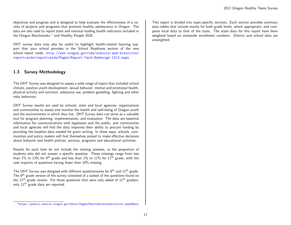objectives and progress and is designed to help evaluate the effectiveness of a variety of projects and programs that promote healthy adolescence in Oregon. The data are also used to report state and national leading health indicators included in the Oregon Benchmarks  $^1$  $^1$  and Healthy People 2020.

OHT survey data may also be useful to highlight health-related learning support that your school provides in the School Readiness section of the new school report cards: [http://www.oregon.gov/ode/schools-and-districts/](http://www.oregon.gov/ode/schools-and-districts/reportcards/reportcards/Pages/Report-Card-Redesign-1213.aspx) [reportcards/reportcards/Pages/Report-Card-Redesign-1213.aspx](http://www.oregon.gov/ode/schools-and-districts/reportcards/reportcards/Pages/Report-Card-Redesign-1213.aspx)

## <span id="page-16-0"></span>1.3 Survey Methodology

The OHT Survey was designed to assess a wide range of topics that included school climate, positive youth development, sexual behavior, mental and emotional health, physical activity and nutrition, substance use, problem gambling, fighting and other risky behaviors.

OHT Survey results are used by schools, state and local agencies, organizations and communities to assess and monitor the health and well-being of Oregon youth and the environments in which they live. OHT Survey data can serve as a valuable tool for program planning, implementation, and evaluation. The data are essential information for communications with legislators and the public, and communities and local agencies will find the data improves their ability to procure funding by providing the baseline data needed for grant writing. In these ways, schools, communities and policy makers will find themselves poised to make effective decisions about behavior and health policies, services, programs and educational activities.

Results for each item do not include the missing answers, or the proportion of students who did not answer a specific question. These missings range from less than 1% to 13% for 8<sup>th</sup> grade and less than 1% to 11% for 11<sup>th</sup> grade, with the vast majority of questions having fewer than 10% missing.

The OHT Survey was designed with different questionnaires for  $8<sup>th</sup>$  and  $11<sup>th</sup>$  grade. The 8<sup>th</sup> grade version of the survey consisted of a subset of the questions found on the  $11<sup>th</sup>$  grade version. For those questions that were only asked of  $11<sup>th</sup>$  graders, only 11<sup>th</sup> grade data are reported.

This report is divided into topic-specific sections. Each section provides summary data tables that include results for both grade levels, where appropriate, and compares local data to that of the state. The state data for this report have been weighted based on statewide enrollment numbers. District and school data are unweighted.

<span id="page-16-1"></span><sup>1</sup><https://public.health.oregon.gov/About/Pages/HealthStatusIndicators.aspx#data>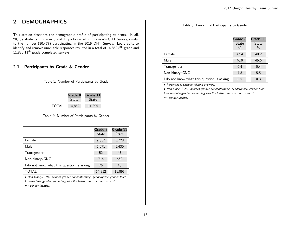# <span id="page-17-0"></span>2 DEMOGRAPHICS

This section describes the demographic profile of participating students. In all, 28,139 students in grades 8 and 11 participated in this year's OHT Survey, similar to the number (30,477) participating in the 2015 OHT Survey. Logic edits to identify and remove unreliable responses resulted in a total of  $14,852$   $8^{th}$  grade and 11,895 11<sup>th</sup> grade completed surveys.

# <span id="page-17-1"></span>2.1 Participants by Grade & Gender

<span id="page-17-2"></span>Table 1: Number of Participants by Grade

|       | Grade 8      | Grade 11 |
|-------|--------------|----------|
|       | <b>State</b> | State    |
| TOTAL | 14,852       | 11.895   |

<span id="page-17-3"></span>Table 2: Number of Participants by Gender

|                                            | Grade 8<br><b>State</b> | Grade 11<br><b>State</b> |
|--------------------------------------------|-------------------------|--------------------------|
| Female                                     | 7.037                   | 5,728                    |
| Male                                       | 6,971                   | 5,430                    |
| Transgender                                | 52                      | 47                       |
| Non-binary/GNC                             | 716                     | 650                      |
| I do not know what this question is asking | 76                      | 40                       |
| TOTAL                                      | 14,852                  | 11,895                   |

• Non-binary/GNC includes gender nonconforming, genderqueer, gender fluid, intersex/intergender, something else fits better, and I am not sure of my gender identity.

<span id="page-17-4"></span>Table 3: Percent of Participants by Gender

|                                            | Grade 8<br><b>State</b><br>$\%$ | Grade 11<br><b>State</b><br>$\%$ |
|--------------------------------------------|---------------------------------|----------------------------------|
| Female                                     | 47.4                            | 48.2                             |
| Male                                       | 46.9                            | 45.6                             |
| Transgender                                | 0.4                             | 0.4                              |
| Non-binary/GNC                             | 4.8                             | 5.5                              |
| I do not know what this question is asking | 0.5                             | 0.3                              |

• Percentages exclude missing answers.

• Non-binary/GNC includes gender nonconforming, genderqueer, gender fluid, intersex/intergender, something else fits better, and I am not sure of my gender identity.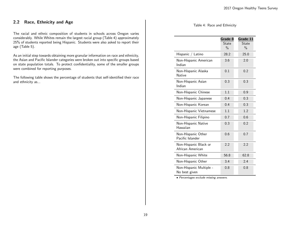# <span id="page-18-0"></span>2.2 Race, Ethnicity and Age

The racial and ethnic composition of students in schools across Oregon varies considerably. While Whites remain the largest racial group (Table 4) approximately 25% of students reported being Hispanic. Students were also asked to report their age (Table 5).

As an initial step towards obtaining more granular information on race and ethnicity, the Asian and Pacific Islander categories were broken out into specific groups based on state population totals. To protect confidentiality, some of the smaller groups were combined for reporting purposes.

The following table shows the percentage of students that self-identified their race and ethnicity as...

#### <span id="page-18-1"></span>Table 4: Race and Ethnicity

|                                           | Grade 8<br>State<br>$\frac{0}{0}$ | Grade 11<br>State<br>$\frac{0}{0}$ |
|-------------------------------------------|-----------------------------------|------------------------------------|
| Hispanic / Latino                         | 28.2                              | 25.0                               |
| Non-Hispanic American<br>Indian           | 3.6                               | 2.0                                |
| Non-Hispanic Alaska<br><b>Native</b>      | 0.1                               | 0.2                                |
| Non-Hispanic Asian<br>Indian              | 0.3                               | 0.3                                |
| Non-Hispanic Chinese                      | 1.1                               | 0.9                                |
| Non-Hispanic Japanese                     | 0.4                               | 0.3                                |
| Non-Hispanic Korean                       | 0.4                               | 0.3                                |
| Non-Hispanic Vietnamese                   | 1.1                               | 1.2                                |
| Non-Hispanic Filipino                     | 0.7                               | 0.6                                |
| Non-Hispanic Native<br>Hawaiian           | 0.3                               | 0.2                                |
| Non-Hispanic Other<br>Pacific Islander    | 0.6                               | 0.7                                |
| Non-Hispanic Black or<br>African American | 2.2                               | 2.2                                |
| Non-Hispanic White                        | 56.8                              | 62.8                               |
| Non-Hispanic Other                        | 3.4                               | 2.4                                |
| Non-Hispanic Multiple -<br>No best given  | 0.8                               | 0.8                                |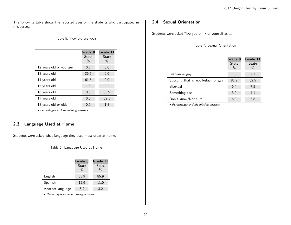The following table shows the reported ages of the students who participated in this survey.

## <span id="page-19-2"></span>Table 5: How old are you?

|                         | Grade 8<br>State<br>$\frac{0}{0}$ | Grade 11<br>State<br>$\frac{0}{0}$ |
|-------------------------|-----------------------------------|------------------------------------|
| 12 years old or younger | 0.2                               | 0.0                                |
| 13 years old            | 36.5                              | 0.0                                |
| 14 years old            | 61.5                              | 0.0                                |
| 15 years old            | 1.8                               | 0.2                                |
| 16 years old            | 0.0                               | 35.9                               |
| 17 years old            | 0.0                               | 62.1                               |
| 18 years old or older   | 0.0                               | 1.8                                |

• Percentages exclude missing answers.

# <span id="page-19-0"></span>2.3 Language Used at Home

Students were asked what language they used most often at home.

<span id="page-19-3"></span>Table 6: Language Used at Home

|                  | Grade 8       | Grade 11      |
|------------------|---------------|---------------|
|                  | State         | State         |
|                  | $\frac{0}{0}$ | $\frac{0}{0}$ |
| English          | 83.9          | 85.9          |
| Spanish          | 12.9          | 11.0          |
| Another language | 3.2           | 3.2           |

• Percentages exclude missing answers.

# <span id="page-19-1"></span>2.4 Sexual Orientation

Students were asked "Do you think of yourself as ..."

<span id="page-19-4"></span>Table 7: Sexual Orientation

|                                       | Grade 8<br><b>State</b>  | Grade 11<br><b>State</b> |
|---------------------------------------|--------------------------|--------------------------|
| Lesbian or gay                        | $\frac{0}{0}$<br>$1.5\,$ | $\frac{0}{0}$<br>2.1     |
| Straight, that is, not lesbian or gay | 82.2                     | 82.5                     |
| Bisexual                              | 6.4                      | 7.5                      |
| Something else                        | 3.9                      | 4.1                      |
| Don't know/Not sure                   | 6.0                      | 3.8                      |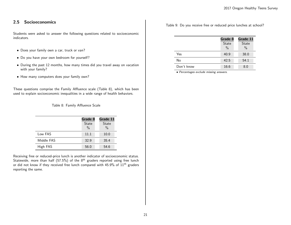# <span id="page-20-0"></span>2.5 Socioeconomics

Students were asked to answer the following questions related to socioeconomic indicators.

- Does your family own a car, truck or van?
- Do you have your own bedroom for yourself?
- During the past 12 months, how many times did you travel away on vacation with your family?
- How many computers does your family own?

These questions comprise the Family Affluence scale (Table 8), which has been used to explain socioeconomic inequalities in a wide range of health behaviors.

<span id="page-20-1"></span>Table 8: Family Affluence Scale

|            | Grade 8<br><b>State</b><br>$\frac{0}{0}$ | Grade 11<br>State<br>$\%$ |
|------------|------------------------------------------|---------------------------|
| Low FAS    | 11.1                                     | 10.0                      |
| Middle FAS | 32.9                                     | 35.4                      |
| High FAS   | 56.0                                     | 54.6                      |

Receiving free or reduced-price lunch is another indicator of socioeconomic status. Statewide, more than half (57.5%) of the  $8<sup>th</sup>$  graders reported using free lunch or did not know if they received free lunch compared with 45.9% of 11<sup>th</sup> graders reporting the same.

Table 9: Do you receive free or reduced price lunches at school?

<span id="page-20-2"></span>

|            | Grade 8                       | Grade 11             |
|------------|-------------------------------|----------------------|
|            | <b>State</b><br>$\frac{0}{0}$ | <b>State</b><br>$\%$ |
| Yes        | 40.9                          | 38.0                 |
| No         | 42.5                          | 54.1                 |
| Don't know | 16.6                          | 8.0                  |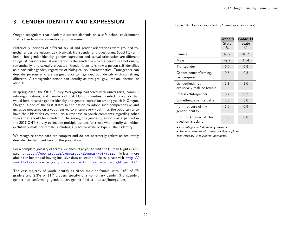# <span id="page-21-0"></span>3 GENDER IDENTITY AND EXPRESSION

Oregon recognizes that academic success depends on a safe school environment that is free from discrimination and harassment.

Historically, persons of different sexual and gender orientations were grouped together under the lesbian, gay, bisexual, transgender and questioning (LGBTQ) umbrella, but gender identity, gender expression and sexual orientation are different things. A person's sexual orientation is the gender to which a person is emotionally, romantically, and sexually attracted. Gender identity is how a person self-identifies as a particular gender, regardless of biological sex characteristics. Transgender can describe persons who are assigned a certain gender, but identify with something different. A transgender person can identify as straight, gay, lesbian, bisexual or asexual.

In spring 2016, the OHT Survey Workgroup partnered with universities, community organizations, and members of LGBTQ communities to select indicators that would best measure gender identity and gender expression among youth in Oregon. Oregon is one of the first states in the nation to adopt such comprehensive and inclusive measures on a youth survey to ensure every youth has the opportunity to have their identities counted. As a response to youth comments regarding other topics that should be included in the survey, the gender question was expanded in the 2017 OHT Survey to include multiple options for those who identify as neither exclusively male nor female, including a place to write or type in their identity.

We recognize these data are complex and do not necessarily reflect or accurately describe the full identifiers of the population.

For a complete glossary of terms, we encourage you to visit the Human Rights Campaign at <http://www.hrc.org/resources/glossary-of-terms>. To learn more about the benefits of having inclusive data collection policies, please visit [http://](http://www.thetaskforce.org/why-data-collection-matters-to-lgbt-people/) [www.thetaskforce.org/why-data-collection-matters-to-lgbt-people/](http://www.thetaskforce.org/why-data-collection-matters-to-lgbt-people/).

The vast majority of youth identify as either male or female, with  $2.0\%$  of  $8^{\text{th}}$ graders and 2.3% of  $11<sup>th</sup>$  graders specifying a non-binary gender (transgender, gender non-conforming, genderqueer, gender fluid or intersex/intergender).

<span id="page-21-1"></span>Table 10: How do you identify? (multiple responses)

|                            | Grade 8       | Grade 11      |
|----------------------------|---------------|---------------|
|                            | State         | State         |
|                            | $\frac{0}{0}$ | $\frac{0}{0}$ |
| Female                     | 48.9          | 48.7          |
| Male                       | 47.7          | 47.4          |
| Transgender                | 0.9           | 0.9           |
| Gender nonconforming,      | 0.5           | 0.8           |
| Genderqueer                |               |               |
| Genderfluid/not            | 1.1           | 1.0           |
| exclusively male or female |               |               |
| Intersex/Intergender       | 0.2           | 0.2           |
| Something else fits better | 2.2           | 3.0           |
| I am not sure of my        | 1.0           | 0.9           |
| gender identity            |               |               |
| I do not know what this    | 1.0           | 0.8           |
| question is asking         |               |               |

• Percentages exclude missing answers.

• Students were asked to mark all that apply so each response is calculated individually.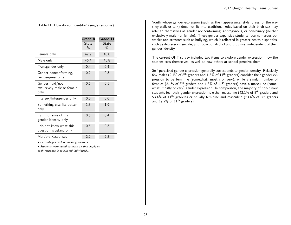<span id="page-22-0"></span>Table 11: How do you identify? (single response)

|                                                        | Grade 8<br>State<br>$\frac{0}{0}$ | Grade 11<br>State<br>$\frac{0}{0}$ |
|--------------------------------------------------------|-----------------------------------|------------------------------------|
| Female only                                            | 47.9                              | 48.0                               |
| Male only                                              | 46.4                              | 45.8                               |
| Transgender only                                       | 0.4                               | 0.4                                |
| Gender nonconforming,<br>Genderqueer only              | 0.2                               | 0.3                                |
| Gender fluid/not<br>exclusively male or female<br>only | 0.6                               | 0.5                                |
| Intersex/Intergender only                              | 0.0                               | 0.0                                |
| Something else fits better<br>only                     | 1.3                               | 1.9                                |
| I am not sure of my<br>gender identity only            | 0.5                               | 0.4                                |
| I do not know what this<br>question is asking only     | 0.5                               | 0.3                                |
| Multiple Responses                                     | 2.2                               | 2.3                                |

• Percentages exclude missing answers.

• Students were asked to mark all that apply so each response is calculated individually.

Youth whose gender expression (such as their appearance, style, dress, or the way they walk or talk) does not fit into traditional roles based on their birth sex may refer to themselves as gender nonconforming, androgynous, or non-binary (neither exclusively male nor female). These gender expansive students face numerous obstacles and stressors such as bullying, which is reflected in greater health disparities, such as depression, suicide, and tobacco, alcohol and drug use, independent of their gender identity.

The current OHT survey included two items to explore gender expression; how the student sees themselves, as well as how others at school perceive them.

Self-perceived gender expression generally corresponds to gender identity. Relatively few males (2.1% of  $8<sup>th</sup>$  graders and 1.3% of 11<sup>th</sup> graders) consider their gender expression to be feminine (somewhat, mostly or very), while a similar number of females (2.1% of  $8<sup>th</sup>$  graders and 1.8% of 11<sup>th</sup> graders) have a masculine (somewhat, mostly or very) gender expression. In comparison, the majority of non-binary students feel their gender expression is either masculine  $(42.1\%$  of  $8<sup>th</sup>$  graders and 53.4% of  $11<sup>th</sup>$  graders) or equally feminine and masculine (23.4% of  $8<sup>th</sup>$  graders and 19.7% of  $11<sup>th</sup>$  graders).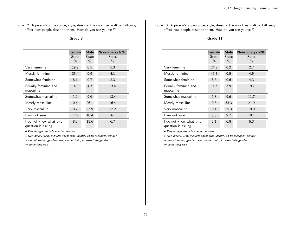<span id="page-23-0"></span>Table 12: A person's appearance, style, dress or the way they walk or talk may affect how people describe them. How do you see yourself?

## Grade 8

|                                               | <b>Female</b> | <b>Male</b> | Non-binary/GNC |
|-----------------------------------------------|---------------|-------------|----------------|
|                                               | State         | State       | State          |
|                                               | $\%$          | $\%$        | $\%$           |
| Very feminine                                 | 19.9          | 0.5         | 5.3            |
| Mostly feminine                               | 35.4          | 0.9         | 4.1            |
| Somewhat feminine                             | 8.1           | 0.7         | 2.3            |
| Equally feminine and<br>masculine             | 14.0          | 4.3         | 23.4           |
| Somewhat masculine                            | 1.2           | 9.6         | 13.4           |
| Mostly masculine                              | 0.6           | 26.1        | 16.4           |
| Very masculine                                | 0.2           | 23.9        | 12.2           |
| I am not sure                                 | 12.2          | 18.4        | 16.1           |
| I do not know what this<br>question is asking | 8.3           | 15.6        | 6.7            |

• Percentages exclude missing answers.

• Non-binary/GNC includes those who identify as transgender, gender non-conforming, genderqueer, gender fluid, intersex/intergender or something else.

<span id="page-23-1"></span>Table 13: A person's appearance, style, dress or the way they walk or talk may affect how people describe them. How do you see yourself?

#### Grade 11

|                                               | <b>Female</b><br>State<br>$\%$ | <b>Male</b><br>State<br>$\%$ | Non-binary/GNC<br>State<br>$\%$ |
|-----------------------------------------------|--------------------------------|------------------------------|---------------------------------|
| Very feminine                                 | 24.2                           | 0.2                          | 2.7                             |
| Mostly feminine                               | 45.7                           | 0.5                          | 4.5                             |
| Somewhat feminine                             | 8.6                            | 0.6                          | 4.3                             |
| Equally feminine and<br>masculine             | 11.6                           | 3.9                          | 19.7                            |
| Somewhat masculine                            | 1.3                            | 9.6                          | 11.7                            |
| Mostly masculine                              | 0.3                            | 33.3                         | 21.9                            |
| Very masculine                                | 0.1                            | 35.3                         | 19.9                            |
| I am not sure                                 | 5.0                            | 9.7                          | 10.1                            |
| I do not know what this<br>question is asking | 3.1                            | 6.8                          | 5.3                             |

• Percentages exclude missing answers.

• Non-binary/GNC includes those who identify as transgender, gender non-conforming, genderqueer, gender fluid, intersex/intergender or something else.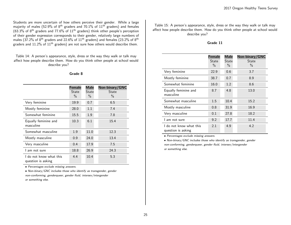Students are more uncertain of how others perceive their gender. While a large majority of males (52.9% of 8<sup>th</sup> graders and 70.1% of 11<sup>th</sup> graders) and females (63.3% of 8<sup>th</sup> graders and 77.6% of  $11<sup>th</sup>$  graders) think other people's perception of their gender expression corresponds to their gender, relatively large numbers of males (37.2% of  $8<sup>th</sup>$  graders and 22.6% of  $11<sup>th</sup>$  graders) and females (23.2% of  $8<sup>th</sup>$ graders and  $11.2\%$  of  $11<sup>th</sup>$  graders) are not sure how others would describe them.

<span id="page-24-0"></span>Table 14: A person's appearance, style, dress or the way they walk or talk may affect how people describe them. How do you think other people at school would describe you?

#### Grade 8

|                                               | <b>Female</b> | <b>Male</b> | Non-binary/GNC |
|-----------------------------------------------|---------------|-------------|----------------|
|                                               | State         | State       | State          |
|                                               | $\%$          | $\%$        | $\%$           |
| Very feminine                                 | 19.9          | 0.7         | 6.5            |
| Mostly feminine                               | 28.0          | 1.1         | 7.4            |
| Somewhat feminine                             | 15.5          | 1.9         | 7.8            |
| Equally feminine and                          | 10.3          | 6.1         | 15.4           |
| masculine                                     |               |             |                |
| Somewhat masculine                            | 1.9           | 11.0        | 12.3           |
| Mostly masculine                              | 0.9           | 24.0        | 13.4           |
| Very masculine                                | 0.4           | 17.9        | 7.5            |
| I am not sure                                 | 18.8          | 26.9        | 24.3           |
| I do not know what this<br>question is asking | 4.4           | 10.4        | 5.3            |

• Percentages exclude missing answers.

• Non-binary/GNC includes those who identify as transgender, gender non-conforming, genderqueer, gender fluid, intersex/intergender or something else.

<span id="page-24-1"></span>Table 15: A person's appearance, style, dress or the way they walk or talk may affect how people describe them. How do you think other people at school would describe you?

#### Grade 11

|                                               | <b>Female</b><br>State<br>$\%$ | <b>Male</b><br>State<br>$\%$ | Non-binary/GNC<br><b>State</b><br>$\%$ |
|-----------------------------------------------|--------------------------------|------------------------------|----------------------------------------|
| Very feminine                                 | 22.9                           | 0.6                          | 3.7                                    |
| Mostly feminine                               | 38.7                           | 0.7                          | 8.9                                    |
| Somewhat feminine                             | 16.0                           | 1.2                          | 8.6                                    |
| Equally feminine and<br>masculine             | 8.7                            | 4.8                          | 13.0                                   |
| Somewhat masculine                            | 1.5                            | 10.4                         | 15.2                                   |
| Mostly masculine                              | 0.8                            | 31.9                         | 16.9                                   |
| Very masculine                                | 0.1                            | 27.8                         | 18.2                                   |
| l am not sure                                 | 9.2                            | 17.7                         | 11.4                                   |
| I do not know what this<br>question is asking | 2.1                            | 4.9                          | 4.2                                    |

• Percentages exclude missing answers.

• Non-binary/GNC includes those who identify as transgender, gender non-conforming, genderqueer, gender fluid, intersex/intergender or something else.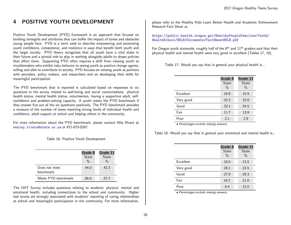# <span id="page-25-0"></span>4 POSITIVE YOUTH DEVELOPMENT

Positive Youth Development (PYD) framework is an approach that focuses on building strengths and attributes that can buffer the impact of stress and obstacles young people face. PYD is a term used to describe empowering and promoting youth confidence, competence, and resilience in ways that benefit both youth and the larger society. PYD theory recognizes that all youth have a vital stake in their future and a pivotal role to play in working alongside adults to shape policies that affect them. Supporting PYD often requires a shift from viewing youth as troublemakers who exhibit risky behavior to seeing youth as positive change agents, willing and able to contribute to society. PYD focuses on viewing youth as partners with providers, policy makers, and researchers and on developing their skills for meaningful participation.

The PYD benchmark that is reported is calculated based on responses to six questions in the survey related to well-being and social connectedness: physical health status, mental health status, volunteerism, having a supportive adult, selfconfidence and problem-solving capacity. A youth meets the PYD benchmark if they answer five out of the six questions positively. The PYD benchmark provides a measure of the number of teens reporting strong levels of individual health and confidence, adult support at school and helping others in the community.

For more information about the PYD benchmark, please contact Wes Rivers at <wesley.rivers@state.or.us> or 971-673-0267.

<span id="page-25-1"></span>Table 16: Positive Youth Development

|                                   | Grade 8       | Grade 11      |
|-----------------------------------|---------------|---------------|
|                                   | <b>State</b>  | <b>State</b>  |
|                                   | $\frac{0}{0}$ | $\frac{0}{0}$ |
| Does not meet<br><b>benchmark</b> | 44.0          | 42.3          |
|                                   |               |               |
| Meets PYD benchmark               | 56.0          | 57.7          |

The OHT Survey includes questions relating to students' physical, mental and emotional health, including connections to the school and community. Higher test scores are strongly associated with students' reporting of caring relationships at school and meaningful participation in the community, For more information,

please refer to the Healthy Kids Learn Better Health and Academic Achievement Research Fact Sheet at:

[https://public.health.oregon.gov/HealthyPeopleFamilies/Youth/](https://public.health.oregon.gov/HealthyPeopleFamilies/Youth/HealthSchool/HKLB/Documents/FactSheetHKLB.pdf) [HealthSchool/HKLB/Documents/FactSheetHKLB.pdf](https://public.health.oregon.gov/HealthyPeopleFamilies/Youth/HealthSchool/HKLB/Documents/FactSheetHKLB.pdf)

For Oregon youth statewide, roughly half of the  $8<sup>th</sup>$  and  $11<sup>th</sup>$  graders said that their physical health and mental health were very good or excellent (Tables 17, 18).

Table 17: Would you say that in general your physical health is...

<span id="page-25-2"></span>

|           | Grade 8<br>State<br>$\frac{0}{0}$ | Grade 11<br>State<br>$\%$ |
|-----------|-----------------------------------|---------------------------|
| Excellent | 19.9                              | 15.9                      |
| Very good | 33.3                              | 32.8                      |
| Good      | 33.1                              | 34.5                      |
| Fair      | 11.7                              | 13.9                      |
| Poor      | 2.1                               | 2.9                       |

<span id="page-25-3"></span>• Percentages exclude missing answers.

Table 18: Would you say that in general your emotional and mental health is...

|           | Grade 8<br><b>State</b><br>$\%$ | Grade 11<br>State<br>$\%$ |
|-----------|---------------------------------|---------------------------|
|           |                                 |                           |
| Excellent | 19.0                            | 13.5                      |
| Very good | 28.1                            | 23.5                      |
| Good      | 27.9                            | 29.3                      |
| Fair      | 16.7                            | 21.8                      |
| Poor      | 8.4                             | 12.0                      |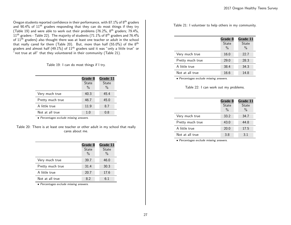Oregon students reported confidence in their performance, with 87.1% of 8<sup>th</sup> graders and 90.4% of 11th graders responding that they can do most things if they try (Table 19) and were able to work out their problems (76.2%, 8th graders; 79.4%,  $11<sup>th</sup>$  graders - Table 22). The majority of students (71.1% of 8<sup>th</sup> graders and 76.4% of 11<sup>th</sup> graders) also thought there was at least one teacher or adult in the school that really cared for them (Table 20). But, more than half (55.0%) of the  $8<sup>th</sup>$ graders and almost half (49.1%) of  $11<sup>th</sup>$  graders said it was "only a little true" or "not true at all" that they volunteered in their community (Table 21).

<span id="page-26-0"></span>Table 19: I can do most things if I try.

|                  | Grade 8<br><b>State</b><br>$\%$ | Grade 11<br>State<br>$\frac{0}{0}$ |
|------------------|---------------------------------|------------------------------------|
| Very much true   | 40.3                            | 45.4                               |
| Pretty much true | 46.7                            | 45.0                               |
| A little true    | 11.9                            | 8.7                                |
| Not at all true  | 1.0                             | 0.8                                |

<span id="page-26-1"></span>• Percentages exclude missing answers.

Table 20: There is at least one teacher or other adult in my school that really cares about me.

|                  | Grade 8       | Grade 11 |
|------------------|---------------|----------|
|                  | <b>State</b>  | State    |
|                  | $\frac{0}{0}$ | $\%$     |
| Very much true   | 39.7          | 46.0     |
| Pretty much true | 31.4          | 30.3     |
| A little true    | 20.7          | 17.6     |
| Not at all true  | 8.2           | 6.1      |

• Percentages exclude missing answers.

<span id="page-26-2"></span>Table 21: I volunteer to help others in my community.

|                  | Grade 8       | Grade 11 |
|------------------|---------------|----------|
|                  | <b>State</b>  | State    |
|                  | $\frac{0}{0}$ | $\%$     |
| Very much true   | 16.0          | 22.7     |
| Pretty much true | 29.0          | 28.3     |
| A little true    | 38.4          | 34.3     |
| Not at all true  | 16.6          | 14.8     |
|                  |               |          |

• Percentages exclude missing answers.

<span id="page-26-3"></span>Table 22: I can work out my problems.

|                  | Grade 8<br><b>State</b><br>$\frac{0}{0}$ | Grade 11<br><b>State</b><br>$\%$ |
|------------------|------------------------------------------|----------------------------------|
| Very much true   | 33.2                                     | 34.7                             |
| Pretty much true | 43.0                                     | 44.8                             |
| A little true    | 20.0                                     | 17.5                             |
| Not at all true  | 3.8                                      | 3.1                              |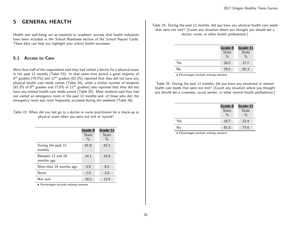# <span id="page-27-0"></span>5 GENERAL HEALTH

Health and well-being are so essential to academic success that health indicators have been included in the School Readiness section of the School Report Cards. These data can help you highlight your school health successes.

# <span id="page-27-1"></span>5.1 Access to Care

More than half of the respondents said they had visited a doctor for a physical exam in the past 12 months (Table 23). In that same time period a great majority of  $8^{\text{th}}$  graders (79.5%) and  $11^{\text{th}}$  graders (82.3%) reported that they did not have any physical health care needs unmet (Table 24), while a similar number of students  $(81.3\%$  of 8<sup>th</sup> graders and 77.6% of  $11<sup>th</sup>$  graders) also reported that they did not have any mental health care needs unmet (Table 25). Most students said they had not visited an emergency room in the past 12 months and, of those who did, the emergency room was most frequently accessed during the weekend (Table 26).

#### <span id="page-27-2"></span>Table 23: When did you last go to a doctor or nurse practitioner for a check-up or physical exam when you were not sick or injured?

|                                 | Grade 8<br>State<br>$\frac{0}{0}$ | Grade 11<br>State<br>$\%$ |
|---------------------------------|-----------------------------------|---------------------------|
| During the past 12<br>months    | 61.8                              | 62.2                      |
| Between 12 and 24<br>months ago | 14.1                              | 15.8                      |
| More than 24 months ago         | 3.9                               | 6.5                       |
| Never                           | 2.0                               | 3.0                       |
| Not sure                        | 18.2                              | 12.5                      |

• Percentages exclude missing answers.

<span id="page-27-3"></span>Table 24: During the past 12 months, did you have any physical health care needs that were not met? (Count any situation where you thought you should see a doctor, nurse, or other health professional.)

|     | Grade 8       | Grade 11      |
|-----|---------------|---------------|
|     | State         | <b>State</b>  |
|     | $\frac{0}{0}$ | $\frac{0}{0}$ |
| Yes | 20.5          | 17.7          |
| No  | 79.5          | 82.3          |
|     |               |               |

<span id="page-27-4"></span>• Percentages exclude missing answers.

Table 25: During the past 12 months, did you have any emotional or mental health care needs that were not met? (Count any situation where you thought you should see a counselor, social worker, or other mental health professional.)

|     | Grade 8       | Grade 11      |
|-----|---------------|---------------|
|     | State         | State         |
|     | $\frac{0}{0}$ | $\frac{0}{0}$ |
| Yes | 18.7          | 22.4          |
| No  | 81.3          | 77.6          |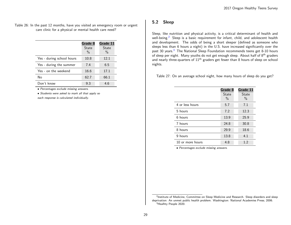<span id="page-28-1"></span>Table 26: In the past 12 months, have you visited an emergency room or urgent care clinic for a physical or mental health care need?

|                           | Grade 8<br><b>State</b><br>$\frac{0}{0}$ | Grade 11<br><b>State</b><br>$\frac{0}{0}$ |
|---------------------------|------------------------------------------|-------------------------------------------|
| Yes - during school hours | 10.8                                     | 12.1                                      |
| Yes - during the summer   | 7.4                                      | 6.5                                       |
| Yes - on the weekend      | 16.6                                     | 17.1                                      |
| No                        | 62.7                                     | 66.1                                      |
| Don't know                | 9.3                                      | 4.6                                       |

• Percentages exclude missing answers.

• Students were asked to mark all that apply so each response is calculated individually.

#### <span id="page-28-0"></span>5.2 Sleep

Sleep, like nutrition and physical activity, is a critical determinant of health and well-being.<sup>[2](#page-28-3)</sup> Sleep is a basic requirement for infant, child, and adolescent health and development. The odds of being a short sleeper (defined as someone who sleeps less than 6 hours a night) in the U.S. have increased significantly over the past [3](#page-28-4)0 years.<sup>3</sup> The National Sleep Foundation recommends teens get 8-10 hours of sleep per night. Many youths do not get enough sleep. About half of 8<sup>th</sup> graders and nearly three-quarters of  $11<sup>th</sup>$  graders get fewer than 8 hours of sleep on school nights.

Table 27: On an average school night, how many hours of sleep do you get?

<span id="page-28-2"></span>

|                  | Grade 8<br><b>State</b><br>$\%$ | Grade 11<br><b>State</b><br>$\frac{0}{0}$ |
|------------------|---------------------------------|-------------------------------------------|
| 4 or less hours  | 5.7                             | 7.1                                       |
| 5 hours          | 7.2                             | 12.3                                      |
| 6 hours          | 13.9                            | 25.9                                      |
| 7 hours          | 24.8                            | 30.8                                      |
| 8 hours          | 29.9                            | 18.6                                      |
| 9 hours          | 13.8                            | 4.1                                       |
| 10 or more hours | 4.8                             | 1.2                                       |

<span id="page-28-4"></span><span id="page-28-3"></span><sup>&</sup>lt;sup>2</sup>Institute of Medicine, Committee on Sleep Medicine and Research. Sleep disorders and sleep deprivation: An unmet public health problem. Washington: National Academies Press; 2006. <sup>3</sup>Healhty People 2020.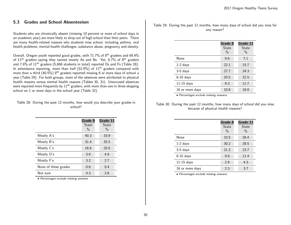# <span id="page-29-0"></span>5.3 Grades and School Absenteeism

Students who are chronically absent (missing 10 percent or more of school days in an academic year) are more likely to drop out of high school than their peers. There are many health-related reasons why students miss school, including asthma, oral health problems, mental health challenges, substance abuse, pregnancy and obesity.

Overall, Oregon youth reported good grades, with 71.7% of 8<sup>th</sup> graders and 69.4% of 11th graders saying they earned mostly As and Bs. Yet, 6.7% of 8th graders and 7.6% of 11<sup>th</sup> graders (5,666 students in total) reported Ds and Fs (Table 28). In attendance reporting, more than half  $(52.9\%)$  of  $11<sup>th</sup>$  graders compared with more than a third  $(40.5\%)$  8<sup>th</sup> graders reported missing 6 or more days of school a year (Table 29). For both groups, more of the absences were attributed to physical health reasons versus mental health reasons (Tables 30, 31). Unexcused absences were reported more frequently by  $11<sup>th</sup>$  graders, with more than one in three skipping school on 1 or more days in the school year (Table 32).

#### Table 28: During the past 12 months, how would you describe your grades in school?

<span id="page-29-1"></span>

|                      | Grade 8<br><b>State</b><br>$\frac{0}{0}$ | Grade 11<br>State<br>$\%$ |
|----------------------|------------------------------------------|---------------------------|
| Mostly A's           | 40.3                                     | 33.9                      |
| Mostly B's           | 31.4                                     | 35.5                      |
| Mostly C's           | 16.6                                     | 20.0                      |
| Mostly D's           | 3.6                                      | 4.9                       |
| Mostly F's           | 3.2                                      | 2.7                       |
| None of these grades | 0.6                                      | 0.4                       |
| Not sure             | 4.3                                      | 2.6                       |

• Percentages exclude missing answers.

<span id="page-29-2"></span>Table 29: During the past 12 months, how many days of school did you miss for any reason?

|                 | Grade 8<br>State<br>$\frac{0}{0}$ | Grade 11<br>State<br>$\%$ |
|-----------------|-----------------------------------|---------------------------|
| None            | 9.6                               | 7.1                       |
| $1-2$ days      | 22.1                              | 15.7                      |
| $3-5$ days      | 27.7                              | 24.3                      |
| $6-10$ days     | 20.5                              | 22.5                      |
| $11-15$ days    | 9.3                               | 11.7                      |
| 16 or more days | 10.8                              | 18.8                      |
|                 |                                   |                           |

<span id="page-29-3"></span>• Percentages exclude missing answers.

Table 30: During the past 12 months, how many days of school did you miss because of physical health reasons?

|                 | Grade 8<br>State<br>$\frac{0}{0}$ | Grade 11<br>State<br>$\%$ |
|-----------------|-----------------------------------|---------------------------|
| None            | 33.5                              | 28.4                      |
| $1-2$ days      | 30.2                              | 28.5                      |
| $3-5$ days      | 21.3                              | 23.7                      |
| $6-10$ days     | 9.8                               | 11.4                      |
| $11-15$ days    | 2.9                               | 4.3                       |
| 16 or more days | 2.3                               | 3.7                       |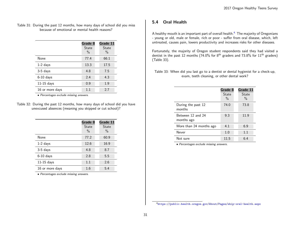#### <span id="page-30-1"></span>Table 31: During the past 12 months, how many days of school did you miss because of emotional or mental health reasons?

|                 | Grade 8<br>State<br>$\frac{0}{0}$ | Grade 11<br><b>State</b><br>$\%$ |
|-----------------|-----------------------------------|----------------------------------|
| None            | 77.4                              | 66.1                             |
| $1-2$ days      | 13.3                              | 17.5                             |
| $3-5$ days      | 4.8                               | 7.5                              |
| $6-10$ days     | 2.4                               | 4.3                              |
| $11-15$ days    | 0.9                               | 1.9                              |
| 16 or more days | 1.1                               | 2.7                              |

<span id="page-30-2"></span>• Percentages exclude missing answers.

Table 32: During the past 12 months, how many days of school did you have unexcused absences (meaning you skipped or cut school)?

|                 | Grade 8 | Grade 11 |
|-----------------|---------|----------|
|                 | State   | State    |
|                 | $\%$    | $\%$     |
| None            | 77.2    | 60.9     |
| $1-2$ days      | 12.6    | 16.9     |
| $3-5$ days      | 4.8     | 8.7      |
| $6-10$ days     | 2.8     | 5.5      |
| $11-15$ days    | 1.1     | 2.6      |
| 16 or more days | 1.6     | 5.4      |

• Percentages exclude missing answers.

# <span id="page-30-0"></span>5.4 Oral Health

A healthy mouth is an important part of overall health. $4$  The majority of Oregonians - young or old, male or female, rich or poor - suffer from oral disease, which, left untreated, causes pain, lowers productivity and increases risks for other diseases.

Fortunately, the majority of Oregon student respondents said they had visited a dentist in the past 12 months (74.0% for 8<sup>th</sup> graders and 73.8% for  $11<sup>th</sup>$  graders) (Table 33).

<span id="page-30-3"></span>Table 33: When did you last go to a dentist or dental hygienist for a check-up, exam, teeth cleaning, or other dental work?

|                                 | Grade 8<br>State<br>$\frac{0}{0}$ | Grade 11<br>State<br>$\%$ |
|---------------------------------|-----------------------------------|---------------------------|
| During the past 12<br>months    | 74.0                              | 73.8                      |
| Between 12 and 24<br>months ago | 9.3                               | 11.9                      |
| More than 24 months ago         | 4.1                               | 6.9                       |
| Never                           | 1.0                               | 1.1                       |
| Not sure                        | 11.5                              | 6.4                       |

<span id="page-30-4"></span><sup>4</sup><https://public.health.oregon.gov/About/Pages/ship-oral-health.aspx>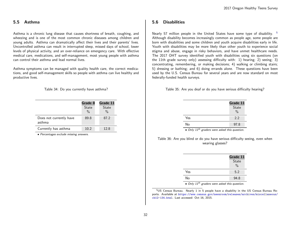## <span id="page-31-0"></span>5.5 Asthma

Asthma is a chronic lung disease that causes shortness of breath, coughing, and wheezing and is one of the most common chronic diseases among children and young adults. Asthma can dramatically affect their lives and their parents' lives. Uncontrolled asthma can result in interrupted sleep, missed days of school, lower levels of physical activity, and an over-reliance on emergency care. With effective medical care, medications, and self-management, most young people with asthma can control their asthma and lead normal lives.

Asthma symptoms can be managed with quality health care, the correct medications, and good self-management skills so people with asthma can live healthy and productive lives.

<span id="page-31-2"></span>Table 34: Do you currently have asthma?

|                                   | Grade 8<br><b>State</b><br>$\frac{0}{0}$ | Grade 11<br><b>State</b><br>$\frac{0}{0}$ |
|-----------------------------------|------------------------------------------|-------------------------------------------|
| Does not currently have<br>asthma | 89.8                                     | 87.2                                      |
| Currently has asthma              | 10.2                                     | 12.8                                      |

• Percentages exclude missing answers.

## <span id="page-31-1"></span>5.6 Disabilities

Nearly [5](#page-31-5)7 million people in the United States have some type of disability. <sup>5</sup> Although disability becomes increasingly common as people age, some people are born with disabilities and some children and youth acquire disabilities early in life. Youth with disabilities may be more likely than other youth to experience social stigma and abuse, engage in risky behaviors, and have unmet healthcare needs. The 2017 OHT survey identified youth with disabilities using six questions (on the 11th grade survey only) assessing difficulty with: 1) hearing; 2) seeing; 3) concentrating, remembering, or making decisions; 4) walking or climbing stairs; 5) dressing or bathing; and 6) doing errands alone. These questions have been used by the U.S. Census Bureau for several years and are now standard on most federally-funded health surveys.

Table 35: Are you deaf or do you have serious difficulty hearing?

<span id="page-31-3"></span>

|     | Grade 11<br>State<br>$\frac{0}{0}$ |
|-----|------------------------------------|
| Yes | 2.2                                |
| No  | 97.8                               |

<span id="page-31-4"></span> $\bullet$  Only 11<sup>th</sup> graders were asked this question.

#### Table 36: Are you blind or do you have serious difficulty seeing, even when wearing glasses?

|                               | Grade 11<br>State<br>$\frac{0}{0}$ |
|-------------------------------|------------------------------------|
| Yes                           | 5.2                                |
| No                            | 94.8                               |
| $\bigcap$ $\bigcup$ $\bigcup$ |                                    |

• Only  $11^{tn}$  graders were asked this question.

<span id="page-31-5"></span><sup>5</sup>US Census Bureau. Nearly 1 in 5 people have a disability in the US Census Bureau Reports. Available at [https://www.census.gov/newsroom/releases/archives/miscellaneous/](https://www.census.gov/newsroom/releases/archives/miscellaneous/cb12-134.html) [cb12-134.html](https://www.census.gov/newsroom/releases/archives/miscellaneous/cb12-134.html). Last accessed: Oct 16, 2015.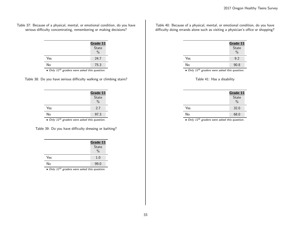<span id="page-32-0"></span>Table 37: Because of a physical, mental, or emotional condition, do you have serious difficulty concentrating, remembering or making decisions?

|     | Grade 11<br>State<br>$\frac{0}{0}$ |
|-----|------------------------------------|
| Yes | 24.7                               |
| No  | 75.3                               |

<span id="page-32-1"></span>• Only 11<sup>th</sup> graders were asked this question.

|  |  |  | Table 38: Do you have serious difficulty walking or climbing stairs? |  |
|--|--|--|----------------------------------------------------------------------|--|
|  |  |  |                                                                      |  |

|     | Grade 11<br>State<br>$\frac{0}{0}$ |
|-----|------------------------------------|
| Yes | 2.7                                |
| No  | 97.3                               |

<span id="page-32-2"></span> $\bullet$  Only  $11^{th}$  graders were asked this question.

| Table 39: Do you have difficulty dressing or bathing? |  |  |  |  |  |  |  |
|-------------------------------------------------------|--|--|--|--|--|--|--|
|-------------------------------------------------------|--|--|--|--|--|--|--|

|     | Grade 11      |
|-----|---------------|
|     | State         |
|     | $\frac{0}{0}$ |
| Yes | 1.0           |
| No  | 99.0          |

 $\bullet$  Only  $11^{th}$  graders were asked this question.

<span id="page-32-3"></span>Table 40: Because of a physical, mental, or emotional condition, do you have difficulty doing errands alone such as visiting a physician's office or shopping?

 $\overline{a}$ 

|     | Grade 11<br>State<br>$\frac{0}{0}$ |
|-----|------------------------------------|
| Yes | 9.2                                |
| No  | 90.8                               |

• Only 11<sup>th</sup> graders were asked this question.

## <span id="page-32-4"></span>Table 41: Has a disability

|     | Grade 11<br>State<br>$\frac{0}{0}$ |
|-----|------------------------------------|
| Yes | 32.0                               |
| No  | 68.0                               |

 $\bullet$  Only  $11^{th}$  graders were asked this question.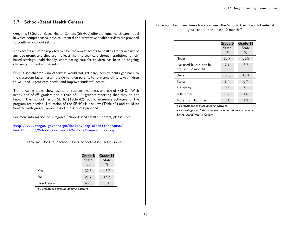# <span id="page-33-0"></span>5.7 School-Based Health Centers

Oregon's 78 School-Based Health Centers (SBHCs) offer a unique health care model in which comprehensive physical, mental and preventive health services are provided to youth in a school setting.

Adolescents are often reported to have the lowest access to health care service use of any age group, and they are the least likely to seek care through traditional officebased settings. Additionally, coordinating care for children has been an ongoing challenge for working parents.

SBHCs see children who otherwise would not get care, help students get back to the classroom faster, lessen the demand on parents to take time off to take children to well and urgent care needs, and improve students' health.

The following tables show results for student awareness and use of SBHCs. With nearly half of  $8<sup>th</sup>$  graders and a third of  $11<sup>th</sup>$  graders reporting that they do not know if their school has an SBHC (Table 42), public awareness activities for the program are needed. Utilization of the SBHCs is also low (Table 43) and could be boosted with greater awareness of the services provided.

For more information on Oregon's School-Based Health Centers, please visit:

[http://www.oregon.gov/oha/ph/HealthyPeopleFamilies/Youth/](http://www.oregon.gov/oha/ph/HealthyPeopleFamilies/Youth/HealthSchool/SchoolBasedHealthCenters/Pages/index.aspx) [HealthSchool/SchoolBasedHealthCenters/Pages/index.aspx](http://www.oregon.gov/oha/ph/HealthyPeopleFamilies/Youth/HealthSchool/SchoolBasedHealthCenters/Pages/index.aspx).

Table 42: Does your school have a School-Based Health Center?

<span id="page-33-1"></span>

|            | Grade 8<br>State<br>$\frac{0}{0}$ | Grade 11<br><b>State</b><br>$\%$ |
|------------|-----------------------------------|----------------------------------|
| Yes        | 32.5                              | 48.7                             |
| No         | 21.7                              | 16.3                             |
| Don't know | 45.8                              | 35.0                             |

• Percentages exclude missing answers.

<span id="page-33-2"></span>Table 43: How many times have you used the School-Based Health Center at your school in the past 12 months?

|                                                | Grade 8<br>State<br>$\frac{0}{0}$ | Grade 11<br>State<br>$\%$ |
|------------------------------------------------|-----------------------------------|---------------------------|
| Never                                          | 58.7                              | 61.5                      |
| I've used it, but not in<br>the last 12 months | 7.1                               | 8.7                       |
| Once                                           | 12.6                              | 13.3                      |
| Twice                                          | 8.4                               | 6.7                       |
| 3-5 times                                      | 9.3                               | 6.1                       |
| 6-10 times                                     | 1.9                               | 1.8                       |
| More than 10 times                             | 2.1                               | 1.9                       |

• Percentages exclude missing answers.

• Percentages exclude those whose school does not have a School-based Health Center.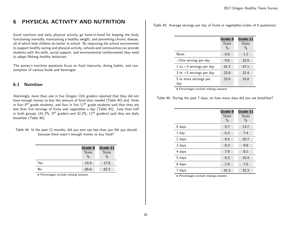# <span id="page-34-0"></span>6 PHYSICAL ACTIVITY AND NUTRITION

Good nutrition and daily physical activity go hand-in-hand for keeping the body functioning normally, maintaining a healthy weight, and preventing chronic disease, all of which help children do better in school. By improving the school environment to support healthy eating and physical activity, schools and communities can provide students with the skills, social support, and environmental reinforcement they need to adopt lifelong healthy behaviors.

The survey's nutrition questions focus on food insecurity, dining habits, and consumption of various foods and beverages.

# <span id="page-34-1"></span>6.1 Nutrition

Alarmingly, more than one in five Oregon 11th graders reported that they did not have enough money to buy the amount of food they needed (Table 44) and, three in four  $8<sup>th</sup>$  grade students, and four in five  $11<sup>th</sup>$  grade students said that they ate less than five servings of fruits and vegetables a day (Table 45). Less than half in both groups,  $(41.2\%$ ,  $8^{\text{th}}$  graders and 32.3%,  $11^{\text{th}}$  graders) said they ate daily breakfast (Table 46).

<span id="page-34-2"></span>Table 44: In the past 12 months, did you ever eat less than you felt you should because there wasn't enough money to buy food?

|     | Grade 8<br>State<br>$\frac{0}{0}$ | Grade 11<br>State<br>$\frac{0}{0}$ |
|-----|-----------------------------------|------------------------------------|
| Yes | 14.4                              | 17.8                               |
| No  | 85.6                              | 82.2                               |

• Percentages exclude missing answers.

Table 45: Average servings per day of fruits or vegetables (index of 6 questions).

<span id="page-34-3"></span>

|                               | Grade 8<br><b>State</b><br>$\frac{0}{0}$ | Grade 11<br>State<br>$\%$ |
|-------------------------------|------------------------------------------|---------------------------|
| None                          | 0.8                                      | 1.2                       |
| $<$ One serving per day       | 9.6                                      | 10.5                      |
| 1 to $<$ 3 servings per day   | 41.7                                     | 47.1                      |
| 3 to $<$ 5 servings per day   | 22.9                                     | 22.4                      |
| 5 or more servings per<br>day | 25.0                                     | 18.8                      |

<span id="page-34-4"></span>• Percentages exclude missing answers.

Table 46: During the past 7 days, on how many days did you eat breakfast?

|          | Grade 8<br>State<br>$\%$ | Grade 11<br>State<br>$\%$ |
|----------|--------------------------|---------------------------|
| $0$ days | 9.7                      | 13.7                      |
| 1 day    | 6.3                      | 7.4                       |
| 2 days   | 8.4                      | 10.7                      |
| 3 days   | 9.3                      | 9.9                       |
| 4 days   | 7.9                      | 8.1                       |
| 5 days   | 9.3                      | 10.4                      |
| 6 days   | 7.8                      | 7.6                       |
| 7 days   | 41.2                     | 32.3                      |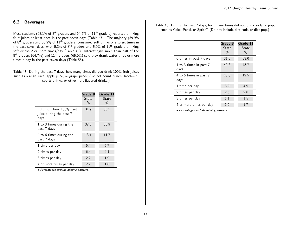## <span id="page-35-0"></span>6.2 Beverages

Most students (68.1% of  $8<sup>th</sup>$  graders and 64.5% of  $11<sup>th</sup>$  graders) reported drinking fruit juices at least once in the past seven days (Table 47). The majority (59.9% of  $8<sup>th</sup>$  graders and 56.2% of  $11<sup>th</sup>$  graders) consumed soft drinks one to six times in the past seven days, with 5.3% of  $8<sup>th</sup>$  graders and 5.9% of  $11<sup>th</sup>$  graders drinking soft drinks 2 or more times/day (Table 48). Interestingly, more than half of the  $8^{\text{th}}$  graders (64.7%) and  $11^{\text{th}}$  graders (65.0%) said they drank water three or more times a day in the past seven days (Table 55).

<span id="page-35-1"></span>Table 47: During the past 7 days, how many times did you drink 100% fruit juices such as orange juice, apple juice, or grape juice? (Do not count punch, Kool-Aid, sports drinks, or other fruit-flavored drinks.)

|                                                               | Grade 8<br>State<br>$\%$ | Grade 11<br>State<br>$\frac{0}{0}$ |
|---------------------------------------------------------------|--------------------------|------------------------------------|
| I did not drink 100% fruit<br>juice during the past 7<br>days | 31.9                     | 35.5                               |
| 1 to 3 times during the<br>past 7 days                        | 37.8                     | 38.9                               |
| 4 to 6 times during the<br>past 7 days                        | 13.1                     | 11.7                               |
| 1 time per day                                                | 6.4                      | 5.7                                |
| 2 times per day                                               | 6.4                      | 4.4                                |
| 3 times per day                                               | 2.2                      | 1.9                                |
| 4 or more times per day                                       | 2.2                      | 1.8                                |

• Percentages exclude missing answers.

<span id="page-35-2"></span>Table 48: During the past 7 days, how many times did you drink soda or pop, such as Coke, Pepsi, or Sprite? (Do not include diet soda or diet pop.)

|                                | Grade 8<br>State<br>$\frac{0}{0}$ | Grade 11<br>State<br>$\frac{0}{0}$ |
|--------------------------------|-----------------------------------|------------------------------------|
| 0 times in past 7 days         | 31.0                              | 33.0                               |
| 1 to 3 times in past 7<br>days | 49.8                              | 43.7                               |
| 4 to 6 times in past 7<br>days | 10.0                              | 12.5                               |
| 1 time per day                 | 3.9                               | 4.9                                |
| 2 times per day                | 2.6                               | 2.8                                |
| 3 times per day                | 1.1                               | 1.5                                |
| 4 or more times per day        | 1.6                               | 1.7                                |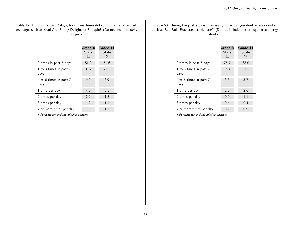Table 49: During the past 7 days, how many times did you drink fruit-flavored beverages such as Kool-Aid, Sunny Delight, or Snapple? (Do not include 100% fruit juice.)

|                                | Grade 8<br>State<br>$\%$ | Grade 11<br>State<br>$\%$ |
|--------------------------------|--------------------------|---------------------------|
| 0 times in past 7 days         | 51.0                     | 54.6                      |
| 1 to 3 times in past 7<br>days | 30.2                     | 29.1                      |
| 4 to 6 times in past 7<br>days | 9.9                      | 8.9                       |
| 1 time per day                 | 4.0                      | 3.5                       |
| 2 times per day                | 2.2                      | 1.8                       |
| 3 times per day                | 1.2                      | 1.1                       |
| 4 or more times per day        | $1.5\,$                  | 11                        |

• Percentages exclude missing answers.

Table 50: During the past 7 days, how many times did you drink energy drinks such as Red Bull, Rockstar, or Monster? (Do not include diet or sugar-free energy drinks.)

|                                | Grade 8<br><b>State</b><br>$\%$ | Grade 11<br>State<br>$\%$ |
|--------------------------------|---------------------------------|---------------------------|
| 0 times in past 7 days         | 75.7                            | 68.0                      |
| 1 to 3 times in past 7<br>days | 16.4                            | 21.2                      |
| 4 to 6 times in past 7<br>days | 3.8                             | 5.7                       |
| 1 time per day                 | 2.0                             | 2.6                       |
| 2 times per day                | 0.9                             | 1.1                       |
| 3 times per day                | 0.4                             | 0.4                       |
| 4 or more times per day        | 0.9                             | 0.9                       |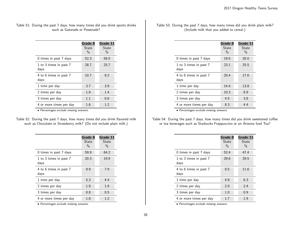#### Table 51: During the past 7 days, how many times did you drink sports drinks such as Gatorade or Powerade?

|                                | Grade 8<br>State<br>$\%$ | Grade 11<br>State<br>$\%$ |
|--------------------------------|--------------------------|---------------------------|
| 0 times in past 7 days         | 52.3                     | 58.0                      |
| 1 to 3 times in past 7<br>days | 28.7                     | 25.7                      |
| 4 to 6 times in past 7<br>days | 10.7                     | 9.2                       |
| 1 time per day                 | 3.7                      | 3.9                       |
| 2 times per day                | 1.9                      | 1.4                       |
| 3 times per day                | 1.1                      | 0.6                       |
| 4 or more times per day        | 1.6                      | 1.2                       |

• Percentages exclude missing answers.

| Table 52: During the past 7 days, how many times did you drink flavored milk |  |
|------------------------------------------------------------------------------|--|
| such as Chocolate or Strawberry milk? (Do not include plain milk.)           |  |

| Grade 8<br>State<br>$\%$ | Grade 11<br>State<br>$\%$ |
|--------------------------|---------------------------|
| 59.9                     | 64.2                      |
| 20.3                     | 19.9                      |
| 9.9                      | 7.9                       |
| 5.3                      | 4.4                       |
| 1.9                      | 1.9                       |
| 0.8                      | 0.5                       |
| 1.8                      | 1.2                       |
|                          |                           |

• Percentages exclude missing answers.

Table 53: During the past 7 days, how many times did you drink plain milk? (Include milk that you added to cereal.)

|                                | Grade 8<br>State<br>$\%$ | Grade 11<br>State<br>$\%$ |
|--------------------------------|--------------------------|---------------------------|
| 0 times in past 7 days         | 19.0                     | 26.0                      |
| 1 to 3 times in past 7<br>days | 23.1                     | 25.5                      |
| 4 to 6 times in past 7<br>days | 20.4                     | 17.6                      |
| 1 time per day                 | 14.4                     | 13.8                      |
| 2 times per day                | 10.3                     | 8.9                       |
| 3 times per day                | 4.5                      | 3.8                       |
| 4 or more times per day        | 8.3                      | 4.4                       |
|                                |                          |                           |

• Percentages exclude missing answers.

Table 54: During the past 7 days, how many times did you drink sweetened coffee or tea beverages such as Starbucks Frappuccino or an Arizona Iced Tea?

|                                | Grade 8<br>State<br>$\%$ | Grade 11<br>State<br>$\%$ |
|--------------------------------|--------------------------|---------------------------|
| 0 times in past 7 days         | 52.4                     | 47.4                      |
| 1 to 3 times in past 7<br>days | 29.6                     | 29.5                      |
| 4 to 6 times in past 7<br>days | 8.5                      | 11.6                      |
| 1 time per day                 | 4.8                      | 6.3                       |
| 2 times per day                | 2.0                      | 2.4                       |
| 3 times per day                | 1.0                      | 0.9                       |
| 4 or more times per day        | 1.7                      | 1.9                       |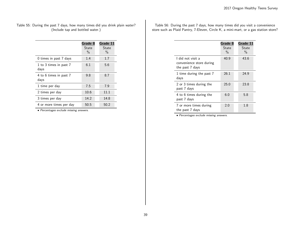#### Table 55: During the past 7 days, how many times did you drink plain water? (Include tap and bottled water.)

|                                | Grade 8<br>State<br>$\frac{0}{0}$ | Grade 11<br>State<br>$\%$ |
|--------------------------------|-----------------------------------|---------------------------|
| 0 times in past 7 days         | 1.4                               | 1.7                       |
| 1 to 3 times in past 7<br>days | 6.1                               | 5.6                       |
| 4 to 6 times in past 7<br>days | 9.8                               | 8.7                       |
| 1 time per day                 | 7.5                               | 7.9                       |
| 2 times per day                | 10.6                              | 11.1                      |
| 3 times per day                | 14.2                              | 14.8                      |
| 4 or more times per day        | 50.5                              | 50.2                      |

• Percentages exclude missing answers.

Table 56: During the past 7 days, how many times did you visit a convenience store such as Plaid Pantry, 7-Eleven, Circle K, a mini-mart, or a gas station store?

|                                                                  | Grade 8<br>State<br>$\%$ | Grade 11<br>State<br>$\frac{0}{0}$ |
|------------------------------------------------------------------|--------------------------|------------------------------------|
| I did not visit a<br>convenience store during<br>the past 7 days | 40.9                     | 43.6                               |
| 1 time during the past 7<br>days                                 | 26.1                     | 24.9                               |
| 2 or 3 times during the<br>past 7 days                           | 25.0                     | 23.8                               |
| 4 to 6 times during the<br>past 7 days                           | 6.0                      | 5.8                                |
| 7 or more times during<br>the past 7 days                        | 2.0                      | 1.8                                |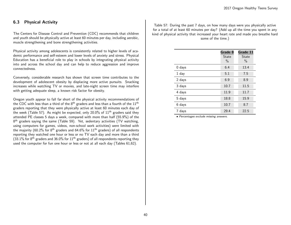## 6.3 Physical Activity

The Centers for Disease Control and Prevention (CDC) recommends that children and youth should be physically active at least 60 minutes per day, including aerobic, muscle strengthening and bone strengthening activities.

Physical activity among adolescents is consistently related to higher levels of academic performance and self-esteem and lower levels of anxiety and stress. Physical Education has a beneficial role to play in schools by integrating physical activity into and across the school day and can help to reduce aggression and improve connectedness.

Conversely, considerable research has shown that screen time contributes to the development of adolescent obesity by displacing more active pursuits. Snacking increases while watching TV or movies, and late-night screen time may interfere with getting adequate sleep, a known risk factor for obesity.

Oregon youth appear to fall far short of the physical activity recommendations of the CDC with less than a third of the  $8<sup>th</sup>$  graders and less than a fourth of the  $11<sup>th</sup>$ graders reporting that they were physically active at least 60 minutes each day of the week (Table 57). As might be expected, only 20.0% of  $11<sup>th</sup>$  graders said they attended PE classes 5 days a week, compared with more than half (55.9%) of the 8<sup>th</sup> graders saying the same (Table 59). Yet, sedentary activities (TV watching, using computers for games, videos, non-school work activities) were limited with the majority (60.2% for 8<sup>th</sup> graders and 64.6% for  $11<sup>th</sup>$  graders) of all respondents reporting they watched one hour or less or no TV each day and more than a third (33.1% for 8<sup>th</sup> graders and 36.0% for 11<sup>th</sup> graders) of all respondents reporting they used the computer for fun one hour or less or not at all each day (Tables 61,62).

Table 57: During the past 7 days, on how many days were you physically active for a total of at least 60 minutes per day? (Add up all the time you spent in any kind of physical activity that increased your heart rate and made you breathe hard some of the time.)

|          | Grade 8<br>State<br>$\%$ | Grade 11<br>State<br>$\frac{0}{0}$ |
|----------|--------------------------|------------------------------------|
| $0$ days | 6.4                      | 13.4                               |
| 1 day    | 5.1                      | 7.5                                |
| 2 days   | 6.9                      | 8.9                                |
| 3 days   | 10.7                     | 11.5                               |
| 4 days   | 11.9                     | 11.7                               |
| 5 days   | 18.8                     | 15.9                               |
| 6 days   | 10.7                     | 8.7                                |
| 7 days   | 29.4                     | 22.5                               |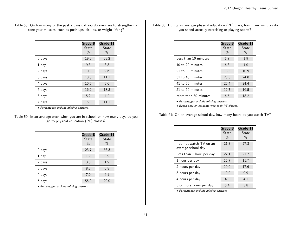| Table 58: On how many of the past 7 days did you do exercises to strengthen or |  |
|--------------------------------------------------------------------------------|--|
| tone your muscles, such as push-ups, sit-ups, or weight lifting?               |  |

|          | Grade 8<br>State<br>$\frac{0}{0}$ | Grade 11<br><b>State</b><br>$\%$ |
|----------|-----------------------------------|----------------------------------|
| $0$ days | 19.8                              | 33.2                             |
| 1 day    | 9.3                               | 8.8                              |
| 2 days   | 10.8                              | 9.6                              |
| 3 days   | 13.3                              | 11.1                             |
| 4 days   | 10.5                              | 8.6                              |
| 5 days   | 16.2                              | 13.3                             |
| 6 days   | 5.2                               | 4.2                              |
| days     | 15.0                              | 11.1                             |

• Percentages exclude missing answers.

| Table 59: In an average week when you are in school, on how many days do you |  |
|------------------------------------------------------------------------------|--|
| go to physical education (PE) classes?                                       |  |

|          | Grade 8<br><b>State</b><br>$\%$ | Grade 11<br><b>State</b><br>$\%$ |
|----------|---------------------------------|----------------------------------|
| $0$ days | 23.7                            | 66.3                             |
| $1$ day  | 1.9                             | 0.9                              |
| 2 days   | 3.3                             | 1.9                              |
| 3 days   | 8.2                             | 6.8                              |
| 4 days   | 7.0                             | 4.1                              |
| 5 days   | 55.9                            | 20.0                             |

• Percentages exclude missing answers.

Table 60: During an average physical education (PE) class, how many minutes do you spend actually exercising or playing sports?

|                      | Grade 8<br>State<br>$\%$ | Grade 11<br>State<br>$\%$ |
|----------------------|--------------------------|---------------------------|
| Less than 10 minutes | 1.7                      | 1.9                       |
| 10 to 20 minutes     | 6.8                      | 4.0                       |
| 21 to 30 minutes     | 18.3                     | 10.9                      |
| 31 to 40 minutes     | 28.5                     | 24.0                      |
| 41 to 50 minutes     | 25.4                     | 24.4                      |
| 51 to 60 minutes     | 12.7                     | 16.5                      |
| More than 60 minutes | 6.6                      | 18.2                      |

• Percentages exclude missing answers.

• Based only on students who took PE classes.

Table 61: On an average school day, how many hours do you watch TV?

|                                               | Grade 8<br><b>State</b><br>$\%$ | Grade 11<br>State<br>$\frac{0}{0}$ |
|-----------------------------------------------|---------------------------------|------------------------------------|
| I do not watch TV on an<br>average school day | 21.3                            | 27.3                               |
| Less than 1 hour per day                      | 22.1                            | 21.7                               |
| 1 hour per day                                | 16.7                            | 15.7                               |
| 2 hours per day                               | 19.0                            | 17.6                               |
| 3 hours per day                               | 10.9                            | 9.9                                |
| 4 hours per day                               | 4.5                             | 4.1                                |
| 5 or more hours per day                       | 5.4                             | 3.8                                |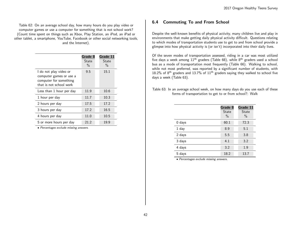Table 62: On an average school day, how many hours do you play video or computer games or use a computer for something that is not school work? (Count time spent on things such as Xbox, Play Station, an iPod, an iPad or other tablet, a smartphone, YouTube, Facebook or other social networking tools, and the Internet).

|                                                                                                        | Grade 8<br>State<br>$\frac{0}{0}$ | Grade 11<br>State<br>$\%$ |
|--------------------------------------------------------------------------------------------------------|-----------------------------------|---------------------------|
| I do not play video or<br>computer games or use a<br>computer for something<br>that is not school work | 9.5                               | 15.1                      |
| Less than 1 hour per day                                                                               | 11.9                              | 10.6                      |
| 1 hour per day                                                                                         | 11.7                              | 10.3                      |
| 2 hours per day                                                                                        | 17.5                              | 17.2                      |
| 3 hours per day                                                                                        | 17.2                              | 16.5                      |
| 4 hours per day                                                                                        | 11.0                              | 10.5                      |
| 5 or more hours per day                                                                                | 21.2                              | 19.9                      |

• Percentages exclude missing answers.

## 6.4 Commuting To and From School

Despite the well-known benefits of physical activity, many children live and play in environments that make getting daily physical activity difficult. Questions relating to which modes of transportation students use to get to and from school provide a glimpse into how physical activity is (or isn't) incorporated into their daily lives.

Of the seven modes of transportation assessed, riding in a car was most utilized five days a week among  $11<sup>th</sup>$  graders (Table 68), while 8<sup>th</sup> graders used a school bus as a mode of transportation most frequently (Table 66). Walking to school, while not most preferred, was reported by a significant number of students, with 18.2% of  $8<sup>th</sup>$  graders and 13.7% of  $11<sup>th</sup>$  graders saying they walked to school five days a week (Table 63).

| Table 63: In an average school week, on how many days do you use each of these |  |                                                         |  |  |  |  |  |  |
|--------------------------------------------------------------------------------|--|---------------------------------------------------------|--|--|--|--|--|--|
|                                                                                |  | forms of transportation to get to or from school?: Walk |  |  |  |  |  |  |

|          | Grade 8<br><b>State</b><br>$\%$ | Grade 11<br><b>State</b><br>$\%$ |
|----------|---------------------------------|----------------------------------|
| $0$ days | 60.1                            | 72.3                             |
| 1 day    | 8.9                             | 5.1                              |
| 2 days   | 5.5                             | 3.8                              |
| 3 days   | 4.1                             | 3.2                              |
| 4 days   | 3.2                             | 1.9                              |
| 5 days   | 18.2                            | 13.7                             |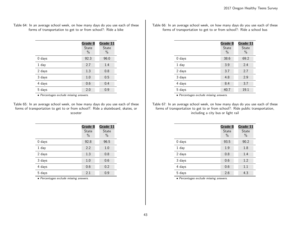Table 64: In an average school week, on how many days do you use each of these forms of transportation to get to or from school?: Ride a bike

|          | Grade 8<br>State<br>$\frac{0}{0}$ | Grade 11<br><b>State</b><br>$\%$ |
|----------|-----------------------------------|----------------------------------|
| $0$ days | 92.3                              | 96.0                             |
| $1$ day  | 2.7                               | 1.4                              |
| 2 days   | 1.3                               | 0.8                              |
| 3 days   | 1.0                               | 0.5                              |
| 4 days   | 0.6                               | 0.4                              |
| 5 days   | 2.0                               | 0.9                              |

• Percentages exclude missing answers.

Table 65: In an average school week, on how many days do you use each of these forms of transportation to get to or from school?: Ride a skateboard, skates, or scooter

|          | Grade 8<br><b>State</b> | Grade 11<br>State |
|----------|-------------------------|-------------------|
|          | $\%$                    | $\%$              |
| $0$ days | 92.8                    | 96.5              |
| $1$ day  | 2.2                     | 1.0               |
| 2 days   | 1.3                     | 0.8               |
| 3 days   | 1.0                     | 0.6               |
| 4 days   | 0.6                     | 0.2               |
| 5 days   | 2.1                     | 0.9               |

• Percentages exclude missing answers.

Table 66: In an average school week, on how many days do you use each of these forms of transportation to get to or from school?: Ride a school bus

|          | Grade 8<br><b>State</b><br>$\%$ | Grade 11<br><b>State</b><br>$\%$ |
|----------|---------------------------------|----------------------------------|
| $0$ days | 38.6                            | 69.2                             |
| 1 day    | 3.9                             | 2.4                              |
| 2 days   | 3.7                             | 2.7                              |
| 3 days   | 4.8                             | 2.9                              |
| 4 days   | 8.4                             | 3.7                              |
| 5 days   | 40.7                            | 19.1                             |

• Percentages exclude missing answers.

Table 67: In an average school week, on how many days do you use each of these forms of transportation to get to or from school?: Ride public transportation, including a city bus or light rail

|          | Grade 8<br>State<br>$\%$ | Grade 11<br>State<br>$\%$ |
|----------|--------------------------|---------------------------|
| $0$ days | 93.5                     | 90.2                      |
| 1 day    | 1.9                      | 1.8                       |
| 2 days   | 0.8                      | 1.4                       |
| 3 days   | 0.6                      | 1.2                       |
| 4 days   | 0.6                      | 1.1                       |
| 5 days   | 2.6                      | 4.3                       |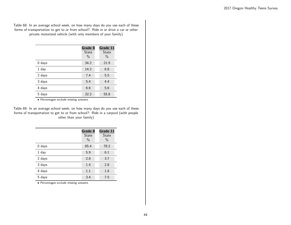Table 68: In an average school week, on how many days do you use each of these forms of transportation to get to or from school?: Ride in or drive a car or other private motorized vehicle (with only members of your family)

|          | Grade 8 | Grade 11 |
|----------|---------|----------|
|          | State   | State    |
|          | $\%$    | $\%$     |
| $0$ days | 34.2    | 21.9     |
| $1$ day  | 14.2    | 6.8      |
| 2 days   | 7.4     | 5.5      |
| 3 days   | 5.4     | 4.4      |
| 4 days   | 6.6     | 5.6      |
| 5 days   | 32.2    | 55.8     |

• Percentages exclude missing answers.

Table 69: In an average school week, on how many days do you use each of these forms of transportation to get to or from school?: Ride in a carpool (with people other than your family)

|          | Grade 8<br><b>State</b><br>$\%$ | Grade 11<br><b>State</b><br>$\%$ |
|----------|---------------------------------|----------------------------------|
| $0$ days | 85.4                            | 78.2                             |
| 1 day    | 5.9                             | 6.1                              |
| 2 days   | 2.8                             | 3.7                              |
| 3 days   | 1.4                             | 2.8                              |
| 4 days   | 1.1                             | 1.8                              |
| 5 days   | 3.4                             | 7.5                              |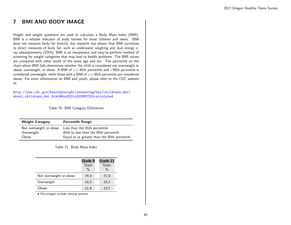# 7 BMI AND BODY IMAGE

Height and weight questions are used to calculate a Body Mass Index (BMI). BMI is a reliable indicator of body fatness for most children and teens. BMI does not measure body fat directly, but research has shown that BMI correlates to direct measures of body fat, such as underwater weighing and dual energy xray absorptiometry (DXA). BMI is an inexpensive and easy-to-perform method of screening for weight categories that may lead to health problems. The BMI values are compared with other youth of the same age and sex. The percentile on the chart where BMI falls determines whether the child is considered not overweight or obese, overweight, or obese. A BMI of  $>=$  85th percentile and  $<$  95th percentile is considered overweight, while those with a BMI of  $>=$  95th percentile are considered obese. For more information on BMI and youth, please refer to the CDC website at:

[http://www.cdc.gov/healthyweight/assessing/bmi/childrens\\_bmi/](http://www.cdc.gov/healthyweight/assessing/bmi/childrens_bmi/about_childrens_bmi.html#How%20is%20BMI%20calculated) [about\\_childrens\\_bmi.html#How%20is%20BMI%20calculated](http://www.cdc.gov/healthyweight/assessing/bmi/childrens_bmi/about_childrens_bmi.html#How%20is%20BMI%20calculated)

Table 70: BMI Category Definitions

| <b>Weight Category</b>  | <b>Percentile Range</b>                      |
|-------------------------|----------------------------------------------|
| Not overweight or obese | Less than the 85th percentile                |
| Overweight              | 85th to less than the 95th percentile        |
| Obese                   | Equal to or greater than the 95th percentile |

Table 71: Body Mass Index

|                         | Grade 8<br><b>State</b><br>$\frac{0}{0}$ | Grade 11<br><b>State</b><br>$\frac{0}{0}$ |
|-------------------------|------------------------------------------|-------------------------------------------|
| Not overweight or obese | 74.3                                     | 71.0                                      |
| Overweight              | 14.3                                     | 15.2                                      |
| Obese                   | 11.4                                     | 13.7                                      |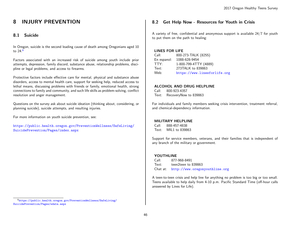# 8 INJURY PREVENTION

## 8.1 Suicide

In Oregon, suicide is the second leading cause of death among Oregonians aged 10 to 24.[6](#page-45-0)

Factors associated with an increased risk of suicide among youth include prior attempts, depression, family discord, substance abuse, relationship problems, discipline or legal problems, and access to firearms.

Protective factors include effective care for mental, physical and substance abuse disorders, access to mental health care, support for seeking help, reduced access to lethal means, discussing problems with friends or family, emotional health, strong connections to family and community, and such life skills as problem-solving, conflict resolution and anger management.

Questions on the survey ask about suicide ideation (thinking about, considering, or planning suicide), suicide attempts, and resulting injuries.

For more information on youth suicide prevention, see:

[https://public.health.oregon.gov/PreventionWellness/SafeLiving/](https://public.health.oregon.gov/PreventionWellness/SafeLiving/SuicidePrevention/Pages/index.aspx) [SuicidePrevention/Pages/index.aspx](https://public.health.oregon.gov/PreventionWellness/SafeLiving/SuicidePrevention/Pages/index.aspx)

## 8.2 Get Help Now - Resources for Youth in Crisis

A variety of free, confidential and anonymous support is available 24/7 for youth to put them on the path to healing:

#### LINES FOR LIFE

| Call:       | 800-273-TALK (8255)          |
|-------------|------------------------------|
| En espanol: | 1088-628-9454                |
| TTY:        | 1-800-799-4TTY (4889)        |
| Text:       | 273TALK to 839863            |
| Web:        | https://www.linesforlife.org |

#### ALCOHOL AND DRUG HELPLINE

Call: 800-923-4357 Text: RecoveryNow to 839863

For individuals and family members seeking crisis intervention, treatment referral, and chemical-dependency information.

#### MILITARY HELPLINE

Call: 888-457-4838 Text: MIL1 to 839863

Support for service members, veterans, and their families that is independent of any branch of the military or government.

#### YOUTHLINE

Call: 877-968-8491 Text: teen2teen to 839863 Chat at: <http://www.oregonyouthline.org>

A teen-to-teen crisis and help line for anything no problem is too big or too small. Teens available to help daily from 4-10 p.m. Pacific Standard Time (off-hour calls answered by Lines for Life).

<span id="page-45-0"></span><sup>6</sup>[https://public.health.oregon.gov/PreventionWellness/SafeLiving/]( https://public.health.oregon.gov/PreventionWellness/SafeLiving/SuicidePrevention/Pages/sdata.aspx) [SuicidePrevention/Pages/sdata.aspx]( https://public.health.oregon.gov/PreventionWellness/SafeLiving/SuicidePrevention/Pages/sdata.aspx)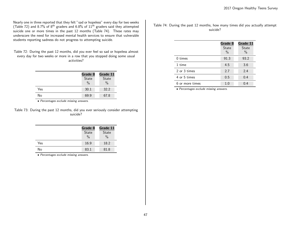Nearly one in three reported that they felt "sad or hopeless" every day for two weeks (Table 72) and 8.7% of  $8^{\text{th}}$  graders and 6.8% of  $11^{\text{th}}$  graders said they attempted suicide one or more times in the past 12 months (Table 74). These rates may underscore the need for increased mental health services to ensure that vulnerable students reporting sadness do not progress to attempting suicide.

Table 72: During the past 12 months, did you ever feel so sad or hopeless almost every day for two weeks or more in a row that you stopped doing some usual activities?

|     | Grade 8       |               |
|-----|---------------|---------------|
|     | State         | State         |
|     | $\frac{0}{0}$ | $\frac{0}{0}$ |
| Yes | 30.1          | 32.2          |
| No  | 69.9          | 67.8          |

• Percentages exclude missing answers.

Table 73: During the past 12 months, did you ever seriously consider attempting suicide?

|     | Grade 8<br>State<br>$\frac{0}{0}$ | Grade 11<br><b>State</b><br>$\frac{0}{0}$ |
|-----|-----------------------------------|-------------------------------------------|
| Yes | 16.9                              | 18.2                                      |
| No  | 83.1                              | 81.8                                      |

• Percentages exclude missing answers.

Table 74: During the past 12 months, how many times did you actually attempt suicide?

|                 | Grade 8<br><b>State</b><br>$\frac{0}{0}$ | Grade 11<br><b>State</b><br>$\frac{0}{0}$ |
|-----------------|------------------------------------------|-------------------------------------------|
| $0 \times$      | 91.3                                     | 93.2                                      |
| 1 time          | 4.5                                      | 3.6                                       |
| 2 or 3 times    | 2.7                                      | 2.4                                       |
| 4 or 5 times    | 0.5                                      | 0.4                                       |
| 6 or more times | 1.0                                      | 0.4                                       |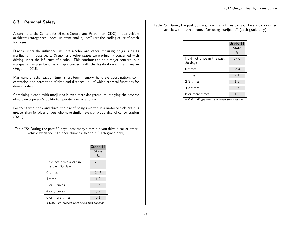## 8.3 Personal Safety

According to the Centers for Disease Control and Prevention (CDC), motor vehicle accidents (categorized under "unintentional injuries") are the leading cause of death for teens.

Driving under the influence, includes alcohol and other impairing drugs, such as marijuana. In past years, Oregon and other states were primarily concerned with driving under the influence of alcohol. This continues to be a major concern, but marijuana has also become a major concern with the legalization of marijuana in Oregon in 2015.

Marijuana affects reaction time, short-term memory, hand-eye coordination, concentration and perception of time and distance - all of which are vital functions for driving safely.

Combining alcohol with marijuana is even more dangerous, multiplying the adverse effects on a person's ability to operate a vehicle safely.

For teens who drink and drive, the risk of being involved in a motor vehicle crash is greater than for older drivers who have similar levels of blood alcohol concentration (BAC).

| Table 75: During the past 30 days, how many times did you drive a car or other |                                                               |  |
|--------------------------------------------------------------------------------|---------------------------------------------------------------|--|
|                                                                                | vehicle when you had been drinking alcohol? (11th grade only) |  |

|                                              | Grade 11<br><b>State</b><br>$\frac{0}{0}$ |
|----------------------------------------------|-------------------------------------------|
| I did not drive a car in<br>the past 30 days | 73.2                                      |
| $0 \times$                                   | 24.7                                      |
| 1 time                                       | 1.2                                       |
| 2 or 3 times                                 | 0.6                                       |
| 4 or 5 times                                 | 0.2                                       |
| 6 or more times                              | 0.1                                       |
| باعد ما                                      |                                           |

• Only 11<sup>th</sup> graders were asked this question.

Table 76: During the past 30 days, how many times did you drive a car or other vehicle within three hours after using marijuana? (11th grade only)

|                                        | Grade 11<br>State<br>$\%$ |
|----------------------------------------|---------------------------|
| I did not drive in the past<br>30 days | 37.0                      |
| $0 \times$                             | 57.4                      |
| 1 time                                 | 2.1                       |
| 2-3 times                              | 1.8                       |
| 4-5 times                              | 0.6                       |
| 6 or more times                        | 1.2                       |

 $\bullet$  Only 11<sup>th</sup> graders were asked this question.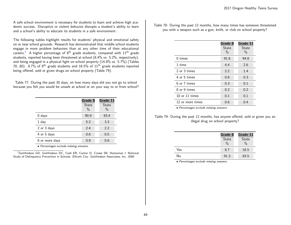A safe school environment is necessary for students to learn and achieve high academic success. Disruptive or violent behavior disrupts a student's ability to learn and a school's ability to educate its students in a safe environment.

The following tables highlight results for students' physical and emotional safety on or near school grounds. Research has demonstrated that middle school students engage in more problem behaviors than at any other time of their educational careers.<sup>[7](#page-48-0)</sup> A higher percentage of  $8<sup>th</sup>$  grade students, compared with  $11<sup>th</sup>$  grade students, reported having been threatened at school (8.4% vs. 5.2%, respectively), and being engaged in a physical fight on school property (14.8% vs. 5.7%) (Tables 78, 80). 8.7% of  $8<sup>th</sup>$  grade students and 16.5% of  $11<sup>th</sup>$  grade students reported being offered, sold or given drugs on school property (Table 79).

Table 77: During the past 30 days, on how many days did you not go to school because you felt you would be unsafe at school or on your way to or from school?

|                | Grade 8<br>State<br>$\%$ | Grade 11<br>State<br>$\%$ |
|----------------|--------------------------|---------------------------|
| $0$ days       | 90.9                     | 93.4                      |
| 1 day          | 5.2                      | 3.3                       |
| 2 or 3 days    | 2.4                      | 2.2                       |
| 4 or 5 days    | 0.6                      | 0.5                       |
| 6 or more days | 0.9                      | 0.6                       |

• Percentages exclude missing answers.

<span id="page-48-0"></span><sup>7</sup>Gottfredson GD, Gottfredson DC, Czeh ER, Cantor D, Crosse SB, Hantaman I. National Study of Delinquency Prevention in Schools. Ellicott City: Gottfredson Associates, Inc. 2000

Table 78: During the past 12 months, how many times has someone threatened you with a weapon such as a gun, knife, or club on school property?

|                  | Grade 8<br><b>State</b><br>$\frac{0}{0}$ | Grade 11<br>State<br>$\%$ |
|------------------|------------------------------------------|---------------------------|
| 0 times          | 91.6                                     | 94.8                      |
| 1 time           | 4.4                                      | 2.6                       |
| 2 or 3 times     | 2.2                                      | 1.4                       |
| 4 or 5 times     | 0.6                                      | 0.3                       |
| 6 or 7 times     | 0.3                                      | 0.1                       |
| 8 or 9 times     | 0.2                                      | 0.2                       |
| 10 or 11 times   | 0.1                                      | 0.1                       |
| 12 or more times | 0.6                                      | 0.4                       |

• Percentages exclude missing answers.

Table 79: During the past 12 months, has anyone offered, sold or given you an illegal drug on school property?

|     | Grade 8<br>State<br>$\frac{0}{0}$ | Grade 11<br><b>State</b><br>$\frac{0}{0}$ |
|-----|-----------------------------------|-------------------------------------------|
| Yes | 8.7                               | 16.5                                      |
| No  | 91.3                              | 83.5                                      |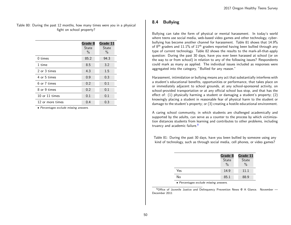Table 80: During the past 12 months, how many times were you in a physical fight on school property?

|                  | Grade 8<br>State<br>$\frac{0}{0}$ | Grade 11<br>State<br>$\%$ |
|------------------|-----------------------------------|---------------------------|
| $0 \times$       | 85.2                              | 94.3                      |
| 1 time           | 8.5                               | 3.2                       |
| 2 or 3 times     | 4.3                               | 1.5                       |
| 4 or 5 times     | 0.9                               | 0.3                       |
| 6 or 7 times     | 0.2                               | 0.1                       |
| 8 or 9 times     | 0.2                               | 0.1                       |
| 10 or $11$ times | 0.1                               | 0.1                       |
| 12 or more times | 0.4                               | 0.3                       |

• Percentages exclude missing answers.

## 8.4 Bullying

Bullying can take the form of physical or mental harassment. In today's world where teens use social media, web-based video games and other technology, cyberbullying has become another channel for harassment. Table 81 shows that 14.9% of  $8<sup>th</sup>$  graders and 11.1% of 11<sup>th</sup> graders reported having been bullied through any type of current technology. Table 82 shows the results to the mark-all-that-apply question: During the past 30 days, have you ever been harassed at school (or on the way to or from school) in relation to any of the following issues? Respondents could mark as many as applied. The individual issues included as responses were aggregated into the category, "Bullied for any reason."

Harassment, intimidation or bullying means any act that substantially interferes with a student's educational benefits, opportunities or performance, that takes place on or immediately adjacent to school grounds, at any school-sponsored activity, on school-provided transportation or at any official school bus stop, and that has the effect of: (1) physically harming a student or damaging a student's property; (2) knowingly placing a student in reasonable fear of physical harm to the student or damage to the student's property; or (3) creating a hostile educational environment.

A caring school community, in which students are challenged academically and supported by the adults, can serve as a counter to the process by which victimization distances students from learning and contributes to other problems, including truancy and academic failure.<sup>[8](#page-49-0)</sup>

Table 81: During the past 30 days, have you been bullied by someone using any kind of technology, such as through social media, cell phones, or video games?

|     | Grade 8<br>State<br>$\frac{0}{0}$ | Grade 11<br>State<br>$\frac{0}{0}$ |
|-----|-----------------------------------|------------------------------------|
| Yes | 14.9                              | 11.1                               |
| No  | 85.1                              | 88.9                               |

• Percentages exclude missing answers.

<span id="page-49-0"></span> $8$ Office of Juvenile Justice and Delinquency Prevention News @ A Glance. November  $-$ December 2011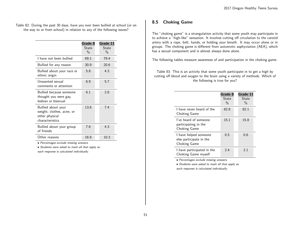Table 82: During the past 30 days, have you ever been bullied at school (or on the way to or from school) in relation to any of the following issues?

|                                                                                      | Grade 8<br>State<br>$\frac{0}{0}$ | Grade 11<br>State<br>$\frac{0}{0}$ |
|--------------------------------------------------------------------------------------|-----------------------------------|------------------------------------|
| I have not been bullied                                                              | 69.1                              | 79.4                               |
| Bullied for any reason                                                               | 30.9                              | 20.6                               |
| Bullied about your race or<br>ethnic origin                                          | 5.8                               | 4.3                                |
| Unwanted sexual<br>comments or attention                                             | 6.9                               | 5.7                                |
| Bullied because someone<br>thought you were gay,<br>lesbian or bisexual              | 6.1                               | 2.8                                |
| Bullied about your<br>weight, clothes, acne, or<br>other physical<br>characteristics | 13.6                              | 74                                 |
| Bullied about your group<br>of friends                                               | 7.6                               | 4.3                                |
| Other reasons                                                                        | 16.8                              | 10.3                               |

• Percentages exclude missing answers.

• Students were asked to mark all that apply so

each response is calculated individually.

#### 8.5 Choking Game

The "choking game" is a strangulation activity that some youth may participate in to achieve a "high-like" sensation. It involves cutting off circulation to the carotid artery with a rope, belt, hands, or holding your breath. It may occur alone or in groups. The choking game is different from autoerotic asphyxiation (AEA), which has a sexual component and is almost always done alone.

The following tables measure awareness of and participation in the choking game.

Table 83: This is an activity that some youth participate in to get a high by cutting off blood and oxygen to the brain using a variety of methods. Which of the following is true for you?

|                                                                  | Grade 8<br>State<br>$\frac{0}{0}$ | Grade 11<br>State<br>$\%$ |
|------------------------------------------------------------------|-----------------------------------|---------------------------|
| I have never heard of the<br>Choking Game                        | 82.8                              | 82.1                      |
| I've heard of someone<br>participating in the<br>Choking Game    | 15.1                              | 15.8                      |
| I have helped someone<br>else participate in the<br>Choking Game | 0.5                               | 0.6                       |
| I have participated in the<br>Choking Game myself                | 2.4                               | 2.1                       |

• Percentages exclude missing answers.

• Students were asked to mark all that apply so each response is calculated individually.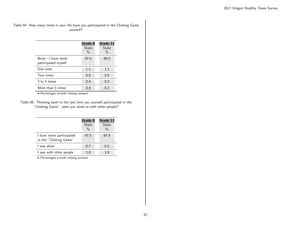#### Table 84: How many times in your life have you participated in the Choking Game yourself?

|                                            | Grade 8<br>State<br>$\frac{0}{0}$ | Grade 11<br>State<br>$\frac{0}{0}$ |
|--------------------------------------------|-----------------------------------|------------------------------------|
| None - I have never<br>participated myself | 97.5                              | 98.0                               |
| One time                                   | 1.1                               | 1.1                                |
| Two times                                  | 0.6                               | 0.5                                |
| 3 to 5 times                               | 0.4                               | 0.3                                |
| More than 5 times                          | 0.4                               | 0.2                                |

• Percentages exclude missing answers.

Table 85: Thinking back to the last time you yourself participated in the "Choking Game", were you alone or with other people?

|                                                    | Grade 8       | Grade 11      |
|----------------------------------------------------|---------------|---------------|
|                                                    | <b>State</b>  | State         |
|                                                    | $\frac{0}{0}$ | $\frac{0}{0}$ |
| I have never participated<br>in the "Choking Game" | 97.5          | 97.9          |
| L was alone                                        | 0.7           | 0.5           |
| I was with other people                            | 1.8           | 1.6           |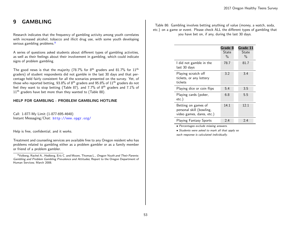# 9 GAMBLING

Research indicates that the frequency of gambling activity among youth correlates with increased alcohol, tobacco and illicit drug use, with some youth developing serious gambling problems.<sup>[9](#page-52-0)</sup>

A series of questions asked students about different types of gambling activities, as well as their feelings about their involvement in gambling, which could indicate signs of problem gambling.

The good news is that the majority (78.7% for  $8<sup>th</sup>$  graders and 81.7% for  $11<sup>th</sup>$ graders) of student respondents did not gamble in the last 30 days and that percentage held fairly consistent for all the scenarios presented on the survey. Yet, of those who reported betting, 93.8% of 8<sup>th</sup> graders and 95.8% of 11<sup>th</sup> graders do not feel they want to stop betting (Table 87), and 7.7% of 8th graders and 7.1% of  $11<sup>th</sup>$  graders have bet more than they wanted to (Table 88).

#### HELP FOR GAMBLING - PROBLEM GAMBLING HOTLINE

Call: 1-877-My Limit (1-877-695-4648) Instant Messaging/Chat: <http://www.opgr.org/>

Help is free, confidential, and it works.

Treatment and counseling services are available free to any Oregon resident who has problems related to gambling either as a problem gambler or as a family member or friend of a problem gambler.

Table 86: Gambling involves betting anything of value (money, a watch, soda, etc.) on a game or event. Please check ALL the different types of gambling that you have bet on, if any, during the last 30 days.

|                                                                              | Grade 8<br>State<br>$\frac{0}{0}$ | Grade 11<br>State<br>$\frac{0}{0}$ |
|------------------------------------------------------------------------------|-----------------------------------|------------------------------------|
| I did not gamble in the<br>last 30 days                                      | 78.7                              | 81.7                               |
| Playing scratch off<br>tickets, or any lottery<br>tickets                    | 3.2                               | 3.4                                |
| Playing dice or coin flips                                                   | 5.4                               | 3.5                                |
| Playing cards (poker,<br>$etc.$ )                                            | 6.8                               | 5.5                                |
| Betting on games of<br>personal skill (bowling,<br>video games, dares, etc.) | 14.1                              | 12.1                               |
| <b>Playing Fantasy Sports</b>                                                | 2.4                               | 2.4                                |

• Percentages exclude missing answers.

• Students were asked to mark all that apply so each response is calculated individually.

<span id="page-52-0"></span><sup>9</sup>Volberg, Rachel A., Hedberg, Eric C. and Moore, Thomas L., Oregon Youth and Their Parents: Gambling and Problem Gambling Prevalence and Attitudes; Report to the Oregon Department of Human Services; March 2008.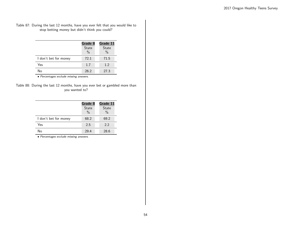#### Table 87: During the last 12 months, have you ever felt that you would like to stop betting money but didn't think you could?

|                       | Grade 8<br><b>State</b><br>$\frac{0}{0}$ | Grade 11<br><b>State</b><br>$\%$ |
|-----------------------|------------------------------------------|----------------------------------|
| I don't bet for money | 72.1                                     | 71.5                             |
| Yes                   | 1.7                                      | 1.2                              |
| No                    | 26.2                                     | 27.3                             |

• Percentages exclude missing answers.

| Table 88: During the last 12 months, have you ever bet or gambled more than |  |  |                |  |  |  |  |
|-----------------------------------------------------------------------------|--|--|----------------|--|--|--|--|
|                                                                             |  |  | you wanted to? |  |  |  |  |

|                       | Grade 8<br><b>State</b><br>$\frac{0}{0}$ | Grade 11<br><b>State</b><br>$\frac{0}{0}$ |
|-----------------------|------------------------------------------|-------------------------------------------|
| I don't bet for money | 68.2                                     | 69.2                                      |
| Yes                   | 2.5                                      | 22                                        |
| N٥                    | 29.4                                     | 28.6                                      |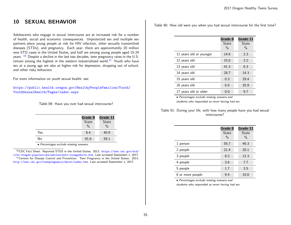# 10 SEXUAL BEHAVIOR

Adolescents who engage in sexual intercourse are at increased risk for a number of health, social and economic consequences. Unprotected sex and multiple sex partners place young people at risk for HIV infection, other sexually transmitted diseases (STDs), and pregnancy. Each year, there are approximately 20 million new STD cases in the United States, and half are among young people aged 15-24 years.  $10$  Despite a decline in the last two decades, teen pregnancy rates in the U.S. remain among the highest in the western industrialized world.<sup>[11](#page-54-1)</sup> Youth who have sex at a young age are also at higher risk for depression, dropping out of school, and other risky behaviors.

For more information on youth sexual health, see:

[https://public.health.oregon.gov/HealthyPeopleFamilies/Youth/](https://public.health.oregon.gov/HealthyPeopleFamilies/Youth/YouthSexualHealth/Pages/index.aspx) [YouthSexualHealth/Pages/index.aspx](https://public.health.oregon.gov/HealthyPeopleFamilies/Youth/YouthSexualHealth/Pages/index.aspx)

Table 89: Have you ever had sexual intercourse?

|     | Grade 8       | Grade 11      |
|-----|---------------|---------------|
|     | State         | <b>State</b>  |
|     | $\frac{0}{0}$ | $\frac{0}{0}$ |
| Yes | 8.4           | 40.9          |
| No  | 91.6          | 59.1          |

• Percentages exclude missing answers.

<span id="page-54-1"></span><span id="page-54-0"></span><sup>10</sup>CDC Fact Sheet. Reported STDS in the United States. 2013. [https://www.cdc.gov/std/](https://www.cdc.gov/std/life-stages-populations/adolescents-youngadults.htm) [life-stages-populations/adolescents-youngadults.htm](https://www.cdc.gov/std/life-stages-populations/adolescents-youngadults.htm). Last accessed September 1, 2017. <sup>11</sup>Centers for Disease Control and Prevention. Teen Pregnancy in the United States. 2013. <http://www.cdc.gov/teenpregnancy/about/index.htm>. Last accessed September 1, 2017.

Table 90: How old were you when you had sexual intercourse for the first time?

|                         | Grade 8<br>State<br>$\%$ | Grade 11<br>State<br>$\%$ |
|-------------------------|--------------------------|---------------------------|
| 11 years old or younger | 14.6                     | 2.3                       |
| 12 years old            | 15.0                     | 2.2                       |
| 13 years old            | 41.3                     | 6.3                       |
| 14 years old            | 28.7                     | 14.3                      |
| 15 years old            | 0.3                      | 29.4                      |
| 16 years old            | 0.0                      | 35.9                      |
| 17 years old or older   | 0.0                      | 9.7                       |

• Percentages exclude missing answers and

students who responded as never having had sex

Table 91: During your life, with how many people have you had sexual intercourse?

|                  | Grade 8<br>State<br>$\frac{0}{0}$ | Grade 11<br><b>State</b><br>$\frac{0}{0}$ |
|------------------|-----------------------------------|-------------------------------------------|
| 1 person         | 55.7                              | 46.3                                      |
| 2 people         | 21.4                              | 20.1                                      |
| 3 people         | 8.2                               | 12.3                                      |
| 4 people         | 3.6                               | 7.7                                       |
| 5 people         | 1.7                               | 3.5                                       |
| 6 or more people | 9.4                               | 10.0                                      |

• Percentages exclude missing answers and

students who responded as never having had sex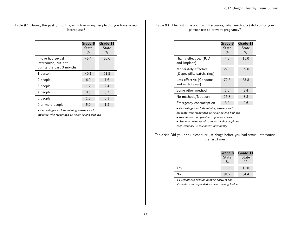Table 92: During the past 3 months, with how many people did you have sexual intercourse?

|                                                                       | Grade 8<br>State<br>$\%$ | Grade 11<br>State<br>$\%$ |
|-----------------------------------------------------------------------|--------------------------|---------------------------|
| I have had sexual<br>intercourse, but not<br>during the past 3 months | 45.4                     | 26.6                      |
| 1 person                                                              | 40.1                     | 61.5                      |
| 2 people                                                              | 6.9                      | 7.6                       |
| 3 people                                                              | 1.2                      | 2.4                       |
| 4 people                                                              | 0.5                      | 0.7                       |
| 5 people                                                              | 1.0                      | 0.1                       |
| 6 or more people                                                      | 5.0                      | 1.2                       |

• Percentages exclude missing answers and

students who responded as never having had sex

|  |  | Table 93: The last time you had intercourse, what method(s) did you or your |  |  |  |
|--|--|-----------------------------------------------------------------------------|--|--|--|
|  |  | partner use to prevent pregnancy?                                           |  |  |  |

|                                                     | Grade 8<br>State<br>$\frac{0}{0}$ | Grade 11<br>State<br>$\frac{0}{0}$ |
|-----------------------------------------------------|-----------------------------------|------------------------------------|
| Highly effective: (IUD<br>and Implant)              | 4.3                               | 15.0                               |
| Moderately effective:<br>(Depo, pills, patch, ring) | 29.3                              | 39.6                               |
| Less effective (Condoms<br>and withdrawal)          | 72.6                              | 65.8                               |
| Some other method                                   | 5.3                               | 3.4                                |
| No methods/Not sure                                 | 15.3                              | 8.3                                |
| Emergency contraception                             | 3.9                               | 2.6                                |

• Percentages exclude missing answers and

students who responded as never having had sex

• Results not comparable to previous years.

• Students were asked to mark all that apply so

each response is calculated individually.

Table 94: Did you drink alcohol or use drugs before you had sexual intercourse the last time?

|     | Grade 8       | Grade 11 |  |  |
|-----|---------------|----------|--|--|
|     | State         | State    |  |  |
|     | $\frac{0}{0}$ | $\%$     |  |  |
| Yes | 18.3          | 15.6     |  |  |
| No  | 81.7          | 84.4     |  |  |

• Percentages exclude missing answers and

students who responded as never having had sex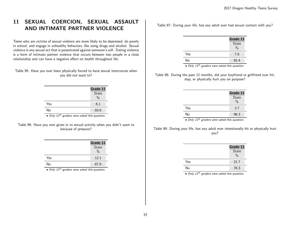# 11 SEXUAL COERCION, SEXUAL ASSAULT AND INTIMATE PARTNER VIOLENCE

Teens who are victims of sexual violence are more likely to be depressed, do poorly in school, and engage in unhealthy behaviors, like using drugs and alcohol. Sexual violence is any sexual act that is perpetrated against someone's will. Dating violence is a form of intimate partner violence that occurs between two people in a close relationship and can have a negative effect on health throughout life.

Table 95: Have you ever been physically forced to have sexual intercourse when you did not want to?

|     | Grade 11<br>State<br>$\frac{0}{0}$ |
|-----|------------------------------------|
| Yes | 6.1                                |
| No  | 93.9                               |

• Only 11<sup>th</sup> graders were asked this question.

Table 96: Have you ever given in to sexual activity when you didn't want to because of pressure?

|     | Grade 11      |
|-----|---------------|
|     | State         |
|     | $\frac{0}{0}$ |
| Yes | 12.1          |
| No  | 87.9          |

• Only 11<sup>th</sup> graders were asked this question.

Table 97: During your life, has any adult ever had sexual contact with you?

|     | Grade 11      |
|-----|---------------|
|     | State         |
|     | $\frac{0}{0}$ |
| Yes | 7.6           |
| No  | 92.4          |

 $\bullet$  Only  $11^{th}$  graders were asked this question.

Table 98: During the past 12 months, did your boyfriend or girlfriend ever hit, slap, or physically hurt you on purpose?

|     | Grade 11<br>State<br>$\frac{0}{0}$ |
|-----|------------------------------------|
| Yes | 3.7                                |
| No  | 96.3                               |

 $\bullet$  Only 11<sup>th</sup> graders were asked this question.

Table 99: During your life, has any adult ever intentionally hit or physically hurt you?

|     | Grade 11<br>State<br>$\frac{0}{0}$ |
|-----|------------------------------------|
| Yes | 21.7                               |
| No  | 78.3                               |

 $\bullet$  Only 11<sup>th</sup> graders were asked this question.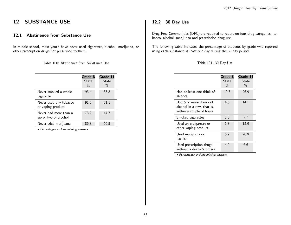# 12 SUBSTANCE USE

## 12.1 Abstinence from Substance Use

In middle school, most youth have never used cigarettes, alcohol, marijuana, or other prescription drugs not prescribed to them.

Table 100: Abstinence from Substance Use

|                                                | Grade 8<br>State<br>$\frac{0}{0}$ | Grade 11<br>State<br>$\%$ |
|------------------------------------------------|-----------------------------------|---------------------------|
| Never smoked a whole<br>cigarette              | 93.4                              | 83.8                      |
| Never used any tobacco<br>or vaping product    | 91.6                              | 81.1                      |
| Never had more than a<br>sip or two of alcohol | 73.2                              | 44.7                      |
| Never tried marijuana                          | 86.3                              | 60.5                      |

• Percentages exclude missing answers.

## 12.2 30 Day Use

Drug-Free Communities (DFC) are required to report on four drug categories: tobacco, alcohol, marijuana and prescription drug use.

The following table indicates the percentage of students by grade who reported using each substance at least one day during the 30 day period.

| Table 101: 30 Day Use |  |  |  |  |
|-----------------------|--|--|--|--|
|-----------------------|--|--|--|--|

|                                                                                   | Grade 8<br>State<br>$\%$ | Grade 11<br>State<br>$\frac{0}{0}$ |
|-----------------------------------------------------------------------------------|--------------------------|------------------------------------|
| Had at least one drink of<br>alcohol                                              | 10.3                     | 26.9                               |
| Had 5 or more drinks of<br>alcohol in a row, that is,<br>within a couple of hours | 4.6                      | 14.1                               |
| Smoked cigarettes                                                                 | 3.0                      | 7.7                                |
| Used an e-cigarette or<br>other vaping product                                    | 6.3                      | 12.9                               |
| Used marijuana or<br>hashish                                                      | 6.7                      | 20.9                               |
| Used prescription drugs<br>without a doctor's orders                              | 4.9                      | 6.6                                |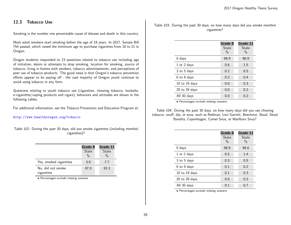## 12.3 Tobacco Use

Smoking is the number one preventable cause of disease and death in this country.

Most adult smokers start smoking before the age of 18 years. In 2017, Senate Bill 754 passed, which raised the minimum age to purchase cigarettes from 18 to 21 in Oregon.

Oregon students responded to 23 questions related to tobacco use including age of initiation, desire or attempts to stop smoking, location for smoking, source of tobacco, living in homes with smokers, tobacco advertisements, and perceptions of peer use of tobacco products. The good news is that Oregon's tobacco prevention efforts appear to be paying off - the vast majority of Oregon youth continue to avoid using tobacco in any form.

Questions relating to youth tobacco use (cigarettes, chewing tobacco, hookahs, e-cigarettes/vaping products and cigars), behaviors and attitudes are shown in the following tables.

For additional information, see the Tobacco Prevention and Education Program at:

#### <http://www.healthoregon.org/tobacco>

Table 102: During the past 30 days, did you smoke cigarettes (including menthol cigarettes)?

|                                 | Grade 8<br><b>State</b><br>$\frac{0}{0}$ | Grade 11<br><b>State</b><br>$\frac{0}{0}$ |
|---------------------------------|------------------------------------------|-------------------------------------------|
| Yes, smoked cigarettes          | 3.0                                      | 7.7                                       |
| No, did not smoke<br>cigarettes | 97.0                                     | 92.3                                      |

• Percentages exclude missing answers.

Table 103: During the past 30 days, on how many days did you smoke menthol cigarettes?

|                   | Grade 8<br>State<br>$\frac{0}{0}$ | Grade 11<br>State<br>$\frac{0}{0}$ |
|-------------------|-----------------------------------|------------------------------------|
| $0$ days          | 98.9                              | 96.9                               |
| 1 or 2 days       | 0.6                               | 1.5                                |
| 3 to 5 days       | 0.2                               | 0.5                                |
| 6 to 9 days       | 0.2                               | 0.4                                |
| 10 to 19 days     | 0.0                               | 0.3                                |
| $20$ to $29$ days | 0.0                               | 0.2                                |
| All 30 days       | 0.0                               | 0.2                                |

• Percentages exclude missing answers.

Table 104: During the past 30 days, on how many days did you use chewing tobacco, snuff, dip, or snus, such as Redman, Levi Garrett, Beechnut, Skoal, Skoal Bandits, Copenhagen, Camel Snus, or Marlboro Snus?

|                   | Grade 8<br>State<br>$\frac{0}{0}$ | Grade 11<br>State<br>$\%$ |
|-------------------|-----------------------------------|---------------------------|
| 0 days            | 98.9                              | 96.6                      |
| 1 or 2 days       | 0.5                               | 1.4                       |
| 3 to 5 days       | 0.3                               | 0.5                       |
| 6 to 9 days       | 0.1                               | 0.2                       |
| 10 to 19 days     | 0.1                               | 0.3                       |
| $20$ to $29$ days | 0.0                               | 0.3                       |
| All 30 days       | 0.1                               | 0.7                       |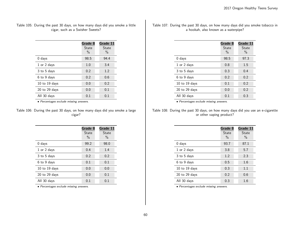Table 105: During the past 30 days, on how many days did you smoke a little cigar, such as a Swisher Sweets?

|                   | Grade 8<br>State<br>$\%$ | Grade 11<br>State<br>$\%$ |
|-------------------|--------------------------|---------------------------|
| $0$ days          | 98.5                     | 94.4                      |
| 1 or 2 days       | 1.0                      | 3.4                       |
| 3 to 5 days       | 0.2                      | 1.2                       |
| 6 to 9 days       | 0.2                      | 0.6                       |
| 10 to 19 days     | 0.0                      | 0.2                       |
| $20$ to $29$ days | 0.0                      | 0.1                       |
| All 30 days       | 0.1                      | 0.1                       |

• Percentages exclude missing answers.

Table 106: During the past 30 days, on how many days did you smoke a large cigar?

|                   | Grade 8<br>State<br>$\%$ | Grade 11<br>State<br>$\%$ |
|-------------------|--------------------------|---------------------------|
| $0$ days          | 99.2                     | 98.0                      |
| 1 or 2 days       | 0.4                      | 1.4                       |
| 3 to 5 days       | 0.2                      | 0.2                       |
| 6 to 9 days       | 0.1                      | 0.1                       |
| 10 to 19 days     | 0.0                      | 0.0                       |
| $20$ to $29$ days | 0.0                      | 0.1                       |
| All 30 days       | 0.1                      | 0.1                       |

• Percentages exclude missing answers.

Table 107: During the past 30 days, on how many days did you smoke tobacco in a hookah, also known as a waterpipe?

|                   | Grade 8<br>State<br>$\frac{0}{0}$ | Grade 11<br>State<br>$\%$ |
|-------------------|-----------------------------------|---------------------------|
| $0$ days          | 98.5                              | 97.3                      |
| 1 or 2 days       | 0.8                               | 1.5                       |
| 3 to 5 days       | 0.3                               | 0.4                       |
| 6 to 9 days       | 0.2                               | 0.2                       |
| 10 to 19 days     | 0.1                               | 0.2                       |
| $20$ to $29$ days | 0.0                               | 0.2                       |
| All 30 days       | 0.1                               | 0.3                       |

• Percentages exclude missing answers.

Table 108: During the past 30 days, on how many days did you use an e-cigarette or other vaping product?

|                   | Grade 8<br>State<br>$\frac{0}{0}$ | Grade 11<br>State<br>$\%$ |
|-------------------|-----------------------------------|---------------------------|
| 0 days            | 93.7                              | 87.1                      |
| 1 or 2 days       | 3.8                               | 5.7                       |
| 3 to 5 days       | 1.2                               | 2.3                       |
| 6 to 9 days       | 0.5                               | 1.6                       |
| $10$ to $19$ days | 0.3                               | 1.1                       |
| $20$ to $29$ days | 0.2                               | 0.6                       |
| All 30 days       | 0.3                               | 1.6                       |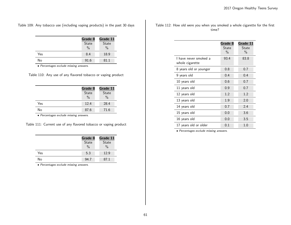Table 109: Any tobacco use (including vaping products) in the past 30 days

|     | Grade 8<br>State<br>$\frac{0}{0}$ | Grade 11<br>State<br>$\frac{0}{0}$ |
|-----|-----------------------------------|------------------------------------|
| Yes | 8.4                               | 18.9                               |
| No  | 91.6                              | 81.1                               |

• Percentages exclude missing answers.

Table 110: Any use of any flavored tobacco or vaping product

|     | Grade 8       | Grade 11      |
|-----|---------------|---------------|
|     | State         | <b>State</b>  |
|     | $\frac{0}{0}$ | $\frac{0}{0}$ |
| Yes | 12.4          | 28.4          |
| No  | 87.6          | 71.6          |

• Percentages exclude missing answers.

Table 111: Current use of any flavored tobacco or vaping product

|     | Grade 8<br>State<br>$\frac{0}{0}$ | Grade 11<br>State<br>$\frac{0}{0}$ |
|-----|-----------------------------------|------------------------------------|
| Yes | 5.3                               | 12.9                               |
| No  | 94.7                              | 87.1                               |

• Percentages exclude missing answers.

Table 112: How old were you when you smoked a whole cigarette for the first time?

|                                          | Grade 8<br>State<br>$\%$ | Grade 11<br>State<br>$\%$ |
|------------------------------------------|--------------------------|---------------------------|
| I have never smoked a<br>whole cigarette | 93.4                     | 83.8                      |
| 8 years old or younger                   | 0.8                      | 0.7                       |
| 9 years old                              | 0.4                      | 0.4                       |
| 10 years old                             | 0.6                      | 0.7                       |
| 11 years old                             | 0.9                      | 0.7                       |
| 12 years old                             | 1.2                      | 1.2                       |
| 13 years old                             | 1.9                      | 2.0                       |
| 14 years old                             | 0.7                      | 2.4                       |
| 15 years old                             | 0.0                      | 3.6                       |
| 16 years old                             | 0.0                      | 3.5                       |
| 17 years old or older                    | 0.1                      | 1.0                       |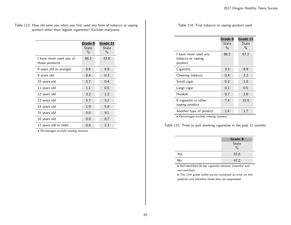Table 113: How old were you when you first used any form of tobacco or vaping product other than regular cigarettes? Exclude marijuana.

|                                            | Grade 8<br>State<br>$\frac{0}{0}$ | Grade 11<br>State<br>$\%$ |
|--------------------------------------------|-----------------------------------|---------------------------|
| I have never used any of<br>those products | 86.2                              | 67.6                      |
| 8 years old or younger                     | 0.8                               | 0.8                       |
| 9 years old                                | 0.4                               | 0.3                       |
| 10 years old                               | 0.7                               | 0.4                       |
| 11 years old                               | 1.1                               | 0.5                       |
| 12 years old                               | 3.2                               | 1.2                       |
| 13 years old                               | 5.7                               | 3.2                       |
| 14 years old                               | 1.9                               | 5.8                       |
| 15 years old                               | 0.0                               | 9.1                       |
| 16 years old                               | 0.0                               | 8.7                       |
| 17 years old or older                      | 0.0                               | 2.3                       |

• Percentages exclude missing answers.

Table 114: First tobacco or vaping product used

|                                                       | Grade 8<br>State<br>$\%$ | Grade 11<br>State<br>$\%$ |
|-------------------------------------------------------|--------------------------|---------------------------|
| I have never used any<br>tobacco or vaping<br>product | 86.2                     | 67.2                      |
| Cigarette                                             | 3.5                      | 8.9                       |
| Chewing tobacco                                       | 0.4                      | 2.2                       |
| Small cigar                                           | 0.3                      | 1.0                       |
| Large cigar                                           | 0.1                      | 0.5                       |
| Hookah                                                | 0.7                      | 2.6                       |
| E-cigarette or other<br>vaping product                | 7.4                      | 15.9                      |
| Another type of product                               | 1.4                      | 1.7                       |

• Percentages exclude missing answers.

Table 115: Tried to quit smoking cigarettes in the past 12 months

|     | Grade 8                |
|-----|------------------------|
|     | State<br>$\frac{0}{0}$ |
| Yes | 52.8                   |
| No  | 47.2                   |

• Self-identified 30 day cigarette smokers (menthol and non-menthol).

• The 11th grade online survey contained an error on this question and therefore those data are suppressed.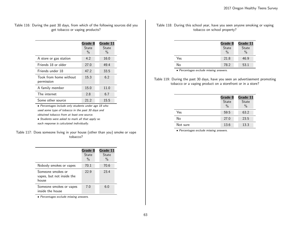Table 116: During the past 30 days, from which of the following sources did you get tobacco or vaping products?

|                                      | Grade 8<br>State<br>$\frac{0}{0}$ | Grade 11<br>State<br>$\%$ |
|--------------------------------------|-----------------------------------|---------------------------|
| A store or gas station               | 4.2                               | 16.0                      |
| Friends 18 or older                  | 27.0                              | 49.4                      |
| Friends under 18                     | 47.2                              | 33.5                      |
| Took from home without<br>permission | 15.3                              | 6.2                       |
| A family member                      | 15.0                              | 11.0                      |
| The internet                         | 2.8                               | 6.7                       |
| Some other source                    | 21.2                              | 15.5                      |

• Percentages include only students under age 18 who used some type of tobacco in the past 30 days and obtained tobacco from at least one source.

• Students were asked to mark all that apply so each response is calculated individually.

Table 117: Does someone living in your house (other than you) smoke or vape tobacco?

|                                                         | Grade 8<br><b>State</b><br>$\frac{0}{0}$ | Grade 11<br>State<br>$\%$ |
|---------------------------------------------------------|------------------------------------------|---------------------------|
| Nobody smokes or vapes                                  | 70.1                                     | 70.6                      |
| Someone smokes or<br>vapes, but not inside the<br>house | 22.9                                     | 23.4                      |
| Someone smokes or vapes<br>inside the house             | 7.0                                      | 6.0                       |

• Percentages exclude missing answers.

Table 118: During this school year, have you seen anyone smoking or vaping tobacco on school property?

|     | Grade 8<br>State<br>$\frac{0}{0}$ | Grade 11<br>State<br>$\frac{0}{0}$ |
|-----|-----------------------------------|------------------------------------|
| Yes | 21.8                              | 46.9                               |
| No  | 78.2                              | 53.1                               |

• Percentages exclude missing answers.

Table 119: During the past 30 days, have you seen an advertisement promoting tobacco or a vaping product on a storefront or in a store?

|          | Grade 8<br>State<br>$\frac{0}{0}$ | Grade 11<br><b>State</b><br>$\%$ |
|----------|-----------------------------------|----------------------------------|
| Yes      | 59.5                              | 63.2                             |
| No       | 27.0                              | 23.5                             |
| Not sure | 13.6                              | 13.3                             |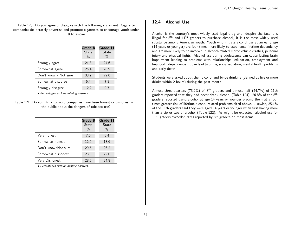Table 120: Do you agree or disagree with the following statement: Cigarette companies deliberately advertise and promote cigarettes to encourage youth under 18 to smoke.

|                       | Grade 8<br>State<br>$\frac{0}{0}$ | Grade 11<br><b>State</b><br>$\%$ |
|-----------------------|-----------------------------------|----------------------------------|
| Strongly agree        | 21.3                              | 24.6                             |
| Somewhat agree        | 26.4                              | 28.9                             |
| Don't know / Not sure | 33.7                              | 29.0                             |
| Somewhat disagree     | 6.4                               | 7.8                              |
| Strongly disagree     | 12.2                              | 9.7                              |

• Percentages exclude missing answers.

Table 121: Do you think tobacco companies have been honest or dishonest with the public about the dangers of tobacco use?

|                     | Grade 8<br>State<br>$\frac{0}{0}$ | Grade 11<br>State<br>$\%$ |
|---------------------|-----------------------------------|---------------------------|
| Very honest         | 7.0                               | 8.4                       |
| Somewhat honest     | 12.0                              | 18.6                      |
| Don't know/Not sure | 29.6                              | 26.2                      |
| Somewhat dishonest  | 23.0                              | 22.0                      |
| Very Dishonest      | 28.5                              | 24.8                      |

• Percentages exclude missing answers.

### 12.4 Alcohol Use

Alcohol is the country's most widely used legal drug and, despite the fact it is illegal for  $8<sup>th</sup>$  and  $11<sup>th</sup>$  graders to purchase alcohol, it is the most widely used substance among American youth. Youth who initiate alcohol use at an early age (14 years or younger) are four times more likely to experience lifetime dependency and are more likely to be involved in alcohol-related motor vehicle crashes, personal injury and physical fights. Alcohol use during adolescence can cause lasting brain impairment leading to problems with relationships, education, employment and financial independence. It can lead to crime, social isolation, mental health problems and early death.

Students were asked about their alcohol and binge drinking (defined as five or more drinks within 2 hours) during the past month.

Almost three-quarters (73.2%) of  $8<sup>th</sup>$  graders and almost half (44.7%) of 11th graders reported that they had never drank alcohol (Table 124). 26.8% of the 8<sup>th</sup> graders reported using alcohol at age 14 years or younger placing them at a four times greater risk of lifetime alcohol-related problems cited above. Likewise, 25.1% of the 11th graders said they were aged 14 years or younger when first having more than a sip or two of alcohol (Table 122). As might be expected, alcohol use for  $11<sup>th</sup>$  graders exceeded rates reported by  $8<sup>th</sup>$  graders on most items.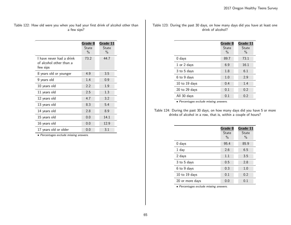Table 122: How old were you when you had your first drink of alcohol other than a few sips?

|                                                                 | Grade 8<br>State<br>$\frac{0}{0}$ | Grade 11<br>State<br>$\frac{0}{0}$ |
|-----------------------------------------------------------------|-----------------------------------|------------------------------------|
| I have never had a drink<br>of alcohol other than a<br>few sips | 73.2                              | 44.7                               |
| 8 years old or younger                                          | 4.9                               | 3.5                                |
| 9 years old                                                     | 1.4                               | 0.9                                |
| 10 years old                                                    | 2.2                               | 1.9                                |
| 11 years old                                                    | 2.5                               | 1.3                                |
| 12 years old                                                    | 4.7                               | 3.2                                |
| 13 years old                                                    | 8.3                               | 5.4                                |
| 14 years old                                                    | 2.8                               | 8.9                                |
| 15 years old                                                    | 0.0                               | 14.1                               |
| 16 years old                                                    | 0.0                               | 12.9                               |
| 17 years old or older                                           | 0.0                               | 3.1                                |

• Percentages exclude missing answers.

| Table 123: During the past 30 days, on how many days did you have at least one |  |  |  |                   |  |  |  |  |
|--------------------------------------------------------------------------------|--|--|--|-------------------|--|--|--|--|
|                                                                                |  |  |  | drink of alcohol? |  |  |  |  |

|                   | Grade 8<br>State<br>$\frac{0}{0}$ | Grade 11<br>State<br>$\%$ |
|-------------------|-----------------------------------|---------------------------|
| $0$ days          | 89.7                              | 73.1                      |
| 1 or 2 days       | 6.9                               | 16.1                      |
| 3 to 5 days       | 1.8                               | 6.1                       |
| 6 to 9 days       | 1.0                               | 2.9                       |
| 10 to 19 days     | 0.4                               | 1.4                       |
| $20$ to $29$ days | 0.1                               | 0.2                       |
| All 30 days       | 0.1                               | 0.2                       |

• Percentages exclude missing answers.

Table 124: During the past 30 days, on how many days did you have 5 or more drinks of alcohol in a row, that is, within a couple of hours?

|                   | Grade 8<br>State<br>$\frac{0}{0}$ | Grade 11<br>State<br>$\%$ |
|-------------------|-----------------------------------|---------------------------|
| $0$ days          | 95.4                              | 85.9                      |
| 1 day             | 2.6                               | 6.5                       |
| 2 days            | 1.1                               | 3.5                       |
| 3 to 5 days       | 0.5                               | 2.8                       |
| 6 to 9 days       | 0.3                               | 1.0                       |
| $10$ to $19$ days | 0.1                               | 0.2                       |
| 20 or more days   | 0.0                               | 0.1                       |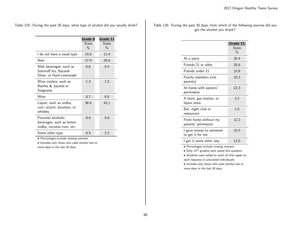Table 125: During the past 30 days, what type of alcohol did you usually drink?

|                                                                              | Grade 8<br>State<br>$\frac{0}{0}$ | Grade 11<br>State<br>$\frac{0}{0}$ |
|------------------------------------------------------------------------------|-----------------------------------|------------------------------------|
| I do not have a usual type                                                   | 14.0                              | 11.4                               |
| <b>Beer</b>                                                                  | 17.9                              | 20.6                               |
| Malt beverages, such as<br>Smirnoff Ice, Bacardi<br>Silver, or Hard Lemonade | 6.6                               | 5.4                                |
| Wine coolers, such as<br>Bartles & Jaymes or<br>Seagrams                     | 1.3                               | 1.5                                |
| Wine                                                                         | 8.7                               | 6.8                                |
| Liquor, such as vodka,<br>rum, scotch, bourbon, or<br>whiskey                | 36.4                              | 42.1                               |
| Flavored alcoholic<br>beverages, such as lemon<br>vodka, coconut rum, etc.   | 8.8                               | 9.8                                |
| Some other type                                                              | 6.5                               | 2.3                                |

• Percentages exclude missing answers.

• Includes only those who used alcohol one or more days in the last 30 days.

Table 126: During the past 30 days, from which of the following sources did you get the alcohol you drank?

|                                             | Grade 11<br>State<br>$\frac{0}{0}$ |
|---------------------------------------------|------------------------------------|
| At a party                                  | 35.4                               |
| Friends 21 or older                         | 20.6                               |
| Friends under 21                            | 23.9                               |
| Family members (not<br>parents)             | 10.3                               |
| At home with parents'<br>permission         | 22.3                               |
| A store, gas station, or<br>liquor store    | 3.2                                |
| Bar, night club or<br>restaurant            | 1.0                                |
| From home without my<br>parents' permission | 12.2                               |
| I gave money to someone<br>to get it for me | 10.3                               |
| I got it some other way                     | 13.0                               |

• Percentages exclude missing answers.

 $\bullet$  Only 11<sup>th</sup> graders were asked this question.

• Students were asked to mark all that apply so each response is calculated individually.

• Includes only those who used alcohol one or more days in the last 30 days.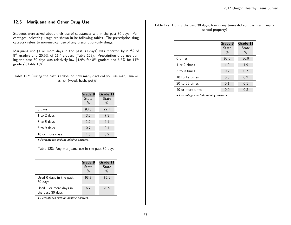## 12.5 Marijuana and Other Drug Use

Students were asked about their use of substances within the past 30 days. Percentages indicating usage are shown in he following tables. The prescription drug category refers to non-medical use of any prescription-only drugs.

Marijuana use (1 or more days in the past 30 days) was reported by 6.7% of  $8^{\text{th}}$  graders and 20.9% of  $11^{\text{th}}$  graders (Table 128). Prescription drug use during the past 30 days was relatively low (4.9% for 8<sup>th</sup> graders and 6.6% for  $11^{\text{th}}$ graders)(Table 139).

| Table 127: During the past 30 days, on how many days did you use marijuana or |                            |  |  |
|-------------------------------------------------------------------------------|----------------------------|--|--|
|                                                                               | hashish (weed, hash, pot)? |  |  |

|                 | Grade 8<br><b>State</b><br>$\%$ | Grade 11<br><b>State</b><br>$\%$ |
|-----------------|---------------------------------|----------------------------------|
| $0$ days        | 93.3                            | 79.1                             |
| 1 to 2 days     | 3.3                             | 7.8                              |
| 3 to 5 days     | 1.2                             | 4.1                              |
| 6 to 9 days     | 0.7                             | 2.1                              |
| 10 or more days | 1.5                             | 6 g                              |

• Percentages exclude missing answers.

Table 128: Any marijuana use in the past 30 days

|                                            | Grade 8<br><b>State</b><br>$\frac{0}{0}$ | Grade 11<br>State<br>$\frac{0}{0}$ |
|--------------------------------------------|------------------------------------------|------------------------------------|
| Used 0 days in the past<br>30 days         | 93.3                                     | 79.1                               |
| Used 1 or more days in<br>the past 30 days | 6.7                                      | 20.9                               |

• Percentages exclude missing answers.

Table 129: During the past 30 days, how many times did you use marijuana on school property?

|                    | Grade 8<br>State<br>$\%$ | Grade 11<br>State<br>$\%$ |
|--------------------|--------------------------|---------------------------|
| $0 \times$         | 98.6                     | 96.9                      |
| 1 or 2 times       | 1.0                      | 1.9                       |
| 3 to 9 times       | 0.2                      | 0.7                       |
| 10 to 19 times     | 0.0                      | 0.2                       |
| $20$ to $39$ times | 0.1                      | 0.1                       |
| 40 or more times   | 0.0                      | 0.2                       |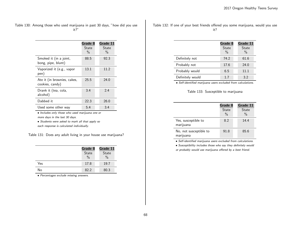Table 130: Among those who used marijuana in past 30 days, "how did you use it?"

|                                                | Grade 8<br>State<br>$\%$ | Grade 11<br>State<br>$\frac{0}{0}$ |
|------------------------------------------------|--------------------------|------------------------------------|
| Smoked it (in a joint,<br>bong, pipe, blunt)   | 88.5                     | 92.3                               |
| Vaporized it (e.g., vapor<br>pen)              | 13.1                     | 11.2                               |
| Ate it (in brownies, cakes,<br>cookies, candy) | 25.5                     | 24.0                               |
| Drank it (tea, cola,<br>alcohol)               | 3.4                      | 2.4                                |
| Dabbed it                                      | 22.3                     | 26.0                               |
| Used some other way                            | 5.4                      | 3.4                                |

• Includes only those who used marijuana one or more days in the last 30 days.

• Students were asked to mark all that apply so each response is calculated individually.

Table 131: Does any adult living in your house use marijuana?

|     | Grade 8       | Grade 11      |  |  |
|-----|---------------|---------------|--|--|
|     | State         | State         |  |  |
|     | $\frac{0}{0}$ | $\frac{0}{0}$ |  |  |
| Yes | 17.8          | 19.7          |  |  |
| No  | 82.2          | 80.3          |  |  |

• Percentages exclude missing answers.

Table 132: If one of your best friends offered you some marijuana, would you use it?

|                  | Grade 8<br>State<br>$\frac{0}{0}$ | Grade 11<br><b>State</b><br>$\frac{0}{0}$ |
|------------------|-----------------------------------|-------------------------------------------|
| Definitely not   | 74.2                              | 61.6                                      |
| Probably not     | 17.6                              | 24.0                                      |
| Probably would   | 6.5                               | 11.1                                      |
| Definitely would | 1.7                               | 3.2                                       |

• Self-identified marijuana users excluded from calculations.

Table 133: Susceptible to marijuana

|                                     | Grade 8<br>State<br>$\%$ | Grade 11<br><b>State</b><br>$\%$ |
|-------------------------------------|--------------------------|----------------------------------|
| Yes, susceptible to<br>marijuana    | 8.2                      | 14.4                             |
| No, not susceptible to<br>marijuana | 91.8                     | 85.6                             |

• Self-identified marijuana users excluded from calculations.

• Susceptibility includes those who say they definitely would

or probably would use marijuana offered by a best friend.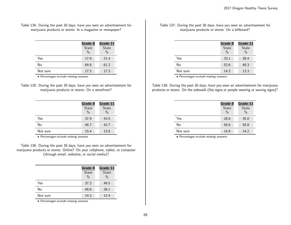Table 134: During the past 30 days, have you seen an advertisement for marijuana products or stores: In a magazine or newspaper?

|          | Grade 8<br>State<br>$\frac{0}{0}$ | Grade 11<br><b>State</b><br>$\%$ |
|----------|-----------------------------------|----------------------------------|
| Yes      | 17.9                              | 21.4                             |
| No       | 64.6                              | 61.2                             |
| Not sure | 17.5                              | 17.3                             |

• Percentages exclude missing answers.

| Table 135: During the past 30 days, have you seen an advertisement for |
|------------------------------------------------------------------------|
| marijuana products or stores: On a storefront?                         |

|          | Grade 8       | Grade 11      |
|----------|---------------|---------------|
|          | <b>State</b>  | <b>State</b>  |
|          | $\frac{0}{0}$ | $\frac{0}{0}$ |
| Yes      | 37.9          | 43.5          |
| No       | 46.7          | 42.7          |
| Not sure | 15.4          | 13.8          |

• Percentages exclude missing answers.

Table 136: During the past 30 days, have you seen an advertisement for marijuana products or stores: Online? On your cellphone, tablet, or computer (through email, websites, or social media)?

|          | Grade 8<br>State<br>$\frac{0}{0}$ | Grade 11<br><b>State</b><br>$\frac{0}{0}$ |
|----------|-----------------------------------|-------------------------------------------|
| Yes      | 37.2                              | 49.5                                      |
| No       | 48.6                              | 38.1                                      |
| Not sure | 14.2                              | 12.4                                      |

• Percentages exclude missing answers.

Table 137: During the past 30 days, have you seen an advertisement for marijuana products or stores: On a billboard?

|          | Grade 8       | Grade 11 |
|----------|---------------|----------|
|          | State         | State    |
|          | $\frac{0}{0}$ | $\%$     |
| Yes      | 33.1          | 38.4     |
| No       | 52.6          | 48.3     |
| Not sure | 14.2          | 13.3     |
|          |               |          |

• Percentages exclude missing answers.

Table 138: During the past 30 days, have you seen an advertisement for marijuana products or stores: On the sidewalk (like signs or people wearing or waving signs)?

|          | Grade 8       | Grade 11      |
|----------|---------------|---------------|
|          | State         | <b>State</b>  |
|          | $\frac{0}{0}$ | $\frac{0}{0}$ |
| Yes      | 28.6          | 35.0          |
| No       | 56.6          | 50.8          |
| Not sure | 14.8          | 14.2          |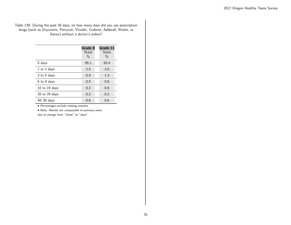#### Table 139: During the past 30 days, on how many days did you use prescription drugs (such as Oxycontin, Percocet, Vicodin, Codeine, Adderall, Ritalin, or Xanax) without a doctor's orders?

|                   | Grade 8<br>State<br>$\%$ | Grade 11<br>State<br>$\%$ |
|-------------------|--------------------------|---------------------------|
| $0$ days          | 95.1                     | 93.4                      |
| 1 or 2 days       | 2.5                      | 3.0                       |
| 3 to 5 days       | 0.9                      | 1.3                       |
| 6 to 9 days       | 0.5                      | 0.8                       |
| $10$ to $19$ days | 0.2                      | 0.6                       |
| $20$ to $29$ days | 0.2                      | 0.2                       |
| All 30 days       | 0.6                      | 0.6                       |

• Percentages exclude missing answers.

• Note: Results not comparable to previous years due to change from "times" to "days".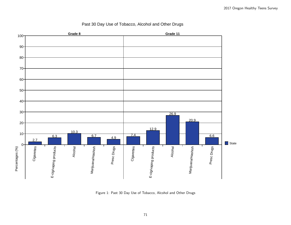

## Past 30 Day Use of Tobacco, Alcohol and Other Drugs

Figure 1: Past 30 Day Use of Tobacco, Alcohol and Other Drugs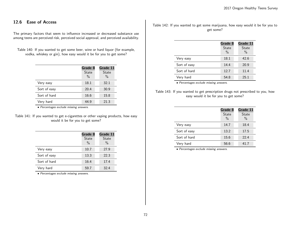## 12.6 Ease of Access

The primary factors that seem to influence increased or decreased substance use among teens are perceived risk, perceived social approval, and perceived availability.

Table 140: If you wanted to get some beer, wine or hard liquor (for example, vodka, whiskey or gin), how easy would it be for you to get some?

|              | Grade 8                       | Grade 11               |
|--------------|-------------------------------|------------------------|
|              | <b>State</b><br>$\frac{0}{0}$ | State<br>$\frac{0}{0}$ |
| Very easy    | 18.1                          | 32.1                   |
| Sort of easy | 20.4                          | 30.9                   |
| Sort of hard | 16.6                          | 15.8                   |
| Very hard    | 44.9                          | 21.3                   |

• Percentages exclude missing answers.

Table 141: If you wanted to get e-cigarettes or other vaping products, how easy would it be for you to get some?

|              | Grade 8                       | Grade 11               |
|--------------|-------------------------------|------------------------|
|              | <b>State</b><br>$\frac{0}{0}$ | State<br>$\frac{0}{0}$ |
| Very easy    | 10.7                          | 27.9                   |
| Sort of easy | 13.3                          | 22.3                   |
| Sort of hard | 16.4                          | 17.4                   |
| Very hard    | 59.7                          | 32.4                   |

• Percentages exclude missing answers.

Table 142: If you wanted to get some marijuana, how easy would it be for you to get some?

|              | Grade 8<br><b>State</b><br>$\%$ | Grade 11<br>State<br>$\%$ |
|--------------|---------------------------------|---------------------------|
| Very easy    | 18.1                            | 42.6                      |
| Sort of easy | 14.4                            | 20.9                      |
| Sort of hard | 12.7                            | 11.4                      |
| Very hard    | 54.8                            | 25.1                      |

• Percentages exclude missing answers.

Table 143: If you wanted to get prescription drugs not prescribed to you, how easy would it be for you to get some?

|              | Grade 8<br>State<br>$\frac{0}{0}$ | Grade 11<br><b>State</b><br>$\%$ |
|--------------|-----------------------------------|----------------------------------|
| Very easy    | 14.7                              | 18.4                             |
| Sort of easy | 13.2                              | 17.5                             |
| Sort of hard | 15.6                              | 22.4                             |
| Very hard    | 56.6                              | 41.7                             |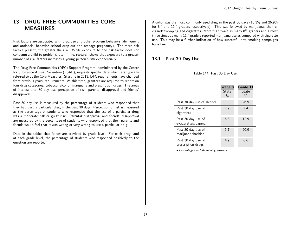# 13 DRUG FREE COMMUNITIES CORE **MEASURES**

Risk factors are associated with drug use and other problem behaviors (delinquent and antisocial behavior, school drop-out and teenage pregnancy). The more risk factors present, the greater the risk. While exposure to one risk factor does not condemn a child to problems later in life, research shows that exposure to a greater number of risk factors increases a young person's risk exponentially.

The Drug-Free Communities (DFC) Support Program, administered by the Center for Substance Abuse Prevention (CSAP), requests specific data which are typically referred to as the Core Measures. Starting in 2013, DFC requirements have changed from previous years' requirements. At this time, grantees are required to report on four drug categories: tobacco, alcohol, marijuana and prescription drugs. The areas of interest are: 30 day use, perception of risk, parental disapproval and friends' disapproval.

Past 30 day use is measured by the percentage of students who responded that they had used a particular drug in the past 30 days. Perception of risk is measured as the percentage of students who responded that the use of a particular drug was a moderate risk or great risk. Parental disapproval and friends' disapproval are measured by the percentage of students who responded that their parents and friends would feel that it was wrong or very wrong to use a particular drug.

Data in the tables that follow are provided by grade level. For each drug, and at each grade level, the percentage of students who responded positively to the question are reported.

Alcohol was the most commonly used drug in the past 30 days (10.3% and 26.9% for  $8<sup>th</sup>$  and  $11<sup>th</sup>$  graders respectively). This was followed by marijuana, then ecigarettes/vaping and cigarettes. More than twice as many 8th graders and almost three times as many  $11<sup>th</sup>$  graders reported marijuana use as compared with cigarette use. This may be a further indication of how successful anti-smoking campaigns have been.

# 13.1 Past 30 Day Use

|                                           | Grade 8<br><b>State</b><br>$\frac{0}{0}$ | Grade 11<br>State<br>$\frac{0}{0}$ |
|-------------------------------------------|------------------------------------------|------------------------------------|
| Past 30 day use of alcohol                | 10.3                                     | 26.9                               |
| Past 30 day use of<br>cigarettes          | 2.7                                      | 7.4                                |
| Past 30 day use of<br>e-cigarettes/vaping | 6.3                                      | 12.9                               |
| Past 30 day use of<br>marijuana/hashish   | 6.7                                      | 20.9                               |
| Past 30 day use of<br>prescription drugs  | 4.9                                      | 6.6                                |

Table 144: Past 30 Day Use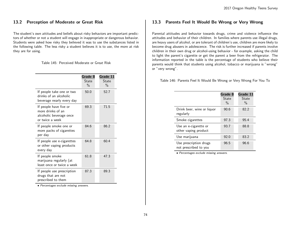# 13.2 Perception of Moderate or Great Risk

The student's own attitudes and beliefs about risky behaviors are important predictors of whether or not a student will engage in inappropriate or dangerous behavior. Students were asked how risky they believed it was to use the substances listed in the following table. The less risky a student believes it is to use, the more at risk they are for using.

Table 145: Perceived Moderate or Great Risk

|                                                                                           | Grade 8<br>State<br>$\%$ | Grade 11<br><b>State</b><br>$\%$ |
|-------------------------------------------------------------------------------------------|--------------------------|----------------------------------|
| If people take one or two<br>drinks of an alcoholic<br>beverage nearly every day          | 50.0                     | 52.7                             |
| If people have five or<br>more drinks of an<br>alcoholic beverage once<br>or twice a week | 69.3                     | 71.5                             |
| If people smoke one or<br>more packs of cigarettes<br>per day                             | 84.6                     | 86.2                             |
| If people use e-cigarettes<br>or other vaping products<br>every day                       | 64.8                     | 60.4                             |
| If people smoke<br>marijuana regularly (at<br>least once or twice a week                  | 61.8                     | 47.3                             |
| If people use prescription<br>drugs that are not<br>prescribed to them                    | 87.3                     | 89.3                             |

• Percentages exclude missing answers.

### 13.3 Parents Feel It Would Be Wrong or Very Wrong

Parental attitudes and behavior towards drugs, crime and violence influence the attitudes and behavior of their children. In families where parents use illegal drugs, are heavy users of alcohol, or are tolerant of children's use, children are more likely to become drug abusers in adolescence. The risk is further increased if parents involve children in their own drug or alcohol-using behavior - for example, asking the child to light the parent's cigarette or get the parent a beer from the refrigerator. The information reported in the table is the percentage of students who believe their parents would think that students using alcohol, tobacco or marijuana is "wrong" or "very wrong".

Table 146: Parents Feel It Would Be Wrong or Very Wrong For You To

|                                                 | Grade 8<br>State<br>$\frac{0}{0}$ | Grade 11<br>State<br>$\frac{0}{0}$ |
|-------------------------------------------------|-----------------------------------|------------------------------------|
| Drink beer, wine or liquor<br>regularly         | 90.6                              | 82.2                               |
| Smoke cigarettes                                | 97.3                              | 95.4                               |
| Use an e-cigarette or<br>other vaping product   | 93.7                              | 88.8                               |
| Use marijuana                                   | 92.0                              | 83.2                               |
| Use prescription drugs<br>not prescribed to you | 96.5                              | 96.6                               |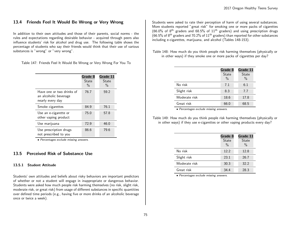# 13.4 Friends Feel It Would Be Wrong or Very Wrong

In addition to their own attitudes and those of their parents, social norms - the rules and expectations regarding desirable behavior - acquired through peers also influence students' risk for alcohol and drug use. The following table shows the percentage of students who say their friends would think that their use of various substances is "wrong" or "very wrong".

Table 147: Friends Feel It Would Be Wrong or Very Wrong For You To

|                                                                        | Grade 8<br>State<br>$\frac{0}{0}$ | Grade 11<br>State<br>$\frac{0}{0}$ |
|------------------------------------------------------------------------|-----------------------------------|------------------------------------|
| Have one or two drinks of<br>an alcoholic beverage<br>nearly every day | 76.7                              | 59.2                               |
| Smoke cigarettes                                                       | 84.9                              | 76.1                               |
| Use an e-cigarette or<br>other vaping product                          | 75.0                              | 57.8                               |
| Use marijuana                                                          | 72.9                              | 46.0                               |
| Use prescription drugs<br>not prescribed to you                        | 86.6                              | 79.6                               |

• Percentages exclude missing answers.

## 13.5 Perceived Risk of Substance Use

#### 13.5.1 Student Attitude

Students' own attitudes and beliefs about risky behaviors are important predictors of whether or not a student will engage in inappropriate or dangerous behavior. Students were asked how much people risk harming themselves (no risk, slight risk, moderate risk, or great risk) from usage of different substances in specific quantities over defined time periods (e.g., having five or more drinks of an alcoholic beverage once or twice a week).

Students were asked to rate their perception of harm of using several substances. More students reported "great risk" for smoking one or more packs of cigarettes (66.0% of  $8<sup>th</sup>$  graders and 68.5% of  $11<sup>th</sup>$  graders) and using prescription drugs  $(66.5\%$  of 8<sup>th</sup> graders and 70.2% of 11<sup>th</sup> graders) than reported for other substances including e-cigarettes, marijuana, and alcohol (Tables 148-153).

Table 148: How much do you think people risk harming themselves (physically or in other ways) if they smoke one or more packs of cigarettes per day?

|               | Grade 8<br><b>State</b><br>$\frac{0}{0}$ | Grade 11<br>State<br>$\%$ |
|---------------|------------------------------------------|---------------------------|
| No risk       | 7.1                                      | 6.1                       |
| Slight risk   | 8.3                                      | 7.7                       |
| Moderate risk | 18.6                                     | 17.8                      |
| Great risk    | 66.0                                     | 68.5                      |

• Percentages exclude missing answers.

Table 149: How much do you think people risk harming themselves (physically or in other ways) if they use e-cigarettes or other vaping products every day?

|               | Grade 8       | Grade 11 |
|---------------|---------------|----------|
|               | <b>State</b>  | State    |
|               | $\frac{0}{0}$ | $\%$     |
| No risk       | 12.2          | 12.8     |
| Slight risk   | 23.1          | 26.7     |
| Moderate risk | 30.3          | 32.2     |
| Great risk    | 34.4          | 28.3     |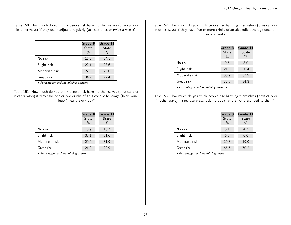Table 150: How much do you think people risk harming themselves (physically or in other ways) if they use marijuana regularly (at least once or twice a week)?

|               | Grade 8<br><b>State</b><br>$\%$ | Grade 11<br><b>State</b><br>$\frac{0}{0}$ |
|---------------|---------------------------------|-------------------------------------------|
| No risk       | 16.2                            | 24.1                                      |
| Slight risk   | 22.1                            | 28.6                                      |
| Moderate risk | 27.5                            | 25.0                                      |
| Great risk    | 34.2                            | 22.4                                      |

• Percentages exclude missing answers.

Table 151: How much do you think people risk harming themselves (physically or in other ways) if they take one or two drinks of an alcoholic beverage (beer, wine, liquor) nearly every day?

|               | Grade 8       | Grade 11     |
|---------------|---------------|--------------|
|               | <b>State</b>  | <b>State</b> |
|               | $\frac{0}{0}$ | $\%$         |
| No risk       | 16.9          | 15.7         |
| Slight risk   | 33.1          | 31.6         |
| Moderate risk | 29.0          | 31.9         |
| Great risk    | 21.0          | 20.9         |

• Percentages exclude missing answers.

Table 152: How much do you think people risk harming themselves (physically or in other ways) if they have five or more drinks of an alcoholic beverage once or twice a week?

|               | Grade 8       | Grade 11      |
|---------------|---------------|---------------|
|               | <b>State</b>  | State         |
|               | $\frac{0}{0}$ | $\frac{0}{0}$ |
| No risk       | 9.5           | 8.0           |
| Slight risk   | 21.3          | 20.4          |
| Moderate risk | 36.7          | 37.2          |
| Great risk    | 32.5          | 34.3          |

• Percentages exclude missing answers.

Table 153: How much do you think people risk harming themselves (physically or in other ways) if they use prescription drugs that are not prescribed to them?

|               | Grade 8                       | Grade 11             |
|---------------|-------------------------------|----------------------|
|               | <b>State</b><br>$\frac{0}{0}$ | <b>State</b><br>$\%$ |
| No risk       | 6.1                           | 4.7                  |
| Slight risk   | 6.5                           | 6.0                  |
| Moderate risk | 20.8                          | 19.0                 |
| Great risk    | 66.5                          | 70.2                 |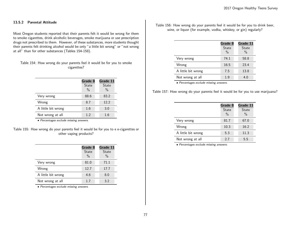#### 13.5.2 Parental Attitude

Most Oregon students reported that their parents felt it would be wrong for them to smoke cigarettes, drink alcoholic beverages, smoke marijuana or use prescription drugs not prescribed to them. However, of these substances, more students thought their parents felt drinking alcohol would be only "a little bit wrong" or "not wrong at all" than for other substances (Tables 154-158).

Table 154: How wrong do your parents feel it would be for you to smoke cigarettes?

|                    | Grade 8<br><b>State</b><br>$\frac{0}{0}$ | Grade 11<br>State<br>$\frac{0}{0}$ |
|--------------------|------------------------------------------|------------------------------------|
| Very wrong         | 88.6                                     | 83.2                               |
| Wrong              | 8.7                                      | 12.2                               |
| A little bit wrong | 1.6                                      | 3.0                                |
| Not wrong at all   | 1.2                                      | 1.6                                |

• Percentages exclude missing answers.

Table 155: How wrong do your parents feel it would be for you to e e-cigarettes or other vaping products?

|                    | Grade 8<br><b>State</b><br>$\frac{0}{0}$ | Grade 11<br><b>State</b><br>$\frac{0}{0}$ |
|--------------------|------------------------------------------|-------------------------------------------|
| Very wrong         | 81.0                                     | 71.1                                      |
| Wrong              | 12.7                                     | 17.7                                      |
| A little bit wrong | 4.6                                      | 8.0                                       |
| Not wrong at all   | 1.7                                      | 3.2                                       |

• Percentages exclude missing answers.

Table 156: How wrong do your parents feel it would be for you to drink beer, wine, or liquor (for example, vodka, whiskey, or gin) regularly?

|                    | Grade 8<br><b>State</b><br>$\frac{0}{0}$ | Grade 11<br>State<br>$\%$ |
|--------------------|------------------------------------------|---------------------------|
| Very wrong         | 74.1                                     | 58.8                      |
| Wrong              | 16.5                                     | 23.4                      |
| A little bit wrong | 7.5                                      | 13.8                      |
| Not wrong at all   | 1.9                                      | 4.0                       |

• Percentages exclude missing answers.

Table 157: How wrong do your parents feel it would be for you to use marijuana?

|                    | Grade 8       | Grade 11     |
|--------------------|---------------|--------------|
|                    | <b>State</b>  | <b>State</b> |
|                    | $\frac{0}{0}$ | $\%$         |
| Very wrong         | 81.7          | 67.0         |
| Wrong              | 10.3          | 16.2         |
| A little bit wrong | 5.3           | 11.3         |
| Not wrong at all   | 2.7           | 5.5          |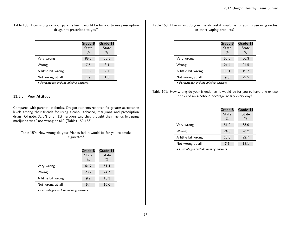Table 158: How wrong do your parents feel it would be for you to use prescription drugs not prescribed to you?

|                    | Grade 8<br><b>State</b><br>$\frac{0}{0}$ | Grade 11<br>State<br>$\frac{0}{0}$ |
|--------------------|------------------------------------------|------------------------------------|
| Very wrong         | 89.0                                     | 88.1                               |
| Wrong              | 7.5                                      | 8.4                                |
| A little bit wrong | 1.8                                      | 2.1                                |
| Not wrong at all   | 1.7                                      | 1.3                                |

• Percentages exclude missing answers.

#### 13.5.3 Peer Attitude

Compared with parental attitudes, Oregon students reported far greater acceptance levels among their friends for using alcohol, tobacco, marijuana and prescription drugs. Of note, 32.8% of all 11th graders said they thought their friends felt using marijuana was "not wrong at all" (Tables 159-163).

Table 159: How wrong do your friends feel it would be for you to smoke cigarettes?

|                    | Grade 8<br><b>State</b><br>$\%$ | Grade 11<br><b>State</b><br>$\frac{0}{0}$ |
|--------------------|---------------------------------|-------------------------------------------|
| Very wrong         | 61.7                            | 51.4                                      |
| Wrong              | 23.2                            | 24.7                                      |
| A little bit wrong | 9.7                             | 13.3                                      |
| Not wrong at all   | 5.4                             | 10.6                                      |

• Percentages exclude missing answers.

Table 160: How wrong do your friends feel it would be for you to use e-cigarettes or other vaping products?

|                    | Grade 8<br><b>State</b><br>$\frac{0}{0}$ | Grade 11<br><b>State</b><br>$\frac{0}{0}$ |
|--------------------|------------------------------------------|-------------------------------------------|
| Very wrong         | 53.6                                     | 36.3                                      |
| Wrong              | 21.4                                     | 21.5                                      |
| A little bit wrong | 15.1                                     | 19.7                                      |
| Not wrong at all   | 9.8                                      | 22.5                                      |

• Percentages exclude missing answers.

Table 161: How wrong do your friends feel it would be for you to have one or two drinks of an alcoholic beverage nearly every day?

|                    | Grade 8<br>State<br>$\frac{0}{0}$ | Grade 11<br><b>State</b><br>$\%$ |
|--------------------|-----------------------------------|----------------------------------|
| Very wrong         | 51.9                              | 33.0                             |
| Wrong              | 24.8                              | 26.2                             |
| A little bit wrong | 15.6                              | 22.7                             |
| Not wrong at all   | 7.7                               | 18.1                             |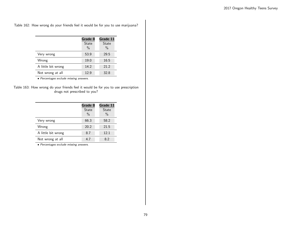Table 162: How wrong do your friends feel it would be for you to use marijuana?

|                    | Grade 8<br><b>State</b><br>$\frac{0}{0}$ | Grade 11<br>State<br>$\frac{0}{0}$ |
|--------------------|------------------------------------------|------------------------------------|
| Very wrong         | 53.9                                     | 29.5                               |
| Wrong              | 19.0                                     | 16.5                               |
| A little bit wrong | 14.2                                     | 21.2                               |
| Not wrong at all   | 12.9                                     | 32.8                               |

• Percentages exclude missing answers.

| Table 163: How wrong do your friends feel it would be for you to use prescription |  |                              |  |  |  |
|-----------------------------------------------------------------------------------|--|------------------------------|--|--|--|
|                                                                                   |  | drugs not prescribed to you? |  |  |  |

|                    | Grade 8       | Grade 11     |
|--------------------|---------------|--------------|
|                    | <b>State</b>  | <b>State</b> |
|                    | $\frac{0}{0}$ | $\%$         |
| Very wrong         | 66.3          | 58.2         |
| Wrong              | 20.2          | 21.5         |
| A little bit wrong | 8.7           | 12.1         |
| Not wrong at all   | 4.7           | 82           |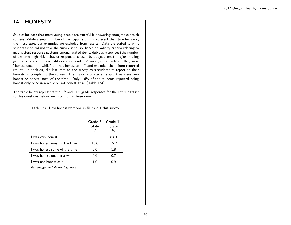# 14 HONESTY

Studies indicate that most young people are truthful in answering anonymous health surveys. While a small number of participants do misrepresent their true behavior, the most egregious examples are excluded from results. Data are edited to omit students who did not take the survey seriously, based on validity criteria relating to inconsistent response patterns among related items, dubious responses (the number of extreme high risk behavior responses chosen by subject area) and/or missing gender or grade. These edits capture students' surveys that indicate they were "honest once in a while" or "not honest at all" and excluded them from reported results. In addition, the last item on the survey asks students to report on their honesty in completing the survey. The majority of students said they were very honest or honest most of the time. Only 1.6% of the students reported being honest only once in a while or not honest at all (Table 164).

The table below represents the  $8<sup>th</sup>$  and  $11<sup>th</sup>$  grade responses for the entire dataset to this questions before any filtering has been done.

Table 164: How honest were you in filling out this survey?

|                               | Grade 8<br>State<br>% | Grade 11<br>State<br>% |
|-------------------------------|-----------------------|------------------------|
| I was very honest             | 82.1                  | 83.0                   |
| I was honest most of the time | 15.6                  | 15.2                   |
| I was honest some of the time | 2.0                   | 1.8                    |
| I was honest once in a while  | 0.6                   | 0.7                    |
| I was not honest at all       |                       | () Q                   |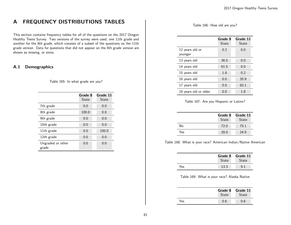# A FREQUENCY DISTRIBUTIONS TABLES

This section contains frequency tables for all of the questions on the 2017 Oregon Healthy Teens Survey. Two versions of the survey were used; one 11th grade and another for the 8th grade, which consists of a subset of the questions on the 11th grade version. Data for questions that did not appear on the 8th grade version are shown as missing, or zeros.

# A.1 Demographics

Table 165: In what grade are you?

|                            | Grade 8<br>State | Grade 11<br>State |
|----------------------------|------------------|-------------------|
| 7th grade                  | 0.0              | 0.0               |
| 8th grade                  | 100.0            | 0.0               |
| 9th grade                  | 0.0              | 0.0               |
| 10th grade                 | 0.0              | 0.0               |
| 11th grade                 | 0.0              | 100.0             |
| 12th grade                 | 0.0              | 0.0               |
| Ungraded or other<br>grade | 0.0              | 0.0               |

Table 166: How old are you?

|                            | Grade 8<br>State | Grade 11<br>State |
|----------------------------|------------------|-------------------|
| 12 years old or<br>younger | 0.2              | 0.0               |
| 13 years old               | 36.5             | 0.0               |
| 14 years old               | 61.5             | 0.0               |
| 15 years old               | 1.8              | 0.2               |
| 16 years old               | 0.0              | 35.9              |
| 17 years old               | 0.0              | 62.1              |
| 18 years old or older      | 0.0              | 1.8               |

Table 167: Are you Hispanic or Latino?

|     | Grade 8<br>State | Grade 11<br>State |
|-----|------------------|-------------------|
| No  | 72.0             | 75.1              |
| Yes | 28.0             | 24.9              |

Table 168: What is your race? American Indian/Native American

 $\overline{a}$ 

|     | Grade 8<br><b>State</b> | Grade 11<br><b>State</b> |
|-----|-------------------------|--------------------------|
| Yes | 13.3                    |                          |

#### Table 169: What is your race? Alaska Native

|      | Grade 8<br>State | Grade 11<br>State |
|------|------------------|-------------------|
| Yes. | ი 6              | 0.6               |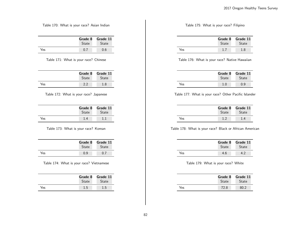Table 170: What is your race? Asian Indian

|     | <b>State</b> | Grade 8 Grade 11<br><b>State</b> |
|-----|--------------|----------------------------------|
| Yes | 0.           | 0.6                              |

Table 171: What is your race? Chinese

|     | Grade 8      | Grade 11     |
|-----|--------------|--------------|
|     | <b>State</b> | <b>State</b> |
| Yes |              | 1.8          |

Table 172: What is your race? Japanese

|     | Grade 8      | Grade 11     |
|-----|--------------|--------------|
|     | <b>State</b> | <b>State</b> |
| Yes |              |              |

Table 173: What is your race? Korean

|     | Grade 8<br><b>State</b> | Grade 11<br><b>State</b> |
|-----|-------------------------|--------------------------|
| Yes | 0. Q                    |                          |

Table 174: What is your race? Vietnamese

|     | Grade 8 Grade 11 |              |
|-----|------------------|--------------|
|     | State            | <b>State</b> |
| Yes | 1.5              | 1.5          |

Table 175: What is your race? Filipino

|     | Grade 8<br><b>State</b> | Grade 11<br><b>State</b> |
|-----|-------------------------|--------------------------|
| Yes |                         | 1.8                      |

Table 176: What is your race? Native Hawaiian

|     | Grade 8<br>State | Grade 11<br><b>State</b> |
|-----|------------------|--------------------------|
| Yes |                  |                          |

### Table 177: What is your race? Other Pacific Islander

|     | <b>State</b> | Grade 8 Grade 11<br><b>State</b> |
|-----|--------------|----------------------------------|
| Yes |              |                                  |

#### Table 178: What is your race? Black or African American

|     | Grade 8<br><b>State</b> | Grade 11<br><b>State</b> |
|-----|-------------------------|--------------------------|
| Yes | 4.6                     | 49                       |

#### Table 179: What is your race? White

|            | Grade 8      | Grade 11     |
|------------|--------------|--------------|
|            | <b>State</b> | <b>State</b> |
| <b>Yes</b> | 72.8         | 80.2         |

 $\overline{a}$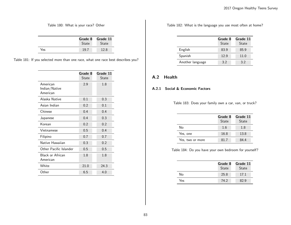|     | State | Grade 8 Grade 11<br>State |
|-----|-------|---------------------------|
| Yes | 197   | 12.8                      |

Table 180: What is your race? Other

Table 181: If you selected more than one race, what one race best describes you?

|                                       | Grade 8<br>State | Grade 11<br>State |
|---------------------------------------|------------------|-------------------|
| American<br>Indian/Native<br>American | 2.9              | 1.8               |
| Alaska Native                         | 0.1              | 0.3               |
| Asian Indian                          | 0.2              | 0.1               |
| Chinese                               | 0.4              | 0.4               |
| Japanese                              | 0.4              | 0.3               |
| Korean                                | 0.2              | 0.2               |
| Vietnamese                            | 0.5              | 0.4               |
| Filipino                              | 0.7              | 0.7               |
| Native Hawaiian                       | 0.3              | 0.2               |
| Other Pacific Islander                | 0.5              | 0.5               |
| <b>Black or African</b><br>American   | 1.8              | 1.8               |
| White                                 | 21.0             | 24.3              |
| Other                                 | 6.5              | 4.0               |

Table 182: What is the language you use most often at home?

|                  | Grade 8<br>State | Grade 11<br><b>State</b> |
|------------------|------------------|--------------------------|
| English          | 83.9             | 85.9                     |
| Spanish          | 12.9             | 11.0                     |
| Another language | 3.2              | 32                       |

# A.2 Health

# A.2.1 Social & Economic Factors

Table 183: Does your family own a car, van, or truck?

|                  | Grade 8<br>State | Grade 11<br><b>State</b> |
|------------------|------------------|--------------------------|
| N٥               | 1.6              | 1.8                      |
| Yes, one         | 16.8             | 13.8                     |
| Yes, two or more | 81.7             | 84.4                     |

Table 184: Do you have your own bedroom for yourself?

|     | Grade 8<br>State | Grade 11<br>State |
|-----|------------------|-------------------|
| No  | 25.8             | 17.1              |
| Yes | 74.2             | 82.9              |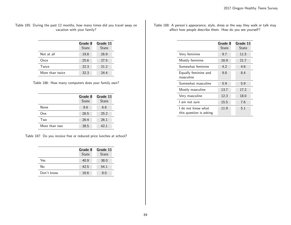Table 185: During the past 12 months, how many times did you travel away on vacation with your family?

|                 | Grade 8<br><b>State</b> | Grade 11<br>State |
|-----------------|-------------------------|-------------------|
| Not at all      | 19.8                    | 26.9              |
| Once            | 25.6                    | 27.5              |
| Twice           | 22.3                    | 21.2              |
| More than twice | 32.3                    | 24.4              |

Table 186: How many computers does your family own?

|               | Grade 8<br>State | Grade 11<br>State |
|---------------|------------------|-------------------|
| None          | 8.6              | 6.6               |
| One           | 26.5             | 25.2              |
| Two           | 26.4             | 26.1              |
| More than two | 38.5             | 42.1              |

Table 187: Do you receive free or reduced price lunches at school?

|            | Grade 8<br><b>State</b> | Grade 11<br><b>State</b> |
|------------|-------------------------|--------------------------|
| Yes        | 40.9                    | 38.0                     |
| No         | 42.5                    | 54.1                     |
| Don't know | 16.6                    | 8.0                      |

Table 188: A person's appearance, style, dress or the way they walk or talk may affect how people describe them. How do you see yourself?

|                                               | Grade 8<br>State | Grade 11<br>State |
|-----------------------------------------------|------------------|-------------------|
| Very feminine                                 | 9.7              | 11.5              |
| Mostly feminine                               | 16.9             | 21.7              |
| Somewhat feminine                             | 4.2              | 4.6               |
| Equally feminine and<br>masculine             | 9.8              | 8.4               |
| Somewhat masculine                            | 5.9              | 5.9               |
| Mostly masculine                              | 13.7             | 17.2              |
| Very masculine                                | 12.3             | 18.0              |
| l am not sure                                 | 15.5             | 7.6               |
| l do not know what<br>this question is asking | 11.9             | 5.1               |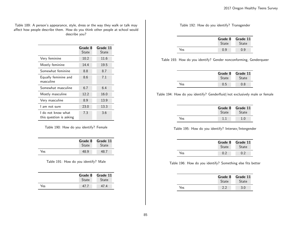Table 189: A person's appearance, style, dress or the way they walk or talk may affect how people describe them. How do you think other people at school would describe you?

|                                               | Grade 8<br>State | Grade 11<br>State |
|-----------------------------------------------|------------------|-------------------|
| Very feminine                                 | 10.2             | 11.6              |
| Mostly feminine                               | 14.4             | 19.5              |
| Somewhat feminine                             | 8.8              | 8.7               |
| Equally feminine and<br>masculine             | 8.6              | 7.1               |
| Somewhat masculine                            | 6.7              | 6.4               |
| Mostly masculine                              | 12.2             | 16.0              |
| Very masculine                                | 8.9              | 13.9              |
| l am not sure                                 | 23.0             | 13.3              |
| I do not know what<br>this question is asking | 7.3              | 3.6               |

Table 190: How do you identify? Female

|     | Grade 8<br><b>State</b> | Grade 11<br><b>State</b> |
|-----|-------------------------|--------------------------|
| Yes | 48.9                    | $-48$                    |

Table 191: How do you identify? Male

|     | <b>State</b> | Grade 8 Grade 11<br><b>State</b> |
|-----|--------------|----------------------------------|
| Yes | 47 T         | 47.4                             |

### Table 192: How do you identify? Transgender

|     | Grade 8<br><b>State</b> | Grade 11<br><b>State</b> |
|-----|-------------------------|--------------------------|
| Yes | 0.9                     |                          |

Table 193: How do you identify? Gender nonconforming, Genderqueer

|     | Grade 8<br><b>State</b> | Grade 11<br><b>State</b> |
|-----|-------------------------|--------------------------|
| Yes | 0.5                     | 0.8                      |

Table 194: How do you identify? Genderfluid/not exclusively male or female

|     | State | Grade 8 Grade 11<br><b>State</b> |
|-----|-------|----------------------------------|
| Yes |       | 1.0                              |

#### Table 195: How do you identify? Intersex/Intergender

|     | Grade 8<br><b>State</b> | Grade 11<br><b>State</b> |
|-----|-------------------------|--------------------------|
| Yes | 0.2                     | 0 2                      |

#### Table 196: How do you identify? Something else fits better

|     | Grade 8<br><b>State</b> | Grade 11<br><b>State</b> |
|-----|-------------------------|--------------------------|
| Yes |                         | 3.0                      |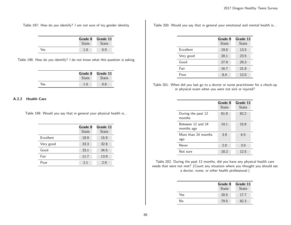Table 197: How do you identify? I am not sure of my gender identity

|     | <b>State</b> | Grade 8 Grade 11<br><b>State</b> |
|-----|--------------|----------------------------------|
| Yes |              | , 9                              |

Table 198: How do you identify? I do not know what this question is asking

|     | Grade 8<br><b>State</b> | Grade 11<br><b>State</b> |
|-----|-------------------------|--------------------------|
| Yes | 1.0                     | 0.8                      |

#### A.2.2 Health Care

Table 199: Would you say that in general your physical health is...

|           | Grade 8<br><b>State</b> | Grade 11<br>State |
|-----------|-------------------------|-------------------|
| Excellent | 19.9                    | 15.9              |
| Very good | 33.3                    | 32.8              |
| Good      | 33.1                    | 34.5              |
| Fair      | 11.7                    | 13.9              |
| Poor      | 2.1                     | 2.9               |

Table 200: Would you say that in general your emotional and mental health is...

|           | Grade 8<br>State | Grade 11<br>State |
|-----------|------------------|-------------------|
| Excellent | 19.0             | 13.5              |
| Very good | 28.1             | 23.5              |
| Good      | 27.9             | 29.3              |
| Fair      | 16.7             | 21.8              |
| Poor      | 8.4              | 12.0              |

Table 201: When did you last go to a doctor or nurse practitioner for a check-up or physical exam when you were not sick or injured?

|                                 | Grade 8<br><b>State</b> | Grade 11<br><b>State</b> |
|---------------------------------|-------------------------|--------------------------|
| During the past 12<br>months    | 61.8                    | 62.2                     |
| Between 12 and 24<br>months ago | 14.1                    | 15.8                     |
| More than 24 months<br>ago      | 3.9                     | 6.5                      |
| Never                           | 2.0                     | 3.0                      |
| Not sure                        | 18.2                    | 12.5                     |

Table 202: During the past 12 months, did you have any physical health care needs that were not met? (Count any situation where you thought you should see a doctor, nurse, or other health professional.)

|     | Grade 8<br>State | Grade 11<br>State |
|-----|------------------|-------------------|
| Yes | 20.5             | 17.7              |
| No  | 79.5             | 82.3              |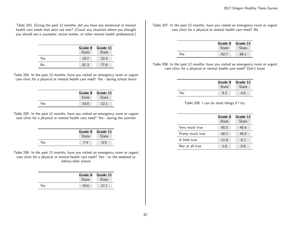Table 203: During the past 12 months, did you have any emotional or mental health care needs that were not met? (Count any situation where you thought you should see a counselor, social worker, or other mental health professional.)

|     | Grade 8<br>State | Grade 11<br>State |
|-----|------------------|-------------------|
| Yes | 18.7             | 22.4              |
| No  | 81.3             | 77.6              |

Table 204: In the past 12 months, have you visited an emergency room or urgent care clinic for a physical or mental health care need? Yes - during school hours

|     |              | Grade 8 Grade 11 |
|-----|--------------|------------------|
|     | <b>State</b> | State            |
| Yes | 10.8         | 191              |

Table 205: In the past 12 months, have you visited an emergency room or urgent care clinic for a physical or mental health care need? Yes - during the summer

|     | Grade 8 | Grade 11     |
|-----|---------|--------------|
|     | State   | <b>State</b> |
| Yes |         | ნ 5          |

Table 206: In the past 12 months, have you visited an emergency room or urgent care clinic for a physical or mental health care need? Yes - on the weekend or before/after school

|      | Grade 8<br><b>State</b> | Grade 11<br><b>State</b> |
|------|-------------------------|--------------------------|
| Yes. | 16.6                    | 17.1                     |

Table 207: In the past 12 months, have you visited an emergency room or urgent care clinic for a physical or mental health care need? No

|     | Grade 8<br>State | Grade 11<br>State |
|-----|------------------|-------------------|
| Yes |                  | 66.1              |

Table 208: In the past 12 months, have you visited an emergency room or urgent care clinic for a physical or mental health care need? Don't know

|     | Grade 8<br><b>State</b> | Grade 11<br><b>State</b> |
|-----|-------------------------|--------------------------|
| Yes | 9.3                     | 4.6                      |

Table 209: I can do most things if I try.

|                  | Grade 8<br>State | Grade 11<br><b>State</b> |
|------------------|------------------|--------------------------|
| Very much true   | 40.3             | 45.4                     |
| Pretty much true | 46.7             | 45.0                     |
| A little true    | 11.9             | 8.7                      |
| Not at all true  | 1.0              | 0.8                      |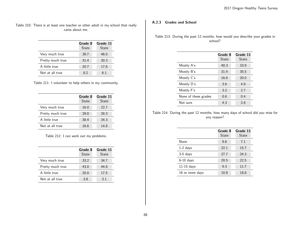Table 210: There is at least one teacher or other adult in my school that really cares about me.

|                  | Grade 8<br>State | Grade 11<br><b>State</b> |
|------------------|------------------|--------------------------|
| Very much true   | 39.7             | 46.0                     |
| Pretty much true | 31.4             | 30.3                     |
| A little true    | 20.7             | 17.6                     |
| Not at all true  | 8.2              | 6.1                      |

|  |  | Table 211: I volunteer to help others in my community. |
|--|--|--------------------------------------------------------|
|  |  |                                                        |

|                  | Grade 8<br>State | Grade 11<br><b>State</b> |
|------------------|------------------|--------------------------|
| Very much true   | 16.0             | 22.7                     |
| Pretty much true | 29.0             | 28.3                     |
| A little true    | 38.4             | 34.3                     |
| Not at all true  | 16.6             | 14.8                     |

Table 212: I can work out my problems.

|                  | Grade 8<br>State | Grade 11<br><b>State</b> |
|------------------|------------------|--------------------------|
| Very much true   | 33.2             | 34.7                     |
| Pretty much true | 43.0             | 44.8                     |
| A little true    | 20.0             | 17.5                     |
| Not at all true  | 3.8              | 3.1                      |

# A.2.3 Grades and School

Table 213: During the past 12 months, how would you describe your grades in school?

|                      | Grade 8<br>State | Grade 11<br>State |
|----------------------|------------------|-------------------|
| Mostly A's           | 40.3             | 33.9              |
| Mostly B's           | 31.4             | 35.5              |
| Mostly C's           | 16.6             | 20.0              |
| Mostly D's           | 3.6              | 4.9               |
| Mostly F's           | 3.2              | 2.7               |
| None of these grades | 0.6              | 0.4               |
| Not sure             | 4.3              | 2.6               |

Table 214: During the past 12 months, how many days of school did you miss for any reason?

|                 | Grade 8<br>State | Grade 11<br>State |
|-----------------|------------------|-------------------|
| None            | 9.6              | 7.1               |
| $1-2$ days      | 22.1             | 15.7              |
| $3-5$ days      | 27.7             | 24.3              |
| $6-10$ days     | 20.5             | 22.5              |
| $11-15$ days    | 9.3              | 11.7              |
| 16 or more days | 10.8             | 18.8              |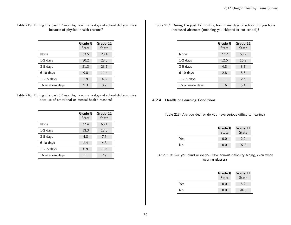## Table 215: During the past 12 months, how many days of school did you miss because of physical health reasons?

|                 | Grade 8<br>State | Grade 11<br>State |
|-----------------|------------------|-------------------|
| None            | 33.5             | 28.4              |
| $1-2$ days      | 30.2             | 28.5              |
| $3-5$ days      | 21.3             | 23.7              |
| $6-10$ days     | 9.8              | 11.4              |
| $11-15$ days    | 2.9              | 4.3               |
| 16 or more days | 2.3              | 3.7               |

#### Table 216: During the past 12 months, how many days of school did you miss because of emotional or mental health reasons?

|                 | Grade 8<br>State | Grade 11<br>State |
|-----------------|------------------|-------------------|
| None            | 77.4             | 66.1              |
| $1-2$ days      | 13.3             | 17.5              |
| $3-5$ days      | 4.8              | 7.5               |
| $6-10$ days     | 2.4              | 4.3               |
| $11-15$ days    | 0.9              | 1.9               |
| 16 or more days | 1.1              | 2.7               |

Table 217: During the past 12 months, how many days of school did you have unexcused absences (meaning you skipped or cut school)?

|                 | Grade 8<br>State | Grade 11<br><b>State</b> |
|-----------------|------------------|--------------------------|
| None            | 77.2             | 60.9                     |
| $1-2$ days      | 12.6             | 16.9                     |
| $3-5$ days      | 4.8              | 8.7                      |
| $6-10$ days     | 2.8              | 5.5                      |
| $11-15$ days    | 1.1              | 2.6                      |
| 16 or more days | 1.6              | 5.4                      |

## A.2.4 Health or Learning Conditions

Table 218: Are you deaf or do you have serious difficulty hearing?

|     | Grade 8<br>State | Grade 11<br>State |
|-----|------------------|-------------------|
| Yes | 0.0              | 2.2               |
| No  | 0.0              | 97.8              |

## Table 219: Are you blind or do you have serious difficulty seeing, even when wearing glasses?

|     | Grade 8<br>State | Grade 11<br>State |
|-----|------------------|-------------------|
| Yes | 0.0              | 5.2               |
| No  | 0.0              | 94.8              |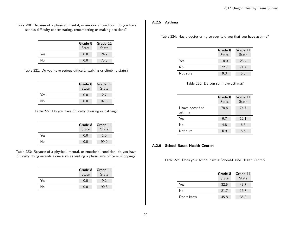Table 220: Because of a physical, mental, or emotional condition, do you have serious difficulty concentrating, remembering or making decisions?

|     | Grade 8<br>State | Grade 11<br>State |
|-----|------------------|-------------------|
| Yes | 0.0              | 24.7              |
| No  | 0.0              | 75.3              |

Table 221: Do you have serious difficulty walking or climbing stairs?

|     | Grade 8<br>State | Grade 11<br>State |
|-----|------------------|-------------------|
| Yes | 0.0              | 2.7               |
| No  | 0.0              | 97.3              |

Table 222: Do you have difficulty dressing or bathing?

|     | Grade 8<br>State | Grade 11<br><b>State</b> |
|-----|------------------|--------------------------|
| Yes | 0.0              | 1.0                      |
| No  | 0.0              | 99.0                     |

Table 223: Because of a physical, mental, or emotional condition, do you have difficulty doing errands alone such as visiting a physician's office or shopping?

|     | Grade 8<br>State | Grade 11<br><b>State</b> |
|-----|------------------|--------------------------|
| Yes | 0.0              | 9.2                      |
| N٥  | 0.0              | 90.8                     |

#### A.2.5 Asthma

Table 224: Has a doctor or nurse ever told you that you have asthma?

|          | Grade 8<br>State | Grade 11<br><b>State</b> |
|----------|------------------|--------------------------|
| Yes      | 18.0             | 23.4                     |
| No       | 72.7             | 71.4                     |
| Not sure | 9.3              | 5.3                      |

| Table 225: Do you still have asthma? |  |  |  |
|--------------------------------------|--|--|--|
|--------------------------------------|--|--|--|

|                            | Grade 8<br>State | Grade 11<br><b>State</b> |
|----------------------------|------------------|--------------------------|
| I have never had<br>asthma | 78.6             | 74.7                     |
| Yes                        | 9.7              | 12.1                     |
| No                         | 4.8              | 6.6                      |
| Not sure                   | 69               | 6.6                      |

### A.2.6 School-Based Health Centers

Table 226: Does your school have a School-Based Health Center?

|            | Grade 8 | Grade 11     |
|------------|---------|--------------|
|            | State   | <b>State</b> |
| Yes        | 32.5    | 48.7         |
| N٥         | 21.7    | 16.3         |
| Don't know | 45.8    | 35.0         |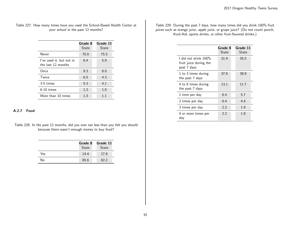# Table 227: How many times have you used the School-Based Health Center at your school in the past 12 months?

|                                                | Grade 8<br>State | Grade 11<br>State |
|------------------------------------------------|------------------|-------------------|
| Never                                          | 70.0             | 75.5              |
| I've used it, but not in<br>the last 12 months | 6.4              | 5.9               |
| Once                                           | 9.3              | 8.0               |
| Twice                                          | 6.5              | 4.3               |
| 3-5 times                                      | 5.3              | 4.1               |
| $6-10$ times                                   | 1.2              | 1.0               |
| More than 10 times                             | 1.3              | 11                |

#### A.2.7 Food

Table 228: In the past 12 months, did you ever eat less than you felt you should because there wasn't enough money to buy food?

|     | Grade 8<br>State | Grade 11<br>State |
|-----|------------------|-------------------|
| Yes | 14.4             | 17.8              |
| No  | 85.6             | 82.2              |

Table 229: During the past 7 days, how many times did you drink 100% fruit juices such as orange juice, apple juice, or grape juice? (Do not count punch, Kool-Aid, sports drinks, or other fruit-flavored drinks.)

|                                                                  | Grade 8<br>State | Grade 11<br>State |
|------------------------------------------------------------------|------------------|-------------------|
| I did not drink $100\%$<br>fruit juice during the<br>past 7 days | 31.9             | 35.5              |
| 1 to 3 times during<br>the past 7 days                           | 37.8             | 38.9              |
| 4 to 6 times during<br>the past 7 days                           | 13.1             | 11.7              |
| 1 time per day                                                   | 6.4              | 5.7               |
| 2 times per day                                                  | 6.4              | 4.4               |
| 3 times per day                                                  | 2.2              | 1.9               |
| 4 or more times per<br>day                                       | 2.2              | 1.8               |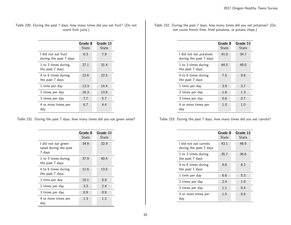| Table 230: During the past 7 days, how many times did you eat fruit? (Do not |  |                     |  |  |  |  |
|------------------------------------------------------------------------------|--|---------------------|--|--|--|--|
|                                                                              |  | count fruit juice.) |  |  |  |  |

|                                               | Grade 8<br>State | Grade 11<br>State |
|-----------------------------------------------|------------------|-------------------|
| l did not eat fruit<br>during the past 7 days | 6.3              | 7.9               |
| 1 to 3 times during<br>the past 7 days        | 27.1             | 31.4              |
| 4 to 6 times during<br>the past 7 days        | 22.6             | 22.5              |
| 1 time per day                                | 13.3             | 14.4              |
| 2 times per day                               | 16.3             | 13.8              |
| 3 times per day                               | 7.7              | 5.7               |
| 4 or more times per<br>day                    | 6.7              | 4.4               |

Table 231: During the past 7 days, how many times did you eat green salad?

|                                                        | Grade 8<br>State | Grade 11<br>State |
|--------------------------------------------------------|------------------|-------------------|
| I did not eat green<br>salad during the past<br>7 days | 34.9             | 32.9              |
| 1 to 3 times during<br>the past 7 days                 | 37.9             | 40.4              |
| 4 to 6 times during<br>the past 7 days                 | 11.6             | 13.5              |
| 1 time per day                                         | 10.1             | 8.8               |
| 2 times per day                                        | 3.3              | 2.4               |
| 3 times per day                                        | 0.9              | 0.9               |
| 4 or more times per<br>day                             | 1.3              | 1.2               |

| Table 232: During the past 7 days, how many times did you eat potatoes? (Do |  |
|-----------------------------------------------------------------------------|--|
| not count french fries, fried potatoes, or potato chips.)                   |  |

|                                                  | Grade 8 | Grade 11 |
|--------------------------------------------------|---------|----------|
|                                                  | State   | State    |
| I did not eat potatoes<br>during the past 7 days | 41.0    | 34.7     |
| 1 to 3 times during<br>the past 7 days           | 44.5    | 49.0     |
| 4 to 6 times during<br>the past 7 days           | 7.5     | 9.6      |
| 1 time per day                                   | 3.9     | 3.7      |
| 2 times per day                                  | 1.6     | 1.3      |
| 3 times per day                                  | 0.6     | 0.7      |
| 4 or more times per<br>day                       | 1.0     | 1.0      |

Table 233: During the past 7 days, how many times did you eat carrots?

|                                                 | Grade 8<br>State | Grade 11<br>State |
|-------------------------------------------------|------------------|-------------------|
| I did not eat carrots<br>during the past 7 days | 43.1             | 46.9              |
| 1 to 3 times during<br>the past 7 days          | 35.7             | 36.6              |
| 4 to 6 times during<br>the past 7 days          | 9.6              | 8.2               |
| 1 time per day                                  | 6.6              | 5.3               |
| 2 times per day                                 | 2.4              | 1.9               |
| 3 times per day                                 | 1.1              | 0.4               |
| 4 or more times per<br>day                      | 1.5              | 0.8               |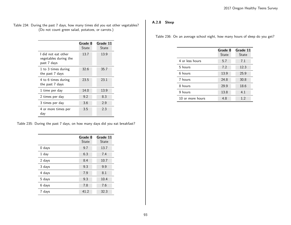| Table 234: During the past 7 days, how many times did you eat other vegetables? |                                                   |  |  |
|---------------------------------------------------------------------------------|---------------------------------------------------|--|--|
|                                                                                 | (Do not count green salad, potatoes, or carrots.) |  |  |

|                                                             | Grade 8<br>State | Grade 11<br>State |
|-------------------------------------------------------------|------------------|-------------------|
| l did not eat other<br>vegetables during the<br>past 7 days | 13.7             | 13.9              |
| 1 to 3 times during<br>the past 7 days                      | 32.6             | 35.7              |
| 4 to 6 times during<br>the past 7 days                      | 23.5             | 23.1              |
| 1 time per day                                              | 14.0             | 13.9              |
| 2 times per day                                             | 9.2              | 8.3               |
| 3 times per day                                             | 3.6              | 2.9               |
| 4 or more times per<br>day                                  | 3.5              | 2.3               |

Table 235: During the past 7 days, on how many days did you eat breakfast?

|          | Grade 8<br>State | Grade 11<br><b>State</b> |
|----------|------------------|--------------------------|
| $0$ days | 9.7              | 13.7                     |
| 1 day    | 6.3              | 7.4                      |
| 2 days   | 8.4              | 10.7                     |
| 3 days   | 9.3              | 9.9                      |
| 4 days   | 7.9              | 8.1                      |
| 5 days   | 9.3              | 10.4                     |
| 6 days   | 7.8              | 7.6                      |
| days     | 41.2             | 32.3                     |

# A.2.8 Sleep

Table 236: On an average school night, how many hours of sleep do you get?

|                  | Grade 8<br>State | Grade 11<br>State |
|------------------|------------------|-------------------|
| 4 or less hours  | 5.7              | 7.1               |
| 5 hours          | 7.2              | 12.3              |
| 6 hours          | 13.9             | 25.9              |
| 7 hours          | 24.8             | 30.8              |
| 8 hours          | 29.9             | 18.6              |
| 9 hours          | 13.8             | 4.1               |
| 10 or more hours | 4.8              | 1.2               |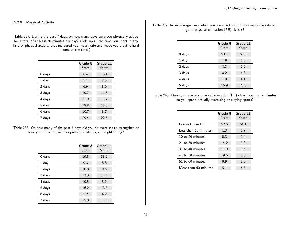### A.2.9 Physical Activity

Table 237: During the past 7 days, on how many days were you physically active for a total of at least 60 minutes per day? (Add up all the time you spent in any kind of physical activity that increased your heart rate and made you breathe hard some of the time.)

|          | Grade 8<br><b>State</b> | Grade 11<br><b>State</b> |
|----------|-------------------------|--------------------------|
| $0$ days | 6.4                     | 13.4                     |
| 1 day    | 5.1                     | 7.5                      |
| 2 days   | 6.9                     | 8.9                      |
| 3 days   | 10.7                    | 11.5                     |
| 4 days   | 11.9                    | 11.7                     |
| 5 days   | 18.8                    | 15.9                     |
| 6 days   | 10.7                    | 8.7                      |
| days     | 29.4                    | 22.5                     |

|  |                                                                  |  |  | Table 238: On how many of the past 7 days did you do exercises to strengthen or |  |
|--|------------------------------------------------------------------|--|--|---------------------------------------------------------------------------------|--|
|  | tone your muscles, such as push-ups, sit-ups, or weight lifting? |  |  |                                                                                 |  |

|          | Grade 8<br>State | Grade 11<br><b>State</b> |
|----------|------------------|--------------------------|
| $0$ days | 19.8             | 33.2                     |
| 1 day    | 9.3              | 8.8                      |
| 2 days   | 10.8             | 9.6                      |
| 3 days   | 13.3             | 11.1                     |
| 4 days   | 10.5             | 8.6                      |
| 5 days   | 16.2             | 13.3                     |
| 6 days   | 5.2              | 4.2                      |
| 7 days   | 15.0             | 11.1                     |

Table 239: In an average week when you are in school, on how many days do you go to physical education (PE) classes?

|          | Grade 8<br>State | Grade 11<br>State |
|----------|------------------|-------------------|
| $0$ days | 23.7             | 66.3              |
| $1$ day  | 1.9              | 0.9               |
| 2 days   | 3.3              | 1.9               |
| 3 days   | 8.2              | 6.8               |
| 4 days   | 7.0              | 4.1               |
| 5 days   | 55.9             | 20.0              |

Table 240: During an average physical education (PE) class, how many minutes do you spend actually exercising or playing sports?

|                      | Grade 8<br>State | Grade 11<br>State |
|----------------------|------------------|-------------------|
| l do not take PF     | 22.5             | 64.1              |
| Less than 10 minutes | 1.3              | 0.7               |
| 10 to 20 minutes     | 5.3              | 1.4               |
| 21 to 30 minutes     | 14.2             | 3.9               |
| 31 to 40 minutes     | 21.9             | 8.6               |
| 41 to 50 minutes     | 19.6             | 8.8               |
| 51 to 60 minutes     | 9.9              | 5.9               |
| More than 60 minutes | 5.1              | 6.6               |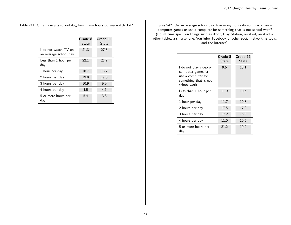Table 241: On an average school day, how many hours do you watch TV?

|                                               | Grade 8<br>State | Grade 11<br>State |
|-----------------------------------------------|------------------|-------------------|
| I do not watch TV on<br>an average school day | 21.3             | 27.3              |
| Less than 1 hour per<br>day                   | 22.1             | 21.7              |
| 1 hour per day                                | 16.7             | 15.7              |
| 2 hours per day                               | 19.0             | 17.6              |
| 3 hours per day                               | 10.9             | 9.9               |
| 4 hours per day                               | 4.5              | 4.1               |
| 5 or more hours per<br>day                    | 5.4              | 3.8               |

Table 242: On an average school day, how many hours do you play video or computer games or use a computer for something that is not school work? (Count time spent on things such as Xbox, Play Station, an iPod, an iPad or other tablet, a smartphone, YouTube, Facebook or other social networking tools, and the Internet).

|                                                                                                           | Grade 8<br>State | Grade 11<br>State |
|-----------------------------------------------------------------------------------------------------------|------------------|-------------------|
| I do not play video or<br>computer games or<br>use a computer for<br>something that is not<br>school work | 9.5              | 15.1              |
| Less than 1 hour per<br>day                                                                               | 11.9             | 10.6              |
| 1 hour per day                                                                                            | 11.7             | 10.3              |
| 2 hours per day                                                                                           | 17.5             | 17.2              |
| 3 hours per day                                                                                           | 17.2             | 16.5              |
| 4 hours per day                                                                                           | 11.0             | 10.5              |
| 5 or more hours per<br>day                                                                                | 21.2             | 19.9              |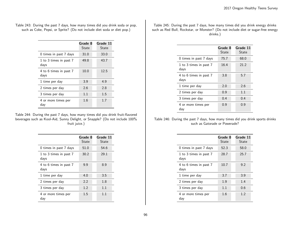| Table 243: During the past 7 days, how many times did you drink soda or pop, |  |
|------------------------------------------------------------------------------|--|
| such as Coke, Pepsi, or Sprite? (Do not include diet soda or diet pop.)      |  |

|                                | Grade 8<br>State | Grade 11<br>State |
|--------------------------------|------------------|-------------------|
| 0 times in past 7 days         | 31.0             | 33.0              |
| 1 to 3 times in past 7<br>days | 49.8             | 43.7              |
| 4 to 6 times in past 7<br>days | 10.0             | 12.5              |
| 1 time per day                 | 3.9              | 4.9               |
| 2 times per day                | 2.6              | 2.8               |
| 3 times per day                | 1.1              | 1.5               |
| 4 or more times per<br>day     | 1.6              | 1.7               |

Table 244: During the past 7 days, how many times did you drink fruit-flavored beverages such as Kool-Aid, Sunny Delight, or Snapple? (Do not include 100% fruit juice.)

|                                | Grade 8<br>State | Grade 11<br>State |
|--------------------------------|------------------|-------------------|
| 0 times in past 7 days         | 51.0             | 54.6              |
| 1 to 3 times in past 7<br>days | 30.2             | 29.1              |
| 4 to 6 times in past 7<br>days | 9.9              | 8.9               |
| 1 time per day                 | 4.0              | 3.5               |
| 2 times per day                | 2.2              | 1.8               |
| 3 times per day                | 1.2              | 1.1               |
| 4 or more times per<br>day     | 1.5              | 11                |

Table 245: During the past 7 days, how many times did you drink energy drinks such as Red Bull, Rockstar, or Monster? (Do not include diet or sugar-free energy drinks.)

|                                | Grade 8<br><b>State</b> | Grade 11<br>State |
|--------------------------------|-------------------------|-------------------|
| 0 times in past 7 days         | 75.7                    | 68.0              |
| 1 to 3 times in past 7<br>days | 16.4                    | 21.2              |
| 4 to 6 times in past 7<br>days | 3.8                     | 5.7               |
| 1 time per day                 | 2.0                     | 2.6               |
| 2 times per day                | 0.9                     | 1.1               |
| 3 times per day                | 0.4                     | 0.4               |
| 4 or more times per<br>day     | 0.9                     | 0.9               |

Table 246: During the past 7 days, how many times did you drink sports drinks such as Gatorade or Powerade?

|                                | Grade 8<br>State | Grade 11<br>State |
|--------------------------------|------------------|-------------------|
| 0 times in past 7 days         | 52.3             | 58.0              |
| 1 to 3 times in past 7<br>days | 28.7             | 25.7              |
| 4 to 6 times in past 7<br>days | 10.7             | 9.2               |
| 1 time per day                 | 3.7              | 3.9               |
| 2 times per day                | 1.9              | 1.4               |
| 3 times per day                | 1.1              | 0.6               |
| 4 or more times per<br>day     | 1.6              | 1.2               |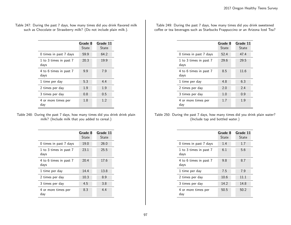Table 247: During the past 7 days, how many times did you drink flavored milk such as Chocolate or Strawberry milk? (Do not include plain milk.).

|                                | Grade 8<br>State | Grade 11<br>State |
|--------------------------------|------------------|-------------------|
| 0 times in past 7 days         | 59.9             | 64.2              |
| 1 to 3 times in past 7<br>days | 20.3             | 19.9              |
| 4 to 6 times in past 7<br>days | 9.9              | 7.9               |
| 1 time per day                 | 5.3              | 4.4               |
| 2 times per day                | 1.9              | 1.9               |
| 3 times per day                | 0.8              | 0.5               |
| 4 or more times per<br>dav     | 1.8              | 1.2               |

| Table 248: During the past 7 days, how many times did you drink drink plain |                                                |  |
|-----------------------------------------------------------------------------|------------------------------------------------|--|
|                                                                             | milk? (Include milk that you added to cereal.) |  |

|                                | Grade 8<br>State | Grade 11<br>State |
|--------------------------------|------------------|-------------------|
| 0 times in past 7 days         | 19.0             | 26.0              |
| 1 to 3 times in past 7<br>days | 23.1             | 25.5              |
| 4 to 6 times in past 7<br>days | 20.4             | 17.6              |
| 1 time per day                 | 14.4             | 13.8              |
| 2 times per day                | 10.3             | 8.9               |
| 3 times per day                | 4.5              | 3.8               |
| 4 or more times per<br>day     | 8.3              | 4.4               |

Table 249: During the past 7 days, how many times did you drink sweetened coffee or tea beverages such as Starbucks Frappuccino or an Arizona Iced Tea?

|                                | Grade 8<br>State | Grade 11<br>State |
|--------------------------------|------------------|-------------------|
| 0 times in past 7 days         | 52.4             | 47.4              |
| 1 to 3 times in past 7<br>days | 29.6             | 29.5              |
| 4 to 6 times in past 7<br>days | 8.5              | 11.6              |
| 1 time per day                 | 4.8              | 6.3               |
| 2 times per day                | 2.0              | 2.4               |
| 3 times per day                | 1.0              | 0.9               |
| 4 or more times per<br>day     | 1.7              | 1.9               |

Table 250: During the past 7 days, how many times did you drink plain water? (Include tap and bottled water.)

|                                | Grade 8<br>State | Grade 11<br>State |
|--------------------------------|------------------|-------------------|
| 0 times in past 7 days         | 1.4              | 1.7               |
| 1 to 3 times in past 7<br>days | 6.1              | 5.6               |
| 4 to 6 times in past 7<br>days | 9.8              | 8.7               |
| 1 time per day                 | 7.5              | 7.9               |
| 2 times per day                | 10.6             | 11.1              |
| 3 times per day                | 14.2             | 14.8              |
| 4 or more times per<br>day     | 50.5             | 50.2              |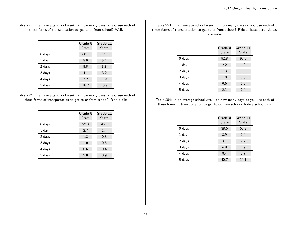Table 251: In an average school week, on how many days do you use each of these forms of transportation to get to or from school? Walk

|         | Grade 8<br>State | Grade 11<br><b>State</b> |
|---------|------------------|--------------------------|
| 0 days  | 60.1             | 72.3                     |
| $1$ day | 8.9              | 5.1                      |
| 2 days  | 5.5              | 3.8                      |
| 3 days  | 4.1              | 3.2                      |
| 4 days  | 3.2              | 1.9                      |
| 5 days  | 18.2             | 13.7                     |

Table 252: In an average school week, on how many days do you use each of these forms of transportation to get to or from school? Ride a bike

|          | Grade 8<br>State | Grade 11<br><b>State</b> |
|----------|------------------|--------------------------|
| $0$ days | 92.3             | 96.0                     |
| $1$ day  | 2.7              | 1.4                      |
| 2 days   | 1.3              | 0.8                      |
| 3 days   | 1.0              | 0.5                      |
| 4 days   | 0.6              | 0.4                      |
| 5 days   | 2.0              | 0.9                      |

Table 253: In an average school week, on how many days do you use each of these forms of transportation to get to or from school? Ride a skateboard, skates, or scooter.

|          | Grade 8<br>State | Grade 11<br>State |
|----------|------------------|-------------------|
| $0$ days | 92.8             | 96.5              |
| 1 day    | 2.2              | 1.0               |
| 2 days   | 1.3              | 0.8               |
| 3 days   | 1.0              | 0.6               |
| 4 days   | 0.6              | 0.2               |
| 5 days   | 2.1              | 0.9               |

Table 254: In an average school week, on how many days do you use each of these forms of transportation to get to or from school? Ride a school bus.

|          | Grade 8<br><b>State</b> | Grade 11<br><b>State</b> |
|----------|-------------------------|--------------------------|
| $0$ days | 38.6                    | 69.2                     |
| 1 day    | 3.9                     | 2.4                      |
| 2 days   | 3.7                     | 2.7                      |
| 3 days   | 4.8                     | 2.9                      |
| 4 days   | 8.4                     | 3.7                      |
| 5 days   | 40.7                    | 19.1                     |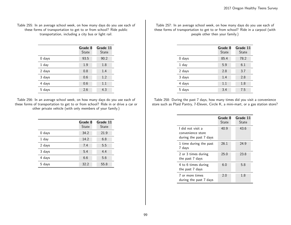### Table 255: In an average school week, on how many days do you use each of these forms of transportation to get to or from school? Ride public transportation, including a city bus or light rail.

|        | Grade 8<br>State | Grade 11<br>State |
|--------|------------------|-------------------|
| 0 days | 93.5             | 90.2              |
| 1 day  | 1.9              | 1.8               |
| 2 days | 0.8              | 1.4               |
| 3 days | 0.6              | 1.2               |
| 4 days | 0.6              | 1.1               |
| 5 days | 2.6              | 4.3               |

Table 256: In an average school week, on how many days do you use each of these forms of transportation to get to or from school? Ride in or drive a car or other private vehicle (with only members of your family.)

|        | Grade 8<br>State | Grade 11<br>State |
|--------|------------------|-------------------|
| 0 days | 34.2             | 21.9              |
| 1 day  | 14.2             | 6.8               |
| 2 days | 7.4              | 5.5               |
| 3 days | 5.4              | 4.4               |
| 4 days | 6.6              | 5.6               |
| 5 days | 32.2             | 55.8              |

Table 257: In an average school week, on how many days do you use each of these forms of transportation to get to or from school? Ride in a carpool (with people other then your family.)

|          | Grade 8<br>State | Grade 11<br>State |
|----------|------------------|-------------------|
| $0$ days | 85.4             | 78.2              |
| 1 day    | 5.9              | 6.1               |
| 2 days   | 2.8              | 3.7               |
| 3 days   | 1.4              | 2.8               |
| 4 days   | 1.1              | 1.8               |
| 5 days   | 3.4              | 7.5               |

Table 258: During the past 7 days, how many times did you visit a convenience store such as Plaid Pantry, 7-Eleven, Circle K, a mini-mart, or a gas station store?

|                                                                  | Grade 8<br>State | Grade 11<br>State |
|------------------------------------------------------------------|------------------|-------------------|
| I did not visit a<br>convenience store<br>during the past 7 days | 40.9             | 43.6              |
| 1 time during the past<br>7 days                                 | 26.1             | 24.9              |
| 2 or 3 times during<br>the past 7 days                           | 25.0             | 23.8              |
| 4 to 6 times during<br>the past 7 days                           | 6.0              | 5.8               |
| 7 or more times<br>during the past 7 days                        | 2.0              | 1.8               |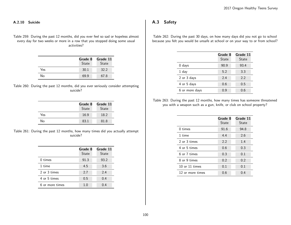#### A.2.10 Suicide

Table 259: During the past 12 months, did you ever feel so sad or hopeless almost every day for two weeks or more in a row that you stopped doing some usual activities?

|     | Grade 8<br>State | Grade 11<br><b>State</b> |
|-----|------------------|--------------------------|
| Yes | 30.1             | 32.2                     |
| N٥  | 69.9             | 67.8                     |

Table 260: During the past 12 months, did you ever seriously consider attempting suicide?

|     | Grade 8<br>State | Grade 11<br>State |
|-----|------------------|-------------------|
| Yes | 16.9             | 18.2              |
| No  | 83.1             | 81.8              |

Table 261: During the past 12 months, how many times did you actually attempt suicide?

|                 | Grade 8<br>State | Grade 11<br>State |
|-----------------|------------------|-------------------|
| 0 times         | 91.3             | 93.2              |
| 1 time          | 4.5              | 3.6               |
| 2 or 3 times    | 2.7              | 2.4               |
| 4 or 5 times    | 0.5              | 0.4               |
| 6 or more times | 1.0              | 0.4               |

# A.3 Safety

Table 262: During the past 30 days, on how many days did you not go to school because you felt you would be unsafe at school or on your way to or from school?

|                | Grade 8<br>State | Grade 11<br>State |
|----------------|------------------|-------------------|
| $0$ days       | 90.9             | 93.4              |
| 1 day          | 5.2              | 3.3               |
| 2 or 3 days    | 2.4              | 2.2               |
| 4 or 5 days    | 0.6              | 0.5               |
| 6 or more days | 0.9              | 0.6               |

Table 263: During the past 12 months, how many times has someone threatened you with a weapon such as a gun, knife, or club on school property?

|                  | Grade 8<br>State | Grade 11<br>State |
|------------------|------------------|-------------------|
| $0 \times$       | 91.6             | 94.8              |
| 1 time           | 4.4              | 2.6               |
| 2 or 3 times     | 2.2              | 1.4               |
| 4 or 5 times     | 0.6              | 0.3               |
| 6 or 7 times     | 0.3              | 0.1               |
| 8 or 9 times     | 0.2              | 0.2               |
| 10 or 11 times   | 0.1              | 0.1               |
| 12 or more times | 0.6              | 0.4               |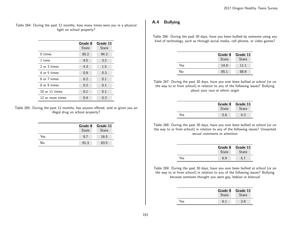### Table 264: During the past 12 months, how many times were you in a physical fight on school property?

|                  | Grade 8<br>State | Grade 11<br>State |
|------------------|------------------|-------------------|
| 0 times          | 85.2             | 94.3              |
| 1 time           | 8.5              | 3.2               |
| 2 or 3 times     | 4.3              | 1.5               |
| 4 or 5 times     | 0.9              | 0.3               |
| 6 or 7 times     | 0.2              | 0.1               |
| 8 or 9 times     | 0.2              | 0.1               |
| 10 or 11 times   | 0.1              | 0.1               |
| 12 or more times | 0.4              | 0.3               |

Table 265: During the past 12 months, has anyone offered, sold or given you an illegal drug on school property?

|     | Grade 8<br>State | Grade 11<br>State |
|-----|------------------|-------------------|
| Yes | 8.7              | 16.5              |
| No  | 91.3             | 83.5              |

# A.4 Bullying

Table 266: During the past 30 days, have you been bullied by someone using any kind of technology, such as through social media, cell phones, or video games?

|     | Grade 8<br>State | Grade 11<br>State |
|-----|------------------|-------------------|
| Yes | 14.9             | 11 1              |
| No  | 85.1             | 88.9              |

Table 267: During the past 30 days, have you ever been bullied at school (or on the way to or from school) in relation to any of the following issues? Bullying about your race or ethnic origin

|     | Grade 8<br><b>State</b> | Grade 11<br><b>State</b> |
|-----|-------------------------|--------------------------|
| Yes | 5.8                     |                          |

Table 268: During the past 30 days, have you ever been bullied at school (or on the way to or from school) in relation to any of the following issues? Unwanted sexual comments or attention

|     | Grade 8<br><b>State</b> | Grade 11<br><b>State</b> |
|-----|-------------------------|--------------------------|
| Yes | 6.9                     | 5.7                      |

Table 269: During the past 30 days, have you ever been bullied at school (or on the way to or from school) in relation to any of the following issues? Bullying because someone thought you were gay, lesbian or bisexual

|     | <b>State</b> | Grade 8 Grade 11<br><b>State</b> |
|-----|--------------|----------------------------------|
| Yes | რ :          | 2.8                              |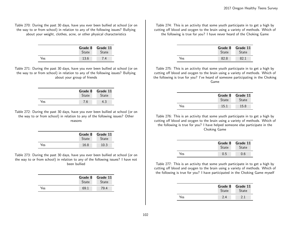Table 270: During the past 30 days, have you ever been bullied at school (or on the way to or from school) in relation to any of the following issues? Bullying about your weight, clothes, acne, or other physical characteristics

|     | Grade 8<br>State | Grade 11<br><b>State</b> |
|-----|------------------|--------------------------|
| Yes | 13.6             | ΄ 4                      |

Table 271: During the past 30 days, have you ever been bullied at school (or on the way to or from school) in relation to any of the following issues? Bullying about your group of friends

|     | Grade 8<br><b>State</b> | Grade 11<br><b>State</b> |
|-----|-------------------------|--------------------------|
| Yes | 7.6                     |                          |

Table 272: During the past 30 days, have you ever been bullied at school (or on the way to or from school) in relation to any of the following issues? Other reasons

|      | Grade 8<br><b>State</b> | Grade 11<br><b>State</b> |
|------|-------------------------|--------------------------|
| Yes. | 16.8                    | 10.3                     |

Table 273: During the past 30 days, have you ever been bullied at school (or on the way to or from school) in relation to any of the following issues? I have not been bullied

|     | Grade 8      | Grade 11     |
|-----|--------------|--------------|
|     | <b>State</b> | <b>State</b> |
| Yes | 69.1         | 79.4         |

Table 274: This is an activity that some youth participate in to get a high by cutting off blood and oxygen to the brain using a variety of methods. Which of the following is true for you? I have never heard of the Choking Game

|     | Grade 8<br><b>State</b> | Grade 11<br><b>State</b> |
|-----|-------------------------|--------------------------|
| Yes | 82 S                    |                          |

Table 275: This is an activity that some youth participate in to get a high by cutting off blood and oxygen to the brain using a variety of methods. Which of the following is true for you? I've heard of someone participating in the Choking Game

|     | Grade 8<br><b>State</b> | Grade 11<br><b>State</b> |
|-----|-------------------------|--------------------------|
| Yes | 15.1                    | 15.8                     |

Table 276: This is an activity that some youth participate in to get a high by cutting off blood and oxygen to the brain using a variety of methods. Which of the following is true for you? I have helped someone else participate in the Choking Game

|     | Grade 8<br><b>State</b> | Grade 11<br><b>State</b> |
|-----|-------------------------|--------------------------|
| Yes | 0.5                     | 0.6                      |

Table 277: This is an activity that some youth participate in to get a high by cutting off blood and oxygen to the brain using a variety of methods. Which of the following is true for you? I have participated in the Choking Game myself

|     | Grade 8<br><b>State</b> | Grade 11<br><b>State</b> |
|-----|-------------------------|--------------------------|
| Yes | 2.4                     | 21                       |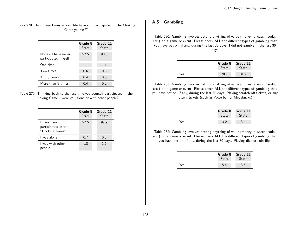## Table 278: How many times in your life have you participated in the Choking Game yourself?

|                                            | Grade 8<br>State | Grade 11<br>State |
|--------------------------------------------|------------------|-------------------|
| None - I have never<br>participated myself | 97.5             | 98.0              |
| One time                                   | 1.1              | 1.1               |
| Two times                                  | 0.6              | 0.5               |
| 3 to 5 times                               | 0.4              | 0.3               |
| More than 5 times                          | በ 4              | 02                |

Table 279: Thinking back to the last time you yourself participated in the "Choking Game", were you alone or with other people?

|                                                       | Grade 8<br>State | Grade 11<br>State |
|-------------------------------------------------------|------------------|-------------------|
| I have never<br>participated in the<br>"Choking Game" | 97.5             | 97.9              |
| L was alone                                           | 0.7              | 0.5               |
| I was with other<br>people                            | 1.8              | 1.6               |

# A.5 Gambling

Table 280: Gambling involves betting anything of value (money, a watch, soda, etc.) on a game or event. Please check ALL the different types of gambling that you have bet on, if any, during the last 30 days. I did not gamble in the last 30 days

|     | Grade 8<br><b>State</b> | Grade 11<br><b>State</b> |
|-----|-------------------------|--------------------------|
| Yes | 78.7                    | 81.7                     |

Table 281: Gambling involves betting anything of value (money, a watch, soda, etc.) on a game or event. Please check ALL the different types of gambling that you have bet on, if any, during the last 30 days. Playing scratch off tickets, or any lottery tickets (such as Powerball or Megabucks)

|     | Grade 8<br><b>State</b> | Grade 11<br><b>State</b> |
|-----|-------------------------|--------------------------|
| ⁄es |                         |                          |

Table 282: Gambling involves betting anything of value (money, a watch, soda, etc.) on a game or event. Please check ALL the different types of gambling that you have bet on, if any, during the last 30 days. Playing dice or coin flips

|     | Grade 8<br><b>State</b> | Grade 11<br>State |
|-----|-------------------------|-------------------|
| Yes | 5.4                     | 3.5               |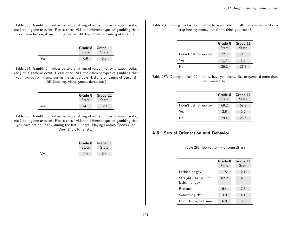Table 283: Gambling involves betting anything of value (money, a watch, soda, etc.) on a game or event. Please check ALL the different types of gambling that you have bet on, if any, during the last 30 days. Playing cards (poker, etc.)

|     | State | Grade 8 Grade 11<br><b>State</b> |
|-----|-------|----------------------------------|
| Yes | 6 ጸ   | 5.5                              |

Table 284: Gambling involves betting anything of value (money, a watch, soda, etc.) on a game or event. Please check ALL the different types of gambling that you have bet on, if any, during the last 30 days. Betting on games of personal skill (bowling, video games, dares, etc.)

|     |              | Grade 8 Grade 11 |
|-----|--------------|------------------|
|     | <b>State</b> | <b>State</b>     |
| Yes | 14.1         | 12 1             |

Table 285: Gambling involves betting anything of value (money, a watch, soda, etc.) on a game or event. Please check ALL the different types of gambling that you have bet on, if any, during the last 30 days. Playing Fantasy Sports (Fan Duel, Draft King, etc.)

|     | Grade 8      | Grade 11     |
|-----|--------------|--------------|
|     | <b>State</b> | <b>State</b> |
| Yes |              | 2.4          |

Table 286: During the last 12 months, have you ever... Felt that you would like to stop betting money but didn't think you could?

|                       | Grade 8<br><b>State</b> | Grade 11<br><b>State</b> |
|-----------------------|-------------------------|--------------------------|
| I don't bet for money | 72.1                    | 71.5                     |
| Yes.                  | 1.7                     | 1.2                      |
| N٥                    | 26.2                    | 27.3                     |

Table 287: During the last 12 months, have you ever... Bet or gambled more than you wanted to?

|                       | Grade 8<br>State | Grade 11<br><b>State</b> |
|-----------------------|------------------|--------------------------|
| I don't bet for money | 68.2             | 69.2                     |
| Yes                   | 2.5              | 2.2                      |
| N٥                    | 29.4             | 28.6                     |

# A.6 Sexual Orientation and Behavior

Table 288: Do you think of yourself as?

|                                          | Grade 8<br>State | Grade 11<br>State |
|------------------------------------------|------------------|-------------------|
| Lesbian or gay                           | 1.5              | 2.1               |
| Straight, that is, not<br>lesbian or gay | 82.2             | 82.5              |
| Bisexual                                 | 6.4              | 7.5               |
| Something else                           | 3.9              | 4.1               |
| Don't know/Not sure                      | 6.0              | 3.8               |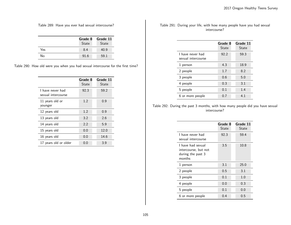Table 289: Have you ever had sexual intercourse?

|     | Grade 8<br>State | Grade 11<br><b>State</b> |
|-----|------------------|--------------------------|
| Yes | 8.4              | 40.9                     |
| No  | 91.6             | 59.1                     |

Table 290: How old were you when you had sexual intercourse for the first time?

|                                        | Grade 8<br>State | Grade 11<br>State |
|----------------------------------------|------------------|-------------------|
| I have never had<br>sexual intercourse | 92.3             | 59.2              |
| 11 years old or<br>younger             | 1.2              | 0.9               |
| 12 years old                           | 1.2              | 0.9               |
| 13 years old                           | 3.2              | 2.6               |
| 14 years old                           | 2.2              | 5.9               |
| 15 years old                           | 0.0              | 12.0              |
| 16 years old                           | 0.0              | 14.6              |
| 17 years old or older                  | 0.0              | 3.9               |

Table 291: During your life, with how many people have you had sexual intercourse?

|                                        | Grade 8<br>State | Grade 11<br>State |
|----------------------------------------|------------------|-------------------|
| I have never had<br>sexual intercourse | 92.2             | 59.3              |
| 1 person                               | 4.3              | 18.9              |
| 2 people                               | 1.7              | 8.2               |
| 3 people                               | 0.6              | 5.0               |
| 4 people                               | 0.3              | 3.1               |
| 5 people                               | 0.1              | 1.4               |
| 6 or more people                       | 0.7              | 4.1               |

Table 292: During the past 3 months, with how many people did you have sexual intercourse?

|                                                                          | Grade 8<br>State | Grade 11<br>State |
|--------------------------------------------------------------------------|------------------|-------------------|
| I have never had<br>sexual intercourse                                   | 92.3             | 59.4              |
| I have had sexual<br>intercourse, but not<br>during the past 3<br>months | 3.5              | 10.8              |
| 1 person                                                                 | 3.1              | 25.0              |
| 2 people                                                                 | 0.5              | 3.1               |
| 3 people                                                                 | 0.1              | 1.0               |
| 4 people                                                                 | 0.0              | 0.3               |
| 5 people                                                                 | 0.1              | 0.0               |
| 6 or more people                                                         | 0.4              | 0.5               |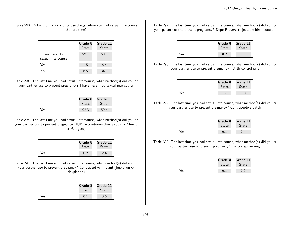Table 293: Did you drink alcohol or use drugs before you had sexual intercourse the last time?

|                                        | Grade 8<br>State | Grade 11<br>State |
|----------------------------------------|------------------|-------------------|
| 1 have never had<br>sexual intercourse | 92.1             | 58.8              |
| Yes                                    | 1.5              | 6.4               |
| ∖∣ი                                    | 6.5              | 34.8              |

Table 294: The last time you had sexual intercourse, what method(s) did you or your partner use to prevent pregnancy? I have never had sexual intercourse

|     | Grade 8      | Grade 11     |
|-----|--------------|--------------|
|     | <b>State</b> | <b>State</b> |
| Yes | 92.3         | 59.4         |

Table 295: The last time you had sexual intercourse, what method(s) did you or your partner use to prevent pregnancy? IUD (intrauterine device such as Mirena or Paragard)

|     | Grade 8<br>State | Grade 11<br>State |
|-----|------------------|-------------------|
| ⁄es |                  | 24                |

Table 296: The last time you had sexual intercourse, what method(s) did you or your partner use to prevent pregnancy? Contraceptive implant (Implanon or Nexplanon)

|     | <b>State</b> | Grade 8 Grade 11<br><b>State</b> |
|-----|--------------|----------------------------------|
| Yes |              | 3.6                              |

Table 297: The last time you had sexual intercourse, what method(s) did you or your partner use to prevent pregnancy? Depo-Provera (injectable birth control)

|     | <b>State</b> | Grade 8 Grade 11<br>State |
|-----|--------------|---------------------------|
| Yes |              | 2.6                       |

Table 298: The last time you had sexual intercourse, what method(s) did you or your partner use to prevent pregnancy? Birth control pills

|     | Grade 8 | Grade 11     |
|-----|---------|--------------|
|     | State   | <b>State</b> |
| Yes |         | 12 7         |

Table 299: The last time you had sexual intercourse, what method(s) did you or your partner use to prevent pregnancy? Contraceptive patch

|     | Grade 8<br><b>State</b> | Grade 11<br><b>State</b> |
|-----|-------------------------|--------------------------|
| Yes |                         |                          |

Table 300: The last time you had sexual intercourse, what method(s) did you or your partner use to prevent pregnancy? Contraceptive ring

|     | State | Grade 8 Grade 11<br><b>State</b> |
|-----|-------|----------------------------------|
| Yes |       | 0.2                              |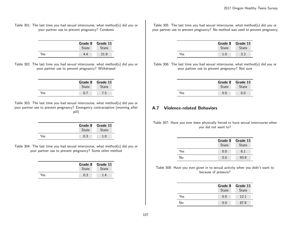#### Table 301: The last time you had sexual intercourse, what method(s) did you or your partner use to prevent pregnancy? Condoms

|     | Grade 8<br><b>State</b> | Grade 11<br><b>State</b> |
|-----|-------------------------|--------------------------|
| Yes | 44                      | 21.9                     |

Table 302: The last time you had sexual intercourse, what method(s) did you or your partner use to prevent pregnancy? Withdrawal

|     | <b>State</b> | Grade 8 Grade 11<br><b>State</b> |
|-----|--------------|----------------------------------|
| Yes |              | 7.5                              |

Table 303: The last time you had sexual intercourse, what method(s) did you or your partner use to prevent pregnancy? Emergency contraception (morning after pill)

|     | Grade 8<br><b>State</b> | Grade 11<br><b>State</b> |
|-----|-------------------------|--------------------------|
| Yes | 0.3                     | - റ                      |

Table 304: The last time you had sexual intercourse, what method(s) did you or your partner use to prevent pregnancy? Some other method

|     | Grade 8      | Grade 11     |
|-----|--------------|--------------|
|     | <b>State</b> | <b>State</b> |
| Yes | 0.3          |              |

Table 305: The last time you had sexual intercourse, what method(s) did you or your partner use to prevent pregnancy? No method was used to prevent pregnancy

|     | Grade 8<br><b>State</b> | Grade 11<br><b>State</b> |
|-----|-------------------------|--------------------------|
| Yes |                         | 3.3                      |

Table 306: The last time you had sexual intercourse, what method(s) did you or your partner use to prevent pregnancy? Not sure

|     | Grade 8<br><b>State</b> | Grade 11<br><b>State</b> |
|-----|-------------------------|--------------------------|
| Yes |                         |                          |

# A.7 Violence-related Behaviors

Table 307: Have you ever been physically forced to have sexual intercourse when you did not want to?

|     | Grade 8<br>State | Grade 11<br>State |
|-----|------------------|-------------------|
| Yes | 0.0              | 6.1               |
| No  | 0.0              | 93.9              |

Table 308: Have you ever given in to sexual activity when you didn't want to because of pressure?

|     | Grade 8<br>State | Grade 11<br>State |
|-----|------------------|-------------------|
| Yes | 0.0              | 121               |
| No  | 0.0              | 87.9              |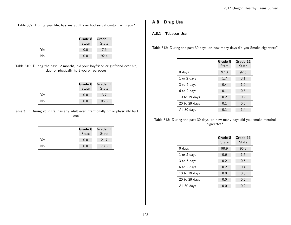Table 309: During your life, has any adult ever had sexual contact with you?

|     | Grade 8<br>State | Grade 11<br>State |
|-----|------------------|-------------------|
| Yes | 0.0              | 7.6               |
| No  | 0.0              | 92.4              |

Table 310: During the past 12 months, did your boyfriend or girlfriend ever hit, slap, or physically hurt you on purpose?

|     | Grade 8<br>State | Grade 11<br>State |
|-----|------------------|-------------------|
| Yes | 0.0              | 3.7               |
| No  | 0.0              | 96.3              |

Table 311: During your life, has any adult ever intentionally hit or physically hurt you?

|     | Grade 8<br>State | Grade 11<br>State |
|-----|------------------|-------------------|
| Yes | 0.0              | 21.7              |
| No  | 0.0              | 78.3              |

# A.8 Drug Use

# A.8.1 Tobacco Use

Table 312: During the past 30 days, on how many days did you Smoke cigarettes?

|                   | Grade 8<br>State | Grade 11<br>State |
|-------------------|------------------|-------------------|
| $0$ days          | 97.3             | 92.6              |
| 1 or 2 days       | 1.7              | 3.1               |
| 3 to 5 days       | 0.4              | 1.0               |
| 6 to 9 days       | 0.1              | 0.6               |
| 10 to 19 days     | 0.2              | 0.9               |
| $20$ to $29$ days | 0.1              | 0.5               |
| All 30 days       | 0.1              | 1.4               |

Table 313: During the past 30 days, on how many days did you smoke menthol cigarettes?

|                   | Grade 8<br>State | Grade 11<br>State |
|-------------------|------------------|-------------------|
| $0$ days          | 98.9             | 96.9              |
| 1 or 2 days       | 0.6              | 1.5               |
| 3 to 5 days       | 0.2              | 0.5               |
| 6 to 9 days       | 0.2              | 0.4               |
| $10$ to $19$ days | 0.0              | 0.3               |
| $20$ to $29$ days | 0.0              | 0.2               |
| All 30 days       | 0.0              | 0.2               |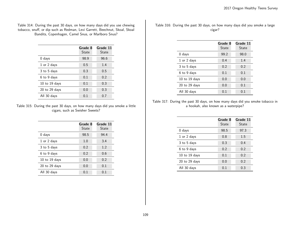#### Table 314: During the past 30 days, on how many days did you use chewing tobacco, snuff, or dip such as Redman, Levi Garrett, Beechnut, Skoal, Skoal Bandits, Copenhagen, Camel Snus, or Marlboro Snus?

|               | Grade 8<br>State | Grade 11<br>State |
|---------------|------------------|-------------------|
| 0 days        | 98.9             | 96.6              |
| 1 or 2 days   | 0.5              | 1.4               |
| 3 to 5 days   | 0.3              | 0.5               |
| 6 to 9 days   | 0.1              | 0.2               |
| 10 to 19 days | 0.1              | 0.3               |
| 20 to 29 days | 0.0              | 0.3               |
| All 30 days   | 0.1              | 0.7               |

Table 315: During the past 30 days, on how many days did you smoke a little cigars, such as Swisher Sweets?

|                   | Grade 8<br>State | Grade 11<br>State |
|-------------------|------------------|-------------------|
| $0$ days          | 98.5             | 94.4              |
| 1 or 2 days       | 1.0              | 3.4               |
| 3 to 5 days       | 0.2              | 1.2               |
| 6 to 9 days       | 0.2              | 0.6               |
| 10 to 19 days     | 0.0              | 0.2               |
| $20$ to $29$ days | 0.0              | 0.1               |
| All 30 days       | 0.1              | 0.1               |

Table 316: During the past 30 days, on how many days did you smoke a large cigar?

|                   | Grade 8<br>State | Grade 11<br>State |
|-------------------|------------------|-------------------|
| $0$ days          | 99.2             | 98.0              |
| 1 or 2 days       | 0.4              | 1.4               |
| 3 to 5 days       | 0.2              | 0.2               |
| 6 to 9 days       | 0.1              | 0.1               |
| 10 to 19 days     | 0.0              | 0.0               |
| $20$ to $29$ days | 0.0              | 0.1               |
| All 30 days       | 0.1              | 0.1               |

Table 317: During the past 30 days, on how many days did you smoke tobacco in a hookah, also known as a waterpipe?

|                   | Grade 8<br>State | Grade 11<br>State |
|-------------------|------------------|-------------------|
| $0$ days          | 98.5             | 97.3              |
| 1 or 2 days       | 0.8              | 1.5               |
| 3 to 5 days       | 0.3              | 0.4               |
| 6 to 9 days       | 0.2              | 0.2               |
| 10 to 19 days     | 0.1              | 0.2               |
| $20$ to $29$ days | 0.0              | 0.2               |
| All 30 days       | 0.1              | 0.3               |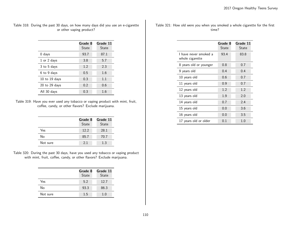| Table 318: During the past 30 days, on how many days did you use an e-cigarette |  |  |  |                          |  |  |  |  |
|---------------------------------------------------------------------------------|--|--|--|--------------------------|--|--|--|--|
|                                                                                 |  |  |  | or other vaping product? |  |  |  |  |

|                   | Grade 8<br><b>State</b> | Grade 11<br>State |
|-------------------|-------------------------|-------------------|
| $0$ days          | 93.7                    | 87.1              |
| 1 or 2 days       | 3.8                     | 5.7               |
| 3 to 5 days       | 1.2                     | 2.3               |
| 6 to 9 days       | 0.5                     | 1.6               |
| 10 to 19 days     | 0.3                     | 1.1               |
| $20$ to $29$ days | 0.2                     | 0.6               |
| All 30 days       | 0.3                     | 1.6               |

Table 319: Have you ever used any tobacco or vaping product with mint, fruit, coffee, candy, or other flavors? Exclude marijuana.

|          | Grade 8<br>State | Grade 11<br><b>State</b> |
|----------|------------------|--------------------------|
| Yes      | 12.2             | 28.1                     |
| No       | 85.7             | 70.7                     |
| Not sure | 21               | 1.3                      |

Table 320: During the past 30 days, have you used any tobacco or vaping product with mint, fruit, coffee, candy, or other flavors? Exclude marijuana.

|          | Grade 8<br>State | Grade 11<br><b>State</b> |
|----------|------------------|--------------------------|
| Yes      | 5.2              | 12.7                     |
| No       | 93.3             | 86.3                     |
| Not sure | 1.5              | 1.0                      |

Table 321: How old were you when you smoked a whole cigarette for the first time?

|                                          | Grade 8<br>State | Grade 11<br>State |
|------------------------------------------|------------------|-------------------|
| I have never smoked a<br>whole cigarette | 93.4             | 83.8              |
| 8 years old or younger                   | 0.8              | 0.7               |
| 9 years old                              | 0.4              | 0.4               |
| 10 years old                             | 0.6              | 0.7               |
| 11 years old                             | 0.9              | 0.7               |
| 12 years old                             | 1.2              | 1.2               |
| 13 years old                             | 1.9              | 2.0               |
| 14 years old                             | 0.7              | 2.4               |
| 15 years old                             | 0.0              | 3.6               |
| 16 years old                             | 0.0              | 3.5               |
| 17 years old or older                    | 0.1              | 1.0               |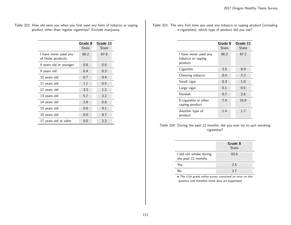| Table 322: How old were you when you first used any form of tobacco or vaping |  |  |  |
|-------------------------------------------------------------------------------|--|--|--|
| product other than regular cigarettes? Exclude marijuana.                     |  |  |  |

|                                            | Grade 8<br>State | Grade 11<br>State |
|--------------------------------------------|------------------|-------------------|
| I have never used any<br>of those products | 86.2             | 67.6              |
| 8 years old or younger                     | 0.8              | 0.8               |
| 9 years old                                | 0.4              | 0.3               |
| 10 years old                               | 0.7              | 0.4               |
| 11 years old                               | 1.1              | 0.5               |
| 12 years old                               | 3.2              | 1.2               |
| 13 years old                               | 5.7              | 3.2               |
| 14 years old                               | 1.9              | 5.8               |
| 15 years old                               | 0.0              | 9.1               |
| 16 years old                               | 0.0              | 8.7               |
| 17 years old or older                      | 0.0              | 2.3               |

Table 323: The very first time you used any tobacco or vaping product (including e-cigarettes), which type of product did you use?

|                                                       | Grade 8<br>State | Grade 11<br>State |
|-------------------------------------------------------|------------------|-------------------|
| I have never used any<br>tobacco or vaping<br>product | 86.2             | 67.2              |
| Cigarette                                             | 3.5              | 8.9               |
| Chewing tobacco                                       | 0.4              | 2.2               |
| Small cigar                                           | 0.3              | 1.0               |
| Large cigar                                           | 0.1              | 0.5               |
| Hookah                                                | 0.7              | 2.6               |
| E-cigarette or other<br>vaping product                | 7.4              | 15.9              |
| Another type of<br>product                            | 1.4              | 1.7               |

Table 324: During the past 12 months, did you ever try to quit smoking cigarettes?

|                                              | Grade 8<br><b>State</b> |
|----------------------------------------------|-------------------------|
| I did not smoke during<br>the past 12 months | 93.8                    |
| Yes                                          | 2.5                     |
| N۵                                           | 37                      |

• The 11th grade online survey contained an error on this question and therefore those data are suppressed.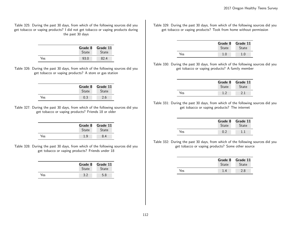Table 325: During the past 30 days, from which of the following sources did you get tobacco or vaping products? I did not get tobacco or vaping products during the past 30 days

|     | Grade 8<br><b>State</b> | Grade 11<br><b>State</b> |
|-----|-------------------------|--------------------------|
| Yes | 93.0                    | 82 4                     |

Table 326: During the past 30 days, from which of the following sources did you get tobacco or vaping products? A store or gas station

|     | Grade 8<br>State | Grade 11<br><b>State</b> |
|-----|------------------|--------------------------|
| Yes |                  | 2.6                      |

Table 327: During the past 30 days, from which of the following sources did you get tobacco or vaping products? Friends 18 or older

|     | Grade 8<br><b>State</b> | Grade 11<br><b>State</b> |
|-----|-------------------------|--------------------------|
| Yes |                         |                          |

Table 328: During the past 30 days, from which of the following sources did you get tobacco or vaping products? Friends under 18

|     | Grade 8      | Grade 11     |
|-----|--------------|--------------|
|     | <b>State</b> | <b>State</b> |
| Yes |              | 5.8          |

Table 329: During the past 30 days, from which of the following sources did you get tobacco or vaping products? Took from home without permission

|     | Grade 8<br>State | Grade 11<br><b>State</b> |
|-----|------------------|--------------------------|
| Yes | 1.0              | 1.0                      |

Table 330: During the past 30 days, from which of the following sources did you get tobacco or vaping products? A family member

|     | Grade 8<br><b>State</b> | Grade 11<br><b>State</b> |
|-----|-------------------------|--------------------------|
| Yes |                         |                          |

Table 331: During the past 30 days, from which of the following sources did you get tobacco or vaping products? The internet

|     | Grade 8      | Grade 11     |
|-----|--------------|--------------|
|     | <b>State</b> | <b>State</b> |
| Yes | በ 2          |              |

Table 332: During the past 30 days, from which of the following sources did you get tobacco or vaping products? Some other source

|     | Grade 8<br><b>State</b> | Grade 11<br><b>State</b> |
|-----|-------------------------|--------------------------|
| Yes | 1.4                     | 2.8                      |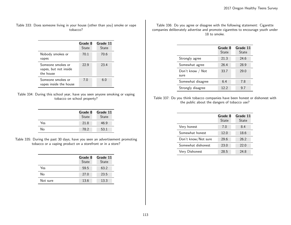Table 333: Does someone living in your house (other than you) smoke or vape tobacco?

| Nobody smokes or                                                 | Grade 8<br><b>State</b><br>70.1 | Grade 11<br>State<br>70.6 |
|------------------------------------------------------------------|---------------------------------|---------------------------|
| vapes<br>Someone smokes or<br>vapes, but not inside<br>the house | 22.9                            | 23.4                      |
| Someone smokes or<br>vapes inside the house                      | 7.0                             | 6.0                       |

Table 334: During this school year, have you seen anyone smoking or vaping tobacco on school property?

|     | Grade 8<br><b>State</b> | Grade 11<br><b>State</b> |
|-----|-------------------------|--------------------------|
| Yes | 21.8                    | 46.9                     |
| No  | 78.2                    | 53.1                     |

Table 335: During the past 30 days, have you seen an advertisement promoting tobacco or a vaping product on a storefront or in a store?

|          | Grade 8<br><b>State</b> | Grade 11<br><b>State</b> |
|----------|-------------------------|--------------------------|
| Yes      | 59.5                    | 63.2                     |
| No       | 27.0                    | 23.5                     |
| Not sure | 13.6                    | 13.3                     |

Table 336: Do you agree or disagree with the following statement: Cigarette companies deliberately advertise and promote cigarettes to encourage youth under 18 to smoke.

|                          | Grade 8<br>State | Grade 11<br>State |
|--------------------------|------------------|-------------------|
| Strongly agree           | 21.3             | 24.6              |
| Somewhat agree           | 26.4             | 28.9              |
| Don't know / Not<br>sure | 33.7             | 29.0              |
| Somewhat disagree        | 6.4              | 7.8               |
| Strongly disagree        | 12.2             | 9.7               |

Table 337: Do you think tobacco companies have been honest or dishonest with the public about the dangers of tobacco use?

|                     | Grade 8<br>State | Grade 11<br><b>State</b> |
|---------------------|------------------|--------------------------|
| Very honest         | 7.0              | 8.4                      |
| Somewhat honest     | 12.0             | 18.6                     |
| Don't know/Not sure | 29.6             | 26.2                     |
| Somewhat dishonest  | 23.0             | 22.0                     |
| Very Dishonest      | 28.5             | 24.8                     |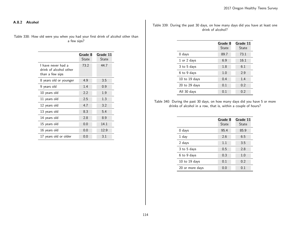A.8.2 Alcohol

Table 338: How old were you when you had your first drink of alcohol other than a few sips?

|                                                                 | Grade 8<br>State | Grade 11<br>State |
|-----------------------------------------------------------------|------------------|-------------------|
| I have never had a<br>drink of alcohol other<br>than a few sips | 73.2             | 44.7              |
| 8 years old or younger                                          | 4.9              | 3.5               |
| 9 years old                                                     | 1.4              | 0.9               |
| 10 years old                                                    | 2.2              | 1.9               |
| 11 years old                                                    | 2.5              | 1.3               |
| 12 years old                                                    | 4.7              | 3.2               |
| 13 years old                                                    | 8.3              | 5.4               |
| 14 years old                                                    | 2.8              | 8.9               |
| 15 years old                                                    | 0.0              | 14.1              |
| 16 years old                                                    | 0.0              | 12.9              |
| 17 years old or older                                           | 0.0              | 3.1               |

Table 339: During the past 30 days, on how many days did you have at least one drink of alcohol?

|                   | Grade 8<br>State | Grade 11<br>State |
|-------------------|------------------|-------------------|
| 0 days            | 89.7             | 73.1              |
| 1 or 2 days       | 6.9              | 16.1              |
| 3 to 5 days       | 1.8              | 6.1               |
| 6 to 9 days       | 1.0              | 2.9               |
| 10 to 19 days     | 0.4              | 1.4               |
| $20$ to $29$ days | 0.1              | 0.2               |
| All 30 days       | 0.1              | 0.2               |

Table 340: During the past 30 days, on how many days did you have 5 or more drinks of alcohol in a row, that is, within a couple of hours?

|                 | Grade 8<br>State | Grade 11<br>State |
|-----------------|------------------|-------------------|
| $0$ days        | 95.4             | 85.9              |
| 1 day           | 2.6              | 6.5               |
| 2 days          | 1.1              | 3.5               |
| 3 to 5 days     | 0.5              | 2.8               |
| 6 to 9 days     | 0.3              | 1.0               |
| 10 to 19 days   | 0.1              | 0.2               |
| 20 or more days | 0.0              | 0.1               |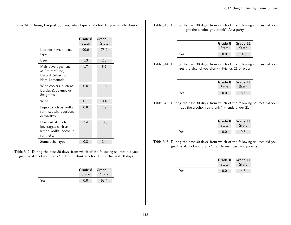Table 341: During the past 30 days, what type of alcohol did you usually drink?

|                                                                                 | Grade 8<br>State | Grade 11<br>State |
|---------------------------------------------------------------------------------|------------------|-------------------|
| I do not have a usual<br>type                                                   | 90.6             | 75.2              |
| Beer                                                                            | 1.3              | 2.8               |
| Malt beverages, such<br>as Smirnoff Ice,<br>Bacardi Silver, or<br>Hard Lemonade | 1.7              | 5.1               |
| Wine coolers, such as<br>Bartles & Jaymes or<br>Seagrams                        | 0.6              | 1.3               |
| Wine                                                                            | 0.1              | 0.4               |
| Liquor, such as vodka,<br>rum, scotch, bourbon,<br>or whiskey                   | 0.8              | 1.7               |
| Flavored alcoholic<br>beverages, such as<br>lemon vodka, coconut<br>rum, etc.   | 3.4              | 10.5              |
| Some other type                                                                 | 0.8              | 2.4               |

Table 342: During the past 30 days, from which of the following sources did you get the alcohol you drank? I did not drink alcohol during the past 30 days

|     | Grade 8      | Grade 11     |
|-----|--------------|--------------|
|     | <b>State</b> | <b>State</b> |
| Yes | 0.0          | 58.4         |

Table 343: During the past 30 days, from which of the following sources did you get the alcohol you drank? At a party

|     | Grade 8<br><b>State</b> | Grade 11<br><b>State</b> |
|-----|-------------------------|--------------------------|
| Yes | 0.0                     | 14.6                     |

Table 344: During the past 30 days, from which of the following sources did you get the alcohol you drank? Friends 21 or older

|     | Grade 8<br><b>State</b> | Grade 11<br><b>State</b> |
|-----|-------------------------|--------------------------|
| Yes | 0.0                     | 8.5                      |

Table 345: During the past 30 days, from which of the following sources did you get the alcohol you drank? Friends under 21

|     | Grade 8      | Grade 11     |
|-----|--------------|--------------|
|     | <b>State</b> | <b>State</b> |
| Yes | 0.0          | 9.8          |

Table 346: During the past 30 days, from which of the following sources did you get the alcohol you drank? Family member (not parents)

|     | Grade 8<br><b>State</b> | Grade 11<br><b>State</b> |
|-----|-------------------------|--------------------------|
| Yes | 0.0                     | 4.3                      |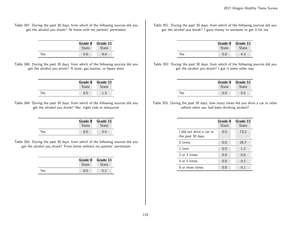Table 347: During the past 30 days, from which of the following sources did you get the alcohol you drank? At home with my parents' permission

|     | Grade 8<br>State | Grade 11<br><b>State</b> |
|-----|------------------|--------------------------|
| Yes | ი ი              | 94                       |

Table 348: During the past 30 days, from which of the following sources did you get the alcohol you drank? A store, gas station, or liquor store

|     | State | Grade 8 Grade 11<br><b>State</b> |
|-----|-------|----------------------------------|
| Yes |       | 1 २                              |

Table 349: During the past 30 days, from which of the following sources did you get the alcohol you drank? Bar, night club or restaurant

|     | <b>State</b> | Grade 8 Grade 11<br><b>State</b> |
|-----|--------------|----------------------------------|
| Yes |              |                                  |

Table 350: During the past 30 days, from which of the following sources did you get the alcohol you drank? From home without my parents' permission

|     | Grade 8<br><b>State</b> | Grade 11<br><b>State</b> |
|-----|-------------------------|--------------------------|
| Yes | 0.0                     | 5.1                      |

Table 351: During the past 30 days, from which of the following sources did you get the alcohol you drank? I gave money to someone to get it for me

|     | Grade 8<br>State | Grade 11<br><b>State</b> |
|-----|------------------|--------------------------|
| Yes |                  | 4.3                      |

Table 352: During the past 30 days, from which of the following sources did you get the alcohol you drank? I got it some other way

|     | Grade 8<br>State | Grade 11<br><b>State</b> |
|-----|------------------|--------------------------|
| Yes | 0.0              | 5.5                      |

Table 353: During the past 30 days, how many times did you drive a car or other vehicle when you had been drinking alcohol?

|                                              | Grade 8<br><b>State</b> | Grade 11<br><b>State</b> |
|----------------------------------------------|-------------------------|--------------------------|
| I did not drive a car in<br>the past 30 days | 0.0                     | 73.2                     |
| $0 \times$                                   | 0.0                     | 24.7                     |
| 1 time                                       | 0.0                     | 1.2                      |
| 2 or 3 times                                 | 0.0                     | 0.6                      |
| 4 or 5 times                                 | 0.0                     | 0.2                      |
| 6 or more times                              | (1.0)                   | 01                       |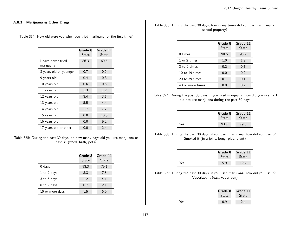# A.8.3 Marijuana & Other Drugs

Table 354: How old were you when you tried marijuana for the first time?

|                                 | Grade 8<br>State | Grade 11<br>State |
|---------------------------------|------------------|-------------------|
| I have never tried<br>marijuana | 86.3             | 60.5              |
| 8 years old or younger          | 0.7              | 0.6               |
| 9 years old                     | 0.4              | 0.3               |
| 10 years old                    | 0.6              | 0.6               |
| 11 years old                    | 1.3              | 1.2               |
| 12 years old                    | 3.4              | 3.1               |
| 13 years old                    | 5.5              | 4.4               |
| 14 years old                    | 1.7              | 7.7               |
| 15 years old                    | 0.0              | 10.0              |
| 16 years old                    | 0.0              | 9.2               |
| 17 years old or older           | 0.0              | 2.4               |

Table 355: During the past 30 days, on how many days did you use marijuana or hashish (weed, hash, pot)?

|                 | Grade 8<br>State | Grade 11<br>State |
|-----------------|------------------|-------------------|
| $0$ days        | 93.3             | 79.1              |
| 1 to 2 days     | 3.3              | 7.8               |
| 3 to 5 days     | 1.2              | 4.1               |
| 6 to 9 days     | 0.7              | 2.1               |
| 10 or more days | 1.5              | 6.9               |

Table 356: During the past 30 days, how many times did you use marijuana on school property?

|                    | Grade 8<br>State | Grade 11<br>State |
|--------------------|------------------|-------------------|
| $0 \times$         | 98.6             | 96.9              |
| 1 or 2 times       | 1.0              | 1.9               |
| 3 to 9 times       | 0.2              | 0.7               |
| 10 to 19 times     | 0.0              | 0.2               |
| $20$ to $39$ times | 0.1              | 0.1               |
| 40 or more times   | 0.0              | 0.2               |

Table 357: During the past 30 days, if you used marijuana, how did you use it? I did not use marijuana during the past 30 days

|     | Grade 8<br><b>State</b> | Grade 11<br><b>State</b> |
|-----|-------------------------|--------------------------|
| Yes | 93.7                    | 79.3                     |

Table 358: During the past 30 days, if you used marijuana, how did you use it? Smoked it (in a joint, bong, pipe, blunt)

|     | <b>State</b> | Grade 8 Grade 11<br><b>State</b> |
|-----|--------------|----------------------------------|
| Yes | 5.9          | 19.4                             |

Table 359: During the past 30 days, if you used marijuana, how did you use it? Vaporized it (e.g., vapor pen)

|     | Grade 8<br><b>State</b> | Grade 11<br><b>State</b> |
|-----|-------------------------|--------------------------|
| Yes | 0.9                     | 24                       |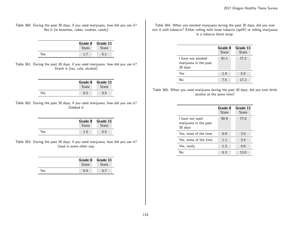Table 360: During the past 30 days, if you used marijuana, how did you use it? Ate it (in brownies, cakes, cookies, candy)

|     | Grade 8 Grade 11<br><b>State</b> | State |
|-----|----------------------------------|-------|
| Yes |                                  |       |

Table 361: During the past 30 days, if you used marijuana, how did you use it? Drank it (tea, cola, alcohol)

|     | Grade 8<br>State | Grade 11<br><b>State</b> |
|-----|------------------|--------------------------|
| Yes |                  | 0.5                      |

Table 362: During the past 30 days, if you used marijuana, how did you use it? Dabbed it

|     | <b>State</b> | Grade 8 Grade 11<br>State |
|-----|--------------|---------------------------|
| Yes | 1.5          | 5.5                       |

Table 363: During the past 30 days, if you used marijuana, how did you use it? Used in some other way

|     | Grade 8<br>State | Grade 11<br><b>State</b> |
|-----|------------------|--------------------------|
| Yes |                  |                          |

Table 364: When you smoked marijuana during the past 30 days, did you ever mix it with tobacco? Either rolling with loose tobacco (spliff) or rolling marijuana in a tobacco blunt wrap.

|                                                       | Grade 8<br><b>State</b> | Grade 11<br>State |
|-------------------------------------------------------|-------------------------|-------------------|
| I have not smoked<br>marijuana in the past<br>30 days | 91.1                    | 77.2              |
| Yes                                                   | 1.4                     | 5.5               |
| N۵                                                    | 7.5                     | 17.2              |

Table 365: When you used marijuana during the past 30 days, did you ever drink alcohol at the same time?

|                                                     | Grade 8<br><b>State</b> | Grade 11<br>State |
|-----------------------------------------------------|-------------------------|-------------------|
| I have not used<br>marijuana in the past<br>30 days | 90.9                    | 77.0              |
| Yes, most of the time                               | 0.4                     | 2.0               |
| Yes, some of the time                               | 1.1                     | 3.4               |
| Yes, rarely                                         | 1.3                     | 4.6               |
| N۵                                                  | ნ 3                     | 13.0              |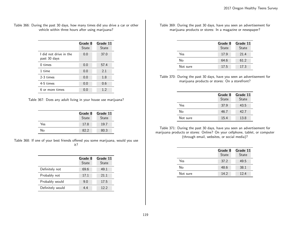| Table 366: During the past 30 days, how many times did you drive a car or other |
|---------------------------------------------------------------------------------|
| vehicle within three hours after using marijuana?                               |

|                                        | Grade 8<br>State | Grade 11<br>State |
|----------------------------------------|------------------|-------------------|
| I did not drive in the<br>past 30 days | 0.0              | 37.0              |
| $0 \times$                             | 0.0              | 57.4              |
| 1 time                                 | 0.0              | 2.1               |
| 2-3 times                              | 0.0              | 1.8               |
| 4-5 times                              | 0.0              | 0.6               |
| 6 or more times                        | 0.0              | 1.2               |

Table 367: Does any adult living in your house use marijuana?

|     | Grade 8<br>State | Grade 11<br>State |
|-----|------------------|-------------------|
| Yes | 17.8             | 19.7              |
| No  | 82.2             | 80.3              |

Table 368: If one of your best friends offered you some marijuana, would you use it?

|                  | Grade 8<br>State | Grade 11<br><b>State</b> |
|------------------|------------------|--------------------------|
| Definitely not   | 69.6             | 49.1                     |
| Probably not     | 17.1             | 21.1                     |
| Probably would   | 9.0              | 17.5                     |
| Definitely would | 4.4              | 12.2                     |

Table 369: During the past 30 days, have you seen an advertisement for marijuana products or stores: In a magazine or newspaper?

|          | Grade 8<br><b>State</b> | Grade 11<br>State |
|----------|-------------------------|-------------------|
| Yes      | 17.9                    | 21.4              |
| No       | 64.6                    | 61.2              |
| Not sure | 17.5                    | 17.3              |

Table 370: During the past 30 days, have you seen an advertisement for marijuana products or stores: On a storefront?

|          | Grade 8<br><b>State</b> | Grade 11<br><b>State</b> |
|----------|-------------------------|--------------------------|
| Yes      | 37.9                    | 43.5                     |
| N٥       | 46.7                    | 42.7                     |
| Not sure | 15.4                    | 13.8                     |

Table 371: During the past 30 days, have you seen an advertisement for marijuana products or stores: Online? On your cellphone, tablet, or computer (through email, websites, or social media)?

|          | Grade 8<br>State | Grade 11<br><b>State</b> |
|----------|------------------|--------------------------|
| Yes      | 37.2             | 49.5                     |
| No       | 48.6             | 38.1                     |
| Not sure | 14.2             | 12.4                     |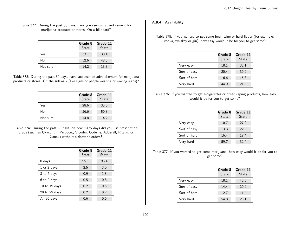#### Table 372: During the past 30 days, have you seen an advertisement for marijuana products or stores: On a billboard?

|          | Grade 8<br>State | Grade 11<br><b>State</b> |
|----------|------------------|--------------------------|
| Yes      | 33.1             | 38.4                     |
| No       | 52.6             | 48.3                     |
| Not sure | 14.2             | 13.3                     |

Table 373: During the past 30 days, have you seen an advertisement for marijuana products or stores: On the sidewalk (like signs or people wearing or waving signs)?

|          | Grade 8<br>State | Grade 11<br><b>State</b> |
|----------|------------------|--------------------------|
| Yes      | 28.6             | 35.0                     |
| No       | 56.6             | 50.8                     |
| Not sure | 14.8             | 14.2                     |

Table 374: During the past 30 days, on how many days did you use prescription drugs (such as Oxycontin, Percocet, Vicodin, Codeine, Adderall, Ritalin, or Xanax) without a doctor's orders?

|                   | Grade 8<br>State | Grade 11<br>State |
|-------------------|------------------|-------------------|
| $0$ days          | 95.1             | 93.4              |
| 1 or 2 days       | 2.5              | 3.0               |
| 3 to 5 days       | 0.9              | 1.3               |
| 6 to 9 days       | 0.5              | 0.8               |
| 10 to 19 days     | 0.2              | 0.6               |
| $20$ to $29$ days | 0.2              | 0.2               |
| All 30 days       | 0.6              | 0.6               |

# A.8.4 Availability

Table 375: If you wanted to get some beer, wine or hard liquor (for example, vodka, whiskey or gin), how easy would it be for you to get some?

|              | Grade 8<br>State | Grade 11<br><b>State</b> |
|--------------|------------------|--------------------------|
| Very easy    | 18.1             | 32.1                     |
| Sort of easy | 20.4             | 30.9                     |
| Sort of hard | 16.6             | 15.8                     |
| Very hard    | 44.9             | 21.3                     |

# Table 376: If you wanted to get e-cigarettes or other vaping products, how easy would it be for you to get some?

|              | Grade 8<br>State | Grade 11<br><b>State</b> |
|--------------|------------------|--------------------------|
| Very easy    | 10.7             | 27.9                     |
| Sort of easy | 13.3             | 22.3                     |
| Sort of hard | 16.4             | 17.4                     |
| Very hard    | 59.7             | 32.4                     |

Table 377: If you wanted to get some marijuana, how easy would it be for you to get some?

|              | Grade 8<br>State | Grade 11<br><b>State</b> |
|--------------|------------------|--------------------------|
| Very easy    | 18.1             | 42.6                     |
| Sort of easy | 14.4             | 20.9                     |
| Sort of hard | 12.7             | 11.4                     |
| Very hard    | 54.8             | 25.1                     |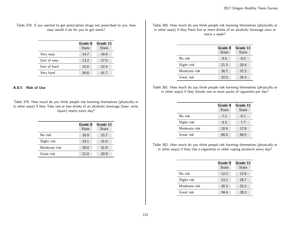### Table 378: If you wanted to get prescription drugs not prescribed to you, how easy would it be for you to get some?

|              | Grade 8<br><b>State</b> | Grade 11<br>State |
|--------------|-------------------------|-------------------|
| Very easy    | 14.7                    | 18.4              |
| Sort of easy | 13.2                    | 17.5              |
| Sort of hard | 15.6                    | 22.4              |
| Very hard    | 56.6                    | 41.7              |

#### A.8.5 Risk of Use

Table 379: How much do you think people risk harming themselves (physically or in other ways) if they Take one or two drinks of an alcoholic beverage (beer, wine, liquor) nearly every day?

|               | Grade 8<br>State | Grade 11<br><b>State</b> |
|---------------|------------------|--------------------------|
| No risk       | 16.9             | 15.7                     |
| Slight risk   | 33.1             | 31.6                     |
| Moderate risk | 29.0             | 31.9                     |
| Great risk    | 21.0             | 20.9                     |

Table 380: How much do you think people risk harming themselves (physically or in other ways) if they Have five or more drinks of an alcoholic beverage once or twice a week?

|               | Grade 8<br>State | Grade 11<br>State |
|---------------|------------------|-------------------|
| No risk       | 9.5              | 8.0               |
| Slight risk   | 21.3             | 20.4              |
| Moderate risk | 36.7             | 37.2              |
| Great risk    | 32.5             | 34.3              |

Table 381: How much do you think people risk harming themselves (physically or in other ways) if they Smoke one or more packs of cigarettes per day?

|               | Grade 8<br>State | Grade 11<br>State |
|---------------|------------------|-------------------|
| No risk       | 7.1              | 6.1               |
| Slight risk   | 8.3              | 7.7               |
| Moderate risk | 18.6             | 17.8              |
| Great risk    | 66.0             | 68.5              |

Table 382: How much do you think people risk harming themselves (physically or in other ways) if they Use e-cigarettes or other vaping products every day?

|               | Grade 8<br>State | Grade 11<br>State |
|---------------|------------------|-------------------|
| No risk       | 12.2             | 12.8              |
| Slight risk   | 23.1             | 26.7              |
| Moderate risk | 30.3             | 32.2              |
| Great risk    | 34.4             | 28.3              |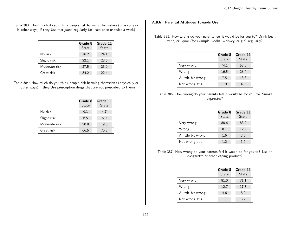Table 383: How much do you think people risk harming themselves (physically or in other ways) if they Use marijuana regularly (at least once or twice a week)

|               | Grade 8<br>State | Grade 11<br><b>State</b> |
|---------------|------------------|--------------------------|
| No risk       | 16.2             | 24.1                     |
| Slight risk   | 22.1             | 28.6                     |
| Moderate risk | 27.5             | 25.0                     |
| Great risk    | 34.2             | 22.4                     |

| Table 384: How much do you think people risk harming themselves (physically or |  |                                                                                |  |  |  |
|--------------------------------------------------------------------------------|--|--------------------------------------------------------------------------------|--|--|--|
|                                                                                |  | in other ways) if they Use prescription drugs that are not prescribed to them? |  |  |  |

|               | Grade 8<br>State | Grade 11<br>State |
|---------------|------------------|-------------------|
| No risk       | 6.1              | 4.7               |
| Slight risk   | 6.5              | 6.0               |
| Moderate risk | 20.8             | 19.0              |
| Great risk    | 66.5             | 70.2              |

### A.8.6 Parental Attitudes Towards Use

Table 385: How wrong do your parents feel it would be for you to? Drink beer, wine, or liquor (for example, vodka, whiskey, or gin) regularly?

|                    | Grade 8<br>State | Grade 11<br><b>State</b> |
|--------------------|------------------|--------------------------|
| Very wrong         | 74.1             | 58.8                     |
| Wrong              | 16.5             | 23.4                     |
| A little bit wrong | 7.5              | 13.8                     |
| Not wrong at all   | 1.9              | 4.0                      |

| Table 386: How wrong do your parents feel it would be for you to? Smoke |  |  |             |  |  |  |  |
|-------------------------------------------------------------------------|--|--|-------------|--|--|--|--|
|                                                                         |  |  | cigarettes? |  |  |  |  |

|                    | Grade 8<br><b>State</b> | Grade 11<br><b>State</b> |
|--------------------|-------------------------|--------------------------|
| Very wrong         | 88.6                    | 83.2                     |
| Wrong              | 8.7                     | 12.2                     |
| A little bit wrong | 1.6                     | 3.0                      |
| Not wrong at all   | 12                      | 1.6                      |

Table 387: How wrong do your parents feel it would be for you to? Use an e-cigarette or other vaping product?

|                    | Grade 8<br><b>State</b> | Grade 11<br><b>State</b> |
|--------------------|-------------------------|--------------------------|
| Very wrong         | 81.0                    | 71.1                     |
| Wrong              | 12.7                    | 17.7                     |
| A little bit wrong | 4.6                     | 8.0                      |
| Not wrong at all   | 1.7                     | 3.2                      |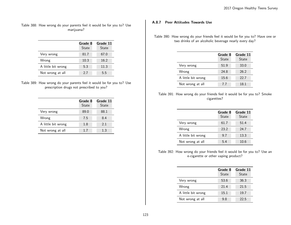Table 388: How wrong do your parents feel it would be for you to? Use marijuana?

|                    | Grade 8<br><b>State</b> | Grade 11<br><b>State</b> |
|--------------------|-------------------------|--------------------------|
| Very wrong         | 81.7                    | 67.0                     |
| Wrong              | 10.3                    | 16.2                     |
| A little bit wrong | 5.3                     | 11.3                     |
| Not wrong at all   | 2.7                     | 5.5                      |

| Table 389: How wrong do your parents feel it would be for you to? Use |  |
|-----------------------------------------------------------------------|--|
| prescription drugs not prescribed to you?                             |  |

|                    | Grade 8<br>State | Grade 11<br><b>State</b> |
|--------------------|------------------|--------------------------|
| Very wrong         | 89.0             | 88.1                     |
| Wrong              | 7.5              | 8.4                      |
| A little bit wrong | 1.8              | 2.1                      |
| Not wrong at all   | 1.7              | 1.3                      |

# A.8.7 Peer Attitudes Towards Use

Table 390: How wrong do your friends feel it would be for you to? Have one or two drinks of an alcoholic beverage nearly every day?

|                    | Grade 8<br>State | Grade 11<br><b>State</b> |
|--------------------|------------------|--------------------------|
| Very wrong         | 51.9             | 33.0                     |
| Wrong              | 24.8             | 26.2                     |
| A little bit wrong | 15.6             | 22.7                     |
| Not wrong at all   | 7.7              | 18.1                     |

| Table 391: How wrong do your friends feel it would be for you to? Smoke |  |  |             |  |  |  |  |
|-------------------------------------------------------------------------|--|--|-------------|--|--|--|--|
|                                                                         |  |  | cigarettes? |  |  |  |  |

|                    | Grade 8<br><b>State</b> | Grade 11<br><b>State</b> |
|--------------------|-------------------------|--------------------------|
| Very wrong         | 61.7                    | 51.4                     |
| Wrong              | 23.2                    | 24.7                     |
| A little bit wrong | 9.7                     | 13.3                     |
| Not wrong at all   | 5.4                     | 10.6                     |

Table 392: How wrong do your friends feel it would be for you to? Use an e-cigarette or other vaping product?

|                    | Grade 8<br><b>State</b> | Grade 11<br><b>State</b> |
|--------------------|-------------------------|--------------------------|
| Very wrong         | 53.6                    | 36.3                     |
| Wrong              | 21.4                    | 21.5                     |
| A little bit wrong | 15.1                    | 19.7                     |
| Not wrong at all   | 9.8                     | 22.5                     |